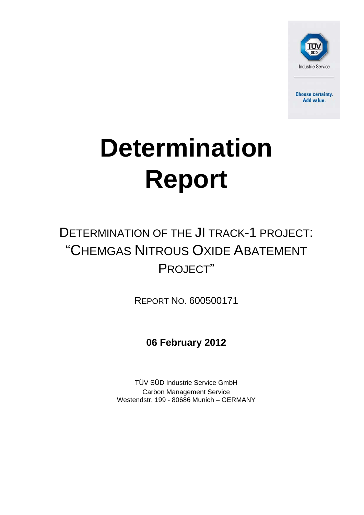

**Choose certainty.** Add value.

# **Determination Report**

## DETERMINATION OF THE JI TRACK-1 PROJECT: "CHEMGAS NITROUS OXIDE ABATEMENT PROJECT"

REPORT NO. 600500171

**06 February 2012**

TÜV SÜD Industrie Service GmbH Carbon Management Service Westendstr. 199 - 80686 Munich – GERMANY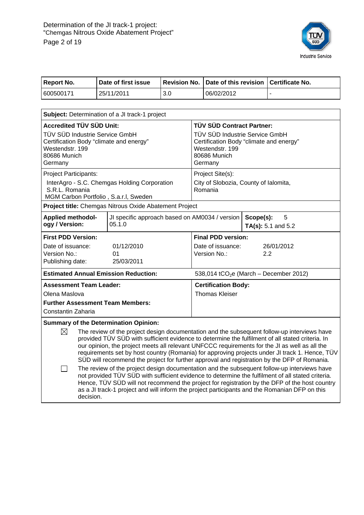

| <b>Report No.</b>                                                                                                                                                                                                                                                                                                                                                                                                                                                                                                                                                                                                                                                                                                                                                                                                                                                                                                                                                                   |  | Date of first issue                                                                                                     | <b>Revision No.</b> |                                                     |                           |                         | Date of this revision   Certificate No.            |
|-------------------------------------------------------------------------------------------------------------------------------------------------------------------------------------------------------------------------------------------------------------------------------------------------------------------------------------------------------------------------------------------------------------------------------------------------------------------------------------------------------------------------------------------------------------------------------------------------------------------------------------------------------------------------------------------------------------------------------------------------------------------------------------------------------------------------------------------------------------------------------------------------------------------------------------------------------------------------------------|--|-------------------------------------------------------------------------------------------------------------------------|---------------------|-----------------------------------------------------|---------------------------|-------------------------|----------------------------------------------------|
| 600500171                                                                                                                                                                                                                                                                                                                                                                                                                                                                                                                                                                                                                                                                                                                                                                                                                                                                                                                                                                           |  | 25/11/2011                                                                                                              | 3.0                 |                                                     | 06/02/2012                |                         |                                                    |
|                                                                                                                                                                                                                                                                                                                                                                                                                                                                                                                                                                                                                                                                                                                                                                                                                                                                                                                                                                                     |  |                                                                                                                         |                     |                                                     |                           |                         |                                                    |
|                                                                                                                                                                                                                                                                                                                                                                                                                                                                                                                                                                                                                                                                                                                                                                                                                                                                                                                                                                                     |  | Subject: Determination of a JI track-1 project                                                                          |                     |                                                     |                           |                         |                                                    |
| <b>Accredited TÜV SÜD Unit:</b>                                                                                                                                                                                                                                                                                                                                                                                                                                                                                                                                                                                                                                                                                                                                                                                                                                                                                                                                                     |  |                                                                                                                         |                     |                                                     | TÜV SÜD Contract Partner: |                         |                                                    |
| TÜV SÜD Industrie Service GmbH<br>Certification Body "climate and energy"<br>Westendstr, 199<br>80686 Munich<br>Germany                                                                                                                                                                                                                                                                                                                                                                                                                                                                                                                                                                                                                                                                                                                                                                                                                                                             |  | TÜV SÜD Industrie Service GmbH<br>Certification Body "climate and energy"<br>Westendstr. 199<br>80686 Munich<br>Germany |                     |                                                     |                           |                         |                                                    |
| Project Participants:                                                                                                                                                                                                                                                                                                                                                                                                                                                                                                                                                                                                                                                                                                                                                                                                                                                                                                                                                               |  |                                                                                                                         |                     |                                                     | Project Site(s):          |                         |                                                    |
| InterAgro - S.C. Chemgas Holding Corporation<br>S.R.L. Romania<br>MGM Carbon Portfolio, S.a.r.l, Sweden                                                                                                                                                                                                                                                                                                                                                                                                                                                                                                                                                                                                                                                                                                                                                                                                                                                                             |  |                                                                                                                         |                     | City of Slobozia, County of Ialomita,<br>Romania    |                           |                         |                                                    |
|                                                                                                                                                                                                                                                                                                                                                                                                                                                                                                                                                                                                                                                                                                                                                                                                                                                                                                                                                                                     |  | Project title: Chemgas Nitrous Oxide Abatement Project                                                                  |                     |                                                     |                           |                         |                                                    |
| JI specific approach based on AM0034 / version<br><b>Applied methodol-</b><br>ogy / Version:<br>05.1.0                                                                                                                                                                                                                                                                                                                                                                                                                                                                                                                                                                                                                                                                                                                                                                                                                                                                              |  |                                                                                                                         |                     |                                                     | Scope(s):                 | 5<br>TA(s): 5.1 and 5.2 |                                                    |
| <b>First PDD Version:</b>                                                                                                                                                                                                                                                                                                                                                                                                                                                                                                                                                                                                                                                                                                                                                                                                                                                                                                                                                           |  |                                                                                                                         |                     |                                                     | <b>Final PDD version:</b> |                         |                                                    |
| Date of issuance:                                                                                                                                                                                                                                                                                                                                                                                                                                                                                                                                                                                                                                                                                                                                                                                                                                                                                                                                                                   |  | 01/12/2010                                                                                                              |                     |                                                     | Date of issuance:         |                         | 26/01/2012                                         |
| Version No.:<br>Publishing date:                                                                                                                                                                                                                                                                                                                                                                                                                                                                                                                                                                                                                                                                                                                                                                                                                                                                                                                                                    |  | 01<br>25/03/2011                                                                                                        |                     |                                                     | Version No.:              |                         | 2.2                                                |
|                                                                                                                                                                                                                                                                                                                                                                                                                                                                                                                                                                                                                                                                                                                                                                                                                                                                                                                                                                                     |  |                                                                                                                         |                     |                                                     |                           |                         |                                                    |
| <b>Estimated Annual Emission Reduction:</b>                                                                                                                                                                                                                                                                                                                                                                                                                                                                                                                                                                                                                                                                                                                                                                                                                                                                                                                                         |  |                                                                                                                         |                     |                                                     |                           |                         | 538,014 tCO <sub>2</sub> e (March - December 2012) |
| <b>Assessment Team Leader:</b>                                                                                                                                                                                                                                                                                                                                                                                                                                                                                                                                                                                                                                                                                                                                                                                                                                                                                                                                                      |  |                                                                                                                         |                     | <b>Certification Body:</b><br><b>Thomas Kleiser</b> |                           |                         |                                                    |
| Olena Maslova<br><b>Further Assessment Team Members:</b>                                                                                                                                                                                                                                                                                                                                                                                                                                                                                                                                                                                                                                                                                                                                                                                                                                                                                                                            |  |                                                                                                                         |                     |                                                     |                           |                         |                                                    |
| Constantin Zaharia                                                                                                                                                                                                                                                                                                                                                                                                                                                                                                                                                                                                                                                                                                                                                                                                                                                                                                                                                                  |  |                                                                                                                         |                     |                                                     |                           |                         |                                                    |
|                                                                                                                                                                                                                                                                                                                                                                                                                                                                                                                                                                                                                                                                                                                                                                                                                                                                                                                                                                                     |  |                                                                                                                         |                     |                                                     |                           |                         |                                                    |
| <b>Summary of the Determination Opinion:</b><br>$\boxtimes$<br>The review of the project design documentation and the subsequent follow-up interviews have<br>provided TÜV SÜD with sufficient evidence to determine the fulfilment of all stated criteria. In<br>our opinion, the project meets all relevant UNFCCC requirements for the JI as well as all the<br>requirements set by host country (Romania) for approving projects under JI track 1. Hence, TÜV<br>SUD will recommend the project for further approval and registration by the DFP of Romania.<br>The review of the project design documentation and the subsequent follow-up interviews have<br>not provided TÜV SÜD with sufficient evidence to determine the fulfilment of all stated criteria.<br>Hence, TÜV SÜD will not recommend the project for registration by the DFP of the host country<br>as a JI track-1 project and will inform the project participants and the Romanian DFP on this<br>decision. |  |                                                                                                                         |                     |                                                     |                           |                         |                                                    |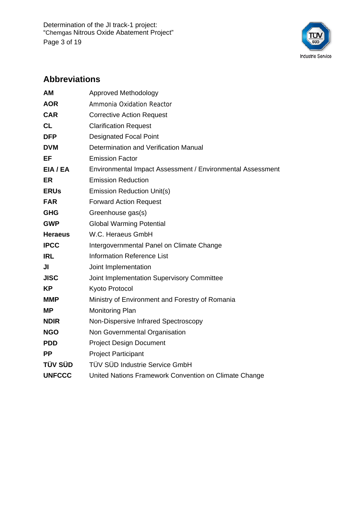Determination of the JI track-1 project: "Chemgas Nitrous Oxide Abatement Project" Page 3 of 19



#### **Abbreviations**

| <b>AM</b>      | <b>Approved Methodology</b>                                |
|----------------|------------------------------------------------------------|
| <b>AOR</b>     | Ammonia Oxidation Reactor                                  |
| <b>CAR</b>     | <b>Corrective Action Request</b>                           |
| CL             | <b>Clarification Request</b>                               |
| <b>DFP</b>     | <b>Designated Focal Point</b>                              |
| <b>DVM</b>     | Determination and Verification Manual                      |
| EF             | <b>Emission Factor</b>                                     |
| EIA / EA       | Environmental Impact Assessment / Environmental Assessment |
| ER             | <b>Emission Reduction</b>                                  |
| <b>ERUs</b>    | <b>Emission Reduction Unit(s)</b>                          |
| <b>FAR</b>     | <b>Forward Action Request</b>                              |
| <b>GHG</b>     | Greenhouse gas(s)                                          |
| <b>GWP</b>     | <b>Global Warming Potential</b>                            |
| <b>Heraeus</b> | W.C. Heraeus GmbH                                          |
| <b>IPCC</b>    | Intergovernmental Panel on Climate Change                  |
| <b>IRL</b>     | <b>Information Reference List</b>                          |
| JI             | Joint Implementation                                       |
| <b>JISC</b>    | Joint Implementation Supervisory Committee                 |
| <b>KP</b>      | Kyoto Protocol                                             |
| <b>MMP</b>     | Ministry of Environment and Forestry of Romania            |
| <b>MP</b>      | <b>Monitoring Plan</b>                                     |
| <b>NDIR</b>    | Non-Dispersive Infrared Spectroscopy                       |
| <b>NGO</b>     | Non Governmental Organisation                              |
| <b>PDD</b>     | <b>Project Design Document</b>                             |
| <b>PP</b>      | <b>Project Participant</b>                                 |
| <b>TÜV SÜD</b> | TÜV SÜD Industrie Service GmbH                             |
| <b>UNFCCC</b>  | United Nations Framework Convention on Climate Change      |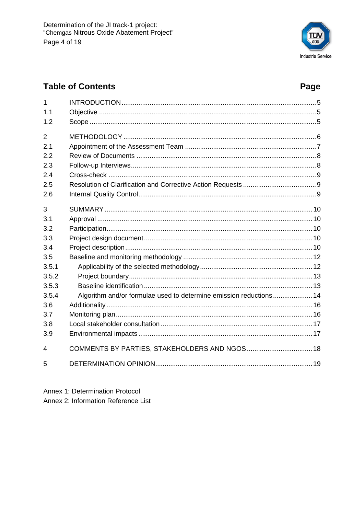

#### **Table of Contents**

#### Page

| 1              |                                                                    |  |
|----------------|--------------------------------------------------------------------|--|
| 1.1            |                                                                    |  |
| 1.2            |                                                                    |  |
| $\overline{2}$ |                                                                    |  |
| 2.1            |                                                                    |  |
| 2.2            |                                                                    |  |
| 2.3            |                                                                    |  |
| 2.4            |                                                                    |  |
| 2.5            |                                                                    |  |
| 2.6            |                                                                    |  |
| 3              |                                                                    |  |
| 3.1            |                                                                    |  |
| 3.2            |                                                                    |  |
| 3.3            |                                                                    |  |
| 3.4            |                                                                    |  |
| 3.5            |                                                                    |  |
| 3.5.1          |                                                                    |  |
| 3.5.2          |                                                                    |  |
| 3.5.3          |                                                                    |  |
| 3.5.4          | Algorithm and/or formulae used to determine emission reductions 14 |  |
| 3.6            |                                                                    |  |
| 3.7            |                                                                    |  |
| 3.8            |                                                                    |  |
| 3.9            |                                                                    |  |
| 4              | COMMENTS BY PARTIES, STAKEHOLDERS AND NGOS 18                      |  |
| 5              |                                                                    |  |

Annex 1: Determination Protocol Annex 2: Information Reference List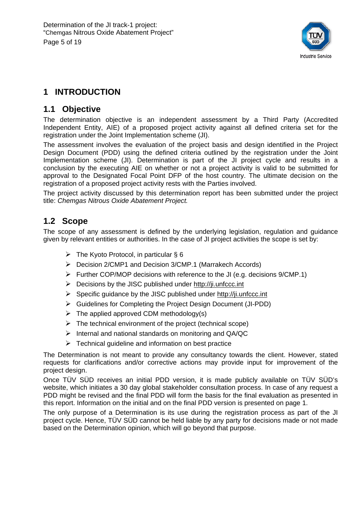

#### **1 INTRODUCTION**

#### **1.1 Objective**

The determination objective is an independent assessment by a Third Party (Accredited Independent Entity, AIE) of a proposed project activity against all defined criteria set for the registration under the Joint Implementation scheme (JI).

The assessment involves the evaluation of the project basis and design identified in the Project Design Document (PDD) using the defined criteria outlined by the registration under the Joint Implementation scheme (JI). Determination is part of the JI project cycle and results in a conclusion by the executing AIE on whether or not a project activity is valid to be submitted for approval to the Designated Focal Point DFP of the host country. The ultimate decision on the registration of a proposed project activity rests with the Parties involved.

The project activity discussed by this determination report has been submitted under the project title: *Chemgas Nitrous Oxide Abatement Project.* 

#### **1.2 Scope**

The scope of any assessment is defined by the underlying legislation, regulation and guidance given by relevant entities or authorities. In the case of JI project activities the scope is set by:

- $\triangleright$  The Kyoto Protocol, in particular § 6
- Decision 2/CMP1 and Decision 3/CMP.1 (Marrakech Accords)
- $\triangleright$  Further COP/MOP decisions with reference to the JI (e.g. decisions 9/CMP.1)
- $\triangleright$  Decisions by the JISC published under http://ji.unfccc.int
- $\triangleright$  Specific guidance by the JISC published under http://ji.unfccc.int
- Guidelines for Completing the Project Design Document (JI-PDD)
- $\triangleright$  The applied approved CDM methodology(s)
- $\triangleright$  The technical environment of the project (technical scope)
- $\triangleright$  Internal and national standards on monitoring and QA/QC
- $\triangleright$  Technical guideline and information on best practice

The Determination is not meant to provide any consultancy towards the client. However, stated requests for clarifications and/or corrective actions may provide input for improvement of the project design.

Once TÜV SÜD receives an initial PDD version, it is made publicly available on TÜV SÜD's website, which initiates a 30 day global stakeholder consultation process. In case of any request a PDD might be revised and the final PDD will form the basis for the final evaluation as presented in this report. Information on the initial and on the final PDD version is presented on page 1.

The only purpose of a Determination is its use during the registration process as part of the JI project cycle. Hence, TÜV SÜD cannot be held liable by any party for decisions made or not made based on the Determination opinion, which will go beyond that purpose.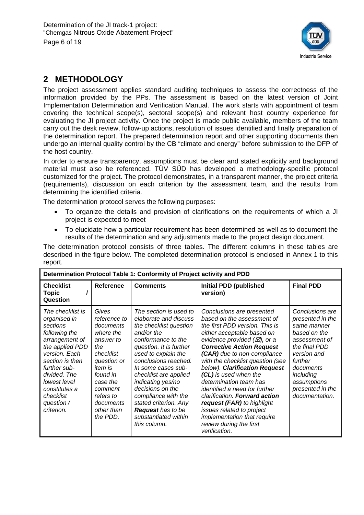

#### **2 METHODOLOGY**

The project assessment applies standard auditing techniques to assess the correctness of the information provided by the PPs. The assessment is based on the latest version of Joint Implementation Determination and Verification Manual. The work starts with appointment of team covering the technical scope(s), sectoral scope(s) and relevant host country experience for evaluating the JI project activity. Once the project is made public available, members of the team carry out the desk review, follow-up actions, resolution of issues identified and finally preparation of the determination report. The prepared determination report and other supporting documents then undergo an internal quality control by the CB "climate and energy" before submission to the DFP of the host country.

In order to ensure transparency, assumptions must be clear and stated explicitly and background material must also be referenced. TÜV SÜD has developed a methodology-specific protocol customized for the project. The protocol demonstrates, in a transparent manner, the project criteria (requirements), discussion on each criterion by the assessment team, and the results from determining the identified criteria.

The determination protocol serves the following purposes:

- To organize the details and provision of clarifications on the requirements of which a JI project is expected to meet
- To elucidate how a particular requirement has been determined as well as to document the results of the determination and any adjustments made to the project design document.

The determination protocol consists of three tables. The different columns in these tables are described in the figure below. The completed determination protocol is enclosed in Annex 1 to this report.

| Determination Protocol Table 1: Conformity of Project activity and PDD                                                                                                                                                                           |                                                                                                                                                                                                          |                                                                                                                                                                                                                                                                                                                                                                                                     |                                                                                                                                                                                                                                                                                                                                                                                                                                                                                                                                                                               |                                                                                                                                                                                                               |  |  |
|--------------------------------------------------------------------------------------------------------------------------------------------------------------------------------------------------------------------------------------------------|----------------------------------------------------------------------------------------------------------------------------------------------------------------------------------------------------------|-----------------------------------------------------------------------------------------------------------------------------------------------------------------------------------------------------------------------------------------------------------------------------------------------------------------------------------------------------------------------------------------------------|-------------------------------------------------------------------------------------------------------------------------------------------------------------------------------------------------------------------------------------------------------------------------------------------------------------------------------------------------------------------------------------------------------------------------------------------------------------------------------------------------------------------------------------------------------------------------------|---------------------------------------------------------------------------------------------------------------------------------------------------------------------------------------------------------------|--|--|
| <b>Checklist</b><br><b>Topic</b><br>Question                                                                                                                                                                                                     | <b>Reference</b>                                                                                                                                                                                         | <b>Comments</b>                                                                                                                                                                                                                                                                                                                                                                                     | <b>Initial PDD (published)</b><br>version)                                                                                                                                                                                                                                                                                                                                                                                                                                                                                                                                    | <b>Final PDD</b>                                                                                                                                                                                              |  |  |
| The checklist is<br>organised in<br>sections<br>following the<br>arrangement of<br>the applied PDD<br>version. Each<br>section is then<br>further sub-<br>divided. The<br>lowest level<br>constitutes a<br>checklist<br>question /<br>criterion. | Gives<br>reference to<br>documents<br>where the<br>answer to<br>the<br>checklist<br>question or<br><i>item is</i><br>found in<br>case the<br>comment<br>refers to<br>documents<br>other than<br>the PDD. | The section is used to<br>elaborate and discuss<br>the checklist question<br>and/or the<br>conformance to the<br>question. It is further<br>used to explain the<br>conclusions reached.<br>In some cases sub-<br>checklist are applied<br>indicating yes/no<br>decisions on the<br>compliance with the<br>stated criterion. Any<br><b>Request</b> has to be<br>substantiated within<br>this column. | Conclusions are presented<br>based on the assessment of<br>the first PDD version. This is<br>either acceptable based on<br>evidence provided $(\varnothing)$ , or a<br><b>Corrective Action Request</b><br>(CAR) due to non-compliance<br>with the checklist question (see<br>below). Clarification Request<br>(CL) is used when the<br>determination team has<br><i>identified a need for further</i><br>clarification. Forward action<br>request (FAR) to highlight<br>issues related to project<br>implementation that require<br>review during the first<br>verification. | Conclusions are<br>presented in the<br>same manner<br>based on the<br>assessment of<br>the final PDD<br>version and<br>further<br>documents<br>including<br>assumptions<br>presented in the<br>documentation. |  |  |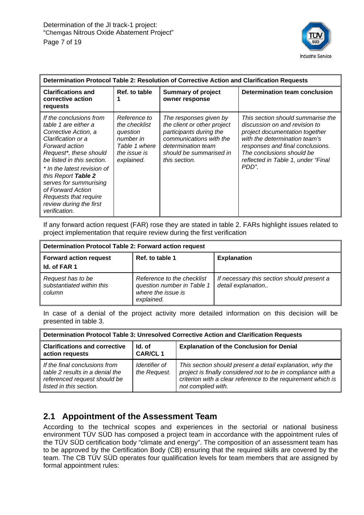

| Determination Protocol Table 2: Resolution of Corrective Action and Clarification Requests                                                                                                                                                                                                                                                        |                                                                                                       |                                                                                                                                                                               |                                                                                                                                                                                                                                                       |  |  |
|---------------------------------------------------------------------------------------------------------------------------------------------------------------------------------------------------------------------------------------------------------------------------------------------------------------------------------------------------|-------------------------------------------------------------------------------------------------------|-------------------------------------------------------------------------------------------------------------------------------------------------------------------------------|-------------------------------------------------------------------------------------------------------------------------------------------------------------------------------------------------------------------------------------------------------|--|--|
| <b>Clarifications and</b><br>corrective action<br>requests                                                                                                                                                                                                                                                                                        | Ref. to table                                                                                         | <b>Summary of project</b><br>owner response                                                                                                                                   | <b>Determination team conclusion</b>                                                                                                                                                                                                                  |  |  |
| If the conclusions from<br>table 1 are either a<br>Corrective Action, a<br>Clarification or a<br>Forward action<br>Request*, these should<br>be listed in this section.<br>* In the latest revision of<br>this Report Table 2<br>serves for summurising<br>of Forward Action<br>Requests that require<br>review during the first<br>verification. | Reference to<br>the checklist<br>question<br>number in<br>Table 1 where<br>the issue is<br>explained. | The responses given by<br>the client or other project<br>participants during the<br>communications with the<br>determination team<br>should be summarised in<br>this section. | This section should summarise the<br>discussion on and revision to<br>project documentation together<br>with the determination team's<br>responses and final conclusions.<br>The conclusions should be<br>reflected in Table 1, under "Final<br>PDD". |  |  |

If any forward action request (FAR) rose they are stated in table 2. FARs highlight issues related to project implementation that require review during the first verification

| Determination Protocol Table 2: Forward action request   |                                                                                              |                                                                  |  |  |  |
|----------------------------------------------------------|----------------------------------------------------------------------------------------------|------------------------------------------------------------------|--|--|--|
| <b>Forward action request</b><br>Id. of FAR 1            | Ref. to table 1                                                                              | <b>Explanation</b>                                               |  |  |  |
| Request has to be<br>substantiated within this<br>column | Reference to the checklist<br>question number in Table 1<br>where the issue is<br>explained. | If necessary this section should present a<br>detail explanation |  |  |  |

In case of a denial of the project activity more detailed information on this decision will be presented in table 3.

| Determination Protocol Table 3: Unresolved Corrective Action and Clarification Requests                                     |                               |                                                                                                                                                                                                                 |  |  |
|-----------------------------------------------------------------------------------------------------------------------------|-------------------------------|-----------------------------------------------------------------------------------------------------------------------------------------------------------------------------------------------------------------|--|--|
| <b>Clarifications and corrective</b><br>action requests                                                                     | Id. of<br><b>CAR/CL1</b>      | <b>Explanation of the Conclusion for Denial</b>                                                                                                                                                                 |  |  |
| If the final conclusions from<br>table 2 results in a denial the<br>referenced request should be<br>listed in this section. | Identifier of<br>the Request. | This section should present a detail explanation, why the<br>project is finally considered not to be in compliance with a<br>criterion with a clear reference to the requirement which is<br>not complied with. |  |  |

#### **2.1 Appointment of the Assessment Team**

According to the technical scopes and experiences in the sectorial or national business environment TÜV SÜD has composed a project team in accordance with the appointment rules of the TÜV SÜD certification body "climate and energy". The composition of an assessment team has to be approved by the Certification Body (CB) ensuring that the required skills are covered by the team. The CB TÜV SÜD operates four qualification levels for team members that are assigned by formal appointment rules: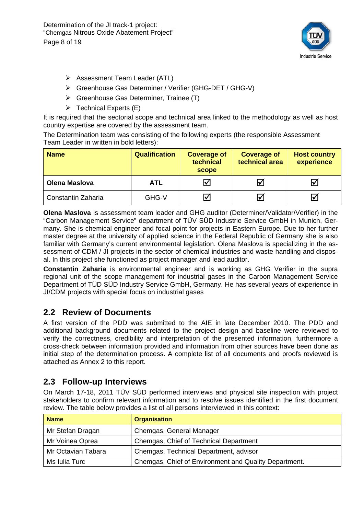Determination of the JI track-1 project: "Chemgas Nitrous Oxide Abatement Project" Page 8 of 19



- Assessment Team Leader (ATL)
- Greenhouse Gas Determiner / Verifier (GHG-DET / GHG-V)
- Greenhouse Gas Determiner, Trainee (T)
- $\triangleright$  Technical Experts (E)

It is required that the sectorial scope and technical area linked to the methodology as well as host country expertise are covered by the assessment team.

The Determination team was consisting of the following experts (the responsible Assessment Team Leader in written in bold letters):

| <b>Name</b>          | <b>Qualification</b> | <b>Coverage of</b><br>technical<br>scope | <b>Coverage of</b><br>technical area | <b>Host country</b><br>experience |
|----------------------|----------------------|------------------------------------------|--------------------------------------|-----------------------------------|
| <b>Olena Maslova</b> | <b>ATL</b>           | I√l                                      | Ⅳ                                    | ∨                                 |
| Constantin Zaharia   | GHG-V                | ⋈                                        | IV                                   | V                                 |

**Olena Maslova** is assessment team leader and GHG auditor (Determiner/Validator/Verifier) in the "Carbon Management Service" department of TÜV SÜD Industrie Service GmbH in Munich, Germany. She is chemical engineer and focal point for projects in Eastern Europe. Due to her further master degree at the university of applied science in the Federal Republic of Germany she is also familiar with Germany's current environmental legislation. Olena Maslova is specializing in the assessment of CDM / JI projects in the sector of chemical industries and waste handling and disposal. In this project she functioned as project manager and lead auditor.

**Constantin Zaharia** is environmental engineer and is working as GHG Verifier in the supra regional unit of the scope management for industrial gases in the Carbon Management Service Department of TÜD SÜD Industry Service GmbH, Germany. He has several years of experience in JI/CDM projects with special focus on industrial gases

#### **2.2 Review of Documents**

A first version of the PDD was submitted to the AIE in late December 2010. The PDD and additional background documents related to the project design and baseline were reviewed to verify the correctness, credibility and interpretation of the presented information, furthermore a cross-check between information provided and information from other sources have been done as initial step of the determination process. A complete list of all documents and proofs reviewed is attached as Annex 2 to this report.

#### **2.3 Follow-up Interviews**

On March 17-18, 2011 TÜV SÜD performed interviews and physical site inspection with project stakeholders to confirm relevant information and to resolve issues identified in the first document review. The table below provides a list of all persons interviewed in this context:

| <b>Name</b>        | <b>Organisation</b>                                   |
|--------------------|-------------------------------------------------------|
| Mr Stefan Dragan   | Chemgas, General Manager                              |
| Mr Voinea Oprea    | Chemgas, Chief of Technical Department                |
| Mr Octavian Tabara | Chemgas, Technical Department, advisor                |
| Ms Iulia Turc      | Chemgas, Chief of Environment and Quality Department. |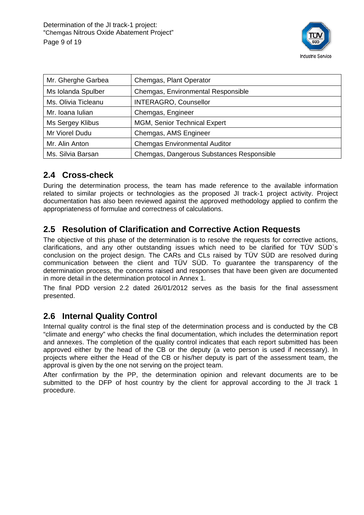

| Mr. Gherghe Garbea  | Chemgas, Plant Operator                   |
|---------------------|-------------------------------------------|
| Ms Iolanda Spulber  | Chemgas, Environmental Responsible        |
| Ms. Olivia Ticleanu | <b>INTERAGRO, Counsellor</b>              |
| Mr. Ioana Iulian    | Chemgas, Engineer                         |
| Ms Sergey Klibus    | MGM, Senior Technical Expert              |
| Mr Viorel Dudu      | Chemgas, AMS Engineer                     |
| Mr. Alin Anton      | <b>Chemgas Environmental Auditor</b>      |
| Ms. Silvia Barsan   | Chemgas, Dangerous Substances Responsible |

#### **2.4 Cross-check**

During the determination process, the team has made reference to the available information related to similar projects or technologies as the proposed JI track-1 project activity. Project documentation has also been reviewed against the approved methodology applied to confirm the appropriateness of formulae and correctness of calculations.

#### **2.5 Resolution of Clarification and Corrective Action Requests**

The objective of this phase of the determination is to resolve the requests for corrective actions, clarifications, and any other outstanding issues which need to be clarified for TÜV SÜD`s conclusion on the project design. The CARs and CLs raised by TÜV SÜD are resolved during communication between the client and TÜV SÜD. To guarantee the transparency of the determination process, the concerns raised and responses that have been given are documented in more detail in the determination protocol in Annex 1.

The final PDD version 2.2 dated 26/01/2012 serves as the basis for the final assessment presented.

#### **2.6 Internal Quality Control**

Internal quality control is the final step of the determination process and is conducted by the CB "climate and energy" who checks the final documentation, which includes the determination report and annexes. The completion of the quality control indicates that each report submitted has been approved either by the head of the CB or the deputy (a veto person is used if necessary). In projects where either the Head of the CB or his/her deputy is part of the assessment team, the approval is given by the one not serving on the project team.

After confirmation by the PP, the determination opinion and relevant documents are to be submitted to the DFP of host country by the client for approval according to the JI track 1 procedure.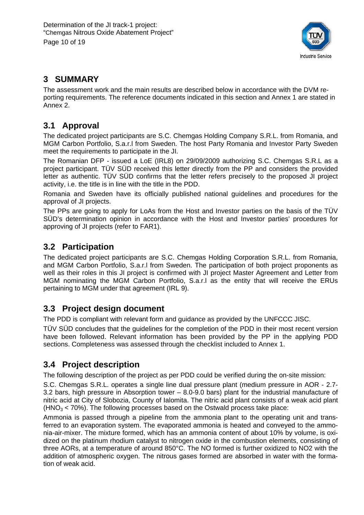

#### **3 SUMMARY**

The assessment work and the main results are described below in accordance with the DVM reporting requirements. The reference documents indicated in this section and Annex 1 are stated in Annex 2.

#### **3.1 Approval**

The dedicated project participants are S.C. Chemgas Holding Company S.R.L. from Romania, and MGM Carbon Portfolio, S.a.r.l from Sweden. The host Party Romania and Investor Party Sweden meet the requirements to participate in the JI.

The Romanian DFP - issued a LoE (IRL8) on 29/09/2009 authorizing S.C. Chemgas S.R.L as a project participant. TÜV SÜD received this letter directly from the PP and considers the provided letter as authentic. TÜV SÜD confirms that the letter refers precisely to the proposed JI project activity, i.e. the title is in line with the title in the PDD.

Romania and Sweden have its officially published national guidelines and procedures for the approval of JI projects.

The PPs are going to apply for LoAs from the Host and Investor parties on the basis of the TÜV SÜD's determination opinion in accordance with the Host and Investor parties' procedures for approving of JI projects (refer to FAR1).

#### **3.2 Participation**

The dedicated project participants are S.C. Chemgas Holding Corporation S.R.L. from Romania, and MGM Carbon Portfolio, S.a.r.l from Sweden. The participation of both project proponents as well as their roles in this JI project is confirmed with JI project Master Agreement and Letter from MGM nominating the MGM Carbon Portfolio, S.a.r.l as the entity that will receive the ERUs pertaining to MGM under that agreement (IRL 9).

#### **3.3 Project design document**

The PDD is compliant with relevant form and guidance as provided by the UNFCCC JISC.

TÜV SÜD concludes that the guidelines for the completion of the PDD in their most recent version have been followed. Relevant information has been provided by the PP in the applying PDD sections. Completeness was assessed through the checklist included to Annex 1.

#### **3.4 Project description**

The following description of the project as per PDD could be verified during the on-site mission:

S.C. Chemgas S.R.L. operates a single line dual pressure plant (medium pressure in AOR - 2.7- 3.2 bars, high pressure in Absorption tower – 8.0-9.0 bars) plant for the industrial manufacture of nitric acid at City of Slobozia, County of Ialomita. The nitric acid plant consists of a weak acid plant  $(HNO<sub>3</sub> < 70%)$ . The following processes based on the Ostwald process take place:

Ammonia is passed through a pipeline from the ammonia plant to the operating unit and transferred to an evaporation system. The evaporated ammonia is heated and conveyed to the ammonia-air-mixer. The mixture formed, which has an ammonia content of about 10% by volume, is oxidized on the platinum rhodium catalyst to nitrogen oxide in the combustion elements, consisting of three AORs, at a temperature of around 850°C. The NO formed is further oxidized to NO2 with the addition of atmospheric oxygen. The nitrous gases formed are absorbed in water with the formation of weak acid.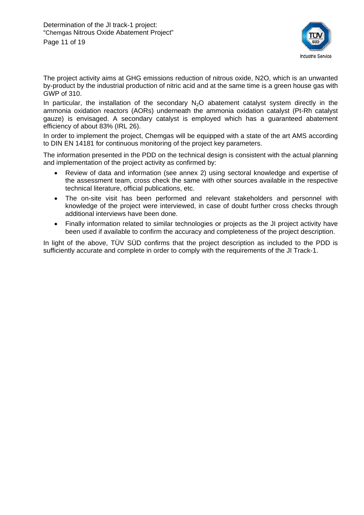

The project activity aims at GHG emissions reduction of nitrous oxide, N2O, which is an unwanted by-product by the industrial production of nitric acid and at the same time is a green house gas with GWP of 310.

In particular, the installation of the secondary  $N_2O$  abatement catalyst system directly in the ammonia oxidation reactors (AORs) underneath the ammonia oxidation catalyst (Pt-Rh catalyst gauze) is envisaged. A secondary catalyst is employed which has a guaranteed abatement efficiency of about 83% (IRL 26).

In order to implement the project, Chemgas will be equipped with a state of the art AMS according to DIN EN 14181 for continuous monitoring of the project key parameters.

The information presented in the PDD on the technical design is consistent with the actual planning and implementation of the project activity as confirmed by:

- Review of data and information (see annex 2) using sectoral knowledge and expertise of the assessment team, cross check the same with other sources available in the respective technical literature, official publications, etc.
- The on-site visit has been performed and relevant stakeholders and personnel with knowledge of the project were interviewed, in case of doubt further cross checks through additional interviews have been done.
- Finally information related to similar technologies or projects as the JI project activity have been used if available to confirm the accuracy and completeness of the project description.

In light of the above, TÜV SÜD confirms that the project description as included to the PDD is sufficiently accurate and complete in order to comply with the requirements of the JI Track-1.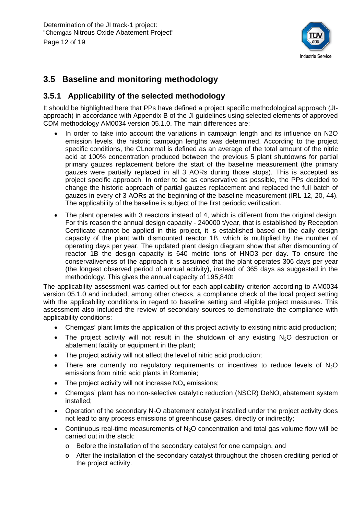

#### **3.5 Baseline and monitoring methodology**

#### **3.5.1 Applicability of the selected methodology**

It should be highlighted here that PPs have defined a project specific methodological approach (JIapproach) in accordance with Appendix B of the JI guidelines using selected elements of approved CDM methodology AM0034 version 05.1.0. The main differences are:

- In order to take into account the variations in campaign length and its influence on N2O emission levels, the historic campaign lengths was determined. According to the project specific conditions, the CLnormal is defined as an average of the total amount of the nitric acid at 100% concentration produced between the previous 5 plant shutdowns for partial primary gauzes replacement before the start of the baseline measurement (the primary gauzes were partially replaced in all 3 AORs during those stops). This is accepted as project specific approach. In order to be as conservative as possible, the PPs decided to change the historic approach of partial gauzes replacement and replaced the full batch of gauzes in every of 3 AORs at the beginning of the baseline measurement (IRL 12, 20, 44). The applicability of the baseline is subject of the first periodic verification.
- The plant operates with 3 reactors instead of 4, which is different from the original design. For this reason the annual design capacity - 240000 t/year, that is established by Reception Certificate cannot be applied in this project, it is established based on the daily design capacity of the plant with dismounted reactor 1B, which is multiplied by the number of operating days per year. The updated plant design diagram show that after dismounting of reactor 1B the design capacity is 640 metric tons of HNO3 per day. To ensure the conservativeness of the approach it is assumed that the plant operates 306 days per year (the longest observed period of annual activity), instead of 365 days as suggested in the methodology. This gives the annual capacity of 195,840t

The applicability assessment was carried out for each applicability criterion according to AM0034 version 05.1.0 and included, among other checks, a compliance check of the local project setting with the applicability conditions in regard to baseline setting and eligible project measures. This assessment also included the review of secondary sources to demonstrate the compliance with applicability conditions:

- Chemgas' plant limits the application of this project activity to existing nitric acid production;
- The project activity will not result in the shutdown of any existing  $N_2O$  destruction or abatement facility or equipment in the plant;
- The project activity will not affect the level of nitric acid production;
- There are currently no regulatory requirements or incentives to reduce levels of  $N<sub>2</sub>O$ emissions from nitric acid plants in Romania;
- $\bullet$  The project activity will not increase NO<sub>x</sub> emissions:
- Chemgas' plant has no non-selective catalytic reduction (NSCR) DeNO<sub>x</sub> abatement system installed;
- Operation of the secondary  $N_2O$  abatement catalyst installed under the project activity does not lead to any process emissions of greenhouse gases, directly or indirectly;
- Continuous real-time measurements of  $N<sub>2</sub>O$  concentration and total gas volume flow will be carried out in the stack:
	- o Before the installation of the secondary catalyst for one campaign, and
	- o After the installation of the secondary catalyst throughout the chosen crediting period of the project activity.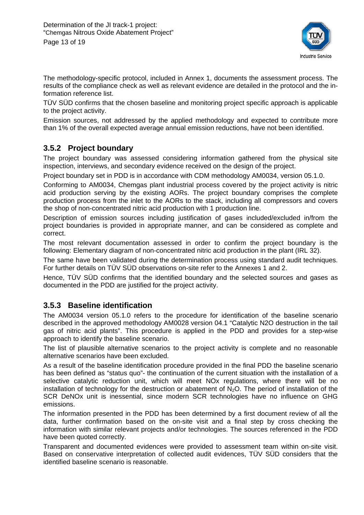

The methodology-specific protocol, included in Annex 1, documents the assessment process. The results of the compliance check as well as relevant evidence are detailed in the protocol and the information reference list.

TÜV SÜD confirms that the chosen baseline and monitoring project specific approach is applicable to the project activity.

Emission sources, not addressed by the applied methodology and expected to contribute more than 1% of the overall expected average annual emission reductions, have not been identified.

#### **3.5.2 Project boundary**

The project boundary was assessed considering information gathered from the physical site inspection, interviews, and secondary evidence received on the design of the project.

Project boundary set in PDD is in accordance with CDM methodology AM0034, version 05.1.0.

Conforming to AM0034, Chemgas plant industrial process covered by the project activity is nitric acid production serving by the existing AORs. The project boundary comprises the complete production process from the inlet to the AORs to the stack, including all compressors and covers the shop of non-concentrated nitric acid production with 1 production line.

Description of emission sources including justification of gases included/excluded in/from the project boundaries is provided in appropriate manner, and can be considered as complete and correct.

The most relevant documentation assessed in order to confirm the project boundary is the following: Elementary diagram of non-concentrated nitric acid production in the plant (IRL 32).

The same have been validated during the determination process using standard audit techniques. For further details on TÜV SÜD observations on-site refer to the Annexes 1 and 2.

Hence, TÜV SÜD confirms that the identified boundary and the selected sources and gases as documented in the PDD are justified for the project activity.

#### **3.5.3 Baseline identification**

The AM0034 version 05.1.0 refers to the procedure for identification of the baseline scenario described in the approved methodology AM0028 version 04.1 "Catalytic N2O destruction in the tail gas of nitric acid plants". This procedure is applied in the PDD and provides for a step-wise approach to identify the baseline scenario.

The list of plausible alternative scenarios to the project activity is complete and no reasonable alternative scenarios have been excluded.

As a result of the baseline identification procedure provided in the final PDD the baseline scenario has been defined as "status quo"- the continuation of the current situation with the installation of a selective catalytic reduction unit, which will meet NOx regulations, where there will be no installation of technology for the destruction or abatement of  $N<sub>2</sub>O$ . The period of installation of the SCR DeNOx unit is inessential, since modern SCR technologies have no influence on GHG emissions.

The information presented in the PDD has been determined by a first document review of all the data, further confirmation based on the on-site visit and a final step by cross checking the information with similar relevant projects and/or technologies. The sources referenced in the PDD have been quoted correctly.

Transparent and documented evidences were provided to assessment team within on-site visit. Based on conservative interpretation of collected audit evidences, TÜV SÜD considers that the identified baseline scenario is reasonable.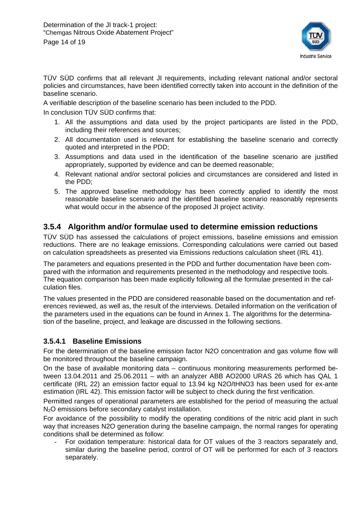

TÜV SÜD confirms that all relevant JI requirements, including relevant national and/or sectoral policies and circumstances, have been identified correctly taken into account in the definition of the baseline scenario.

A verifiable description of the baseline scenario has been included to the PDD.

In conclusion TÜV SÜD confirms that:

- 1. All the assumptions and data used by the project participants are listed in the PDD, including their references and sources;
- 2. All documentation used is relevant for establishing the baseline scenario and correctly quoted and interpreted in the PDD;
- 3. Assumptions and data used in the identification of the baseline scenario are justified appropriately, supported by evidence and can be deemed reasonable;
- 4. Relevant national and/or sectoral policies and circumstances are considered and listed in the PDD;
- 5. The approved baseline methodology has been correctly applied to identify the most reasonable baseline scenario and the identified baseline scenario reasonably represents what would occur in the absence of the proposed JI project activity.

#### **3.5.4 Algorithm and/or formulae used to determine emission reductions**

TÜV SÜD has assessed the calculations of project emissions, baseline emissions and emission reductions. There are no leakage emissions. Corresponding calculations were carried out based on calculation spreadsheets as presented via Emissions reductions calculation sheet (IRL 41).

The parameters and equations presented in the PDD and further documentation have been compared with the information and requirements presented in the methodology and respective tools. The equation comparison has been made explicitly following all the formulae presented in the calculation files.

The values presented in the PDD are considered reasonable based on the documentation and references reviewed, as well as, the result of the interviews. Detailed information on the verification of the parameters used in the equations can be found in Annex 1. The algorithms for the determination of the baseline, project, and leakage are discussed in the following sections.

#### **3.5.4.1 Baseline Emissions**

For the determination of the baseline emission factor N2O concentration and gas volume flow will be monitored throughout the baseline campaign.

On the base of available monitoring data – continuous monitoring measurements performed between 13.04.2011 and 25.06.2011 – with an analyzer ABB AO2000 URAS 26 which has QAL 1 certificate (IRL 22) an emission factor equal to 13.94 kg N2O/tHNO3 has been used for ex-ante estimation (IRL 42). This emission factor will be subject to check during the first verification.

Permitted ranges of operational parameters are established for the period of measuring the actual N<sub>2</sub>O emissions before secondary catalyst installation.

For avoidance of the possibility to modify the operating conditions of the nitric acid plant in such way that increases N2O generation during the baseline campaign, the normal ranges for operating conditions shall be determined as follow:

- For oxidation temperature: historical data for OT values of the 3 reactors separately and, similar during the baseline period, control of OT will be performed for each of 3 reactors separately.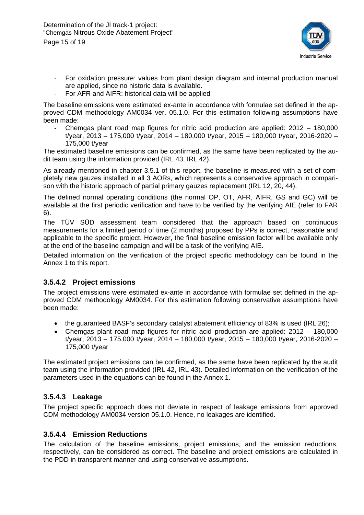

- For oxidation pressure: values from plant design diagram and internal production manual are applied, since no historic data is available.
- For AFR and AIFR: historical data will be applied

The baseline emissions were estimated ex-ante in accordance with formulae set defined in the approved CDM methodology AM0034 ver. 05.1.0. For this estimation following assumptions have been made:

Chemgas plant road map figures for nitric acid production are applied:  $2012 - 180,000$ t/year, 2013 – 175,000 t/year, 2014 – 180,000 t/year, 2015 – 180,000 t/year, 2016-2020 – 175,000 t/year

The estimated baseline emissions can be confirmed, as the same have been replicated by the audit team using the information provided (IRL 43, IRL 42).

As already mentioned in chapter 3.5.1 of this report, the baseline is measured with a set of completely new gauzes installed in all 3 AORs, which represents a conservative approach in comparison with the historic approach of partial primary gauzes replacement (IRL 12, 20, 44).

The defined normal operating conditions (the normal OP, OT, AFR, AIFR, GS and GC) will be available at the first periodic verification and have to be verified by the verifying AIE (refer to FAR 6).

The TÜV SÜD assessment team considered that the approach based on continuous measurements for a limited period of time (2 months) proposed by PPs is correct, reasonable and applicable to the specific project. However, the final baseline emission factor will be available only at the end of the baseline campaign and will be a task of the verifying AIE.

Detailed information on the verification of the project specific methodology can be found in the Annex 1 to this report.

#### **3.5.4.2 Project emissions**

The project emissions were estimated ex-ante in accordance with formulae set defined in the approved CDM methodology AM0034. For this estimation following conservative assumptions have been made:

- the guaranteed BASF's secondary catalyst abatement efficiency of 83% is used (IRL 26);
- Chemgas plant road map figures for nitric acid production are applied: 2012 180,000 t/year, 2013 – 175,000 t/year, 2014 – 180,000 t/year, 2015 – 180,000 t/year, 2016-2020 – 175,000 t/year

The estimated project emissions can be confirmed, as the same have been replicated by the audit team using the information provided (IRL 42, IRL 43). Detailed information on the verification of the parameters used in the equations can be found in the Annex 1.

#### **3.5.4.3 Leakage**

The project specific approach does not deviate in respect of leakage emissions from approved CDM methodology AM0034 version 05.1.0. Hence, no leakages are identified.

#### **3.5.4.4 Emission Reductions**

The calculation of the baseline emissions, project emissions, and the emission reductions, respectively, can be considered as correct. The baseline and project emissions are calculated in the PDD in transparent manner and using conservative assumptions.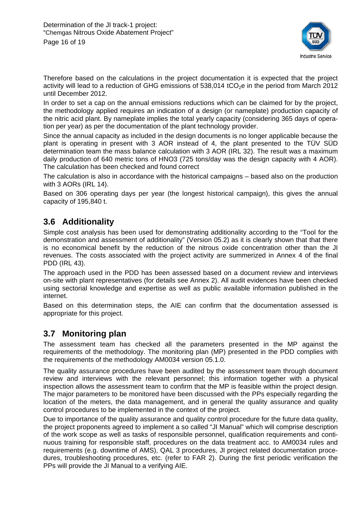

Therefore based on the calculations in the project documentation it is expected that the project activity will lead to a reduction of GHG emissions of  $538,014$  tCO<sub>2</sub>e in the period from March 2012 until December 2012.

In order to set a cap on the annual emissions reductions which can be claimed for by the project, the methodology applied requires an indication of a design (or nameplate) production capacity of the nitric acid plant. By nameplate implies the total yearly capacity (considering 365 days of operation per year) as per the documentation of the plant technology provider.

Since the annual capacity as included in the design documents is no longer applicable because the plant is operating in present with 3 AOR instead of 4, the plant presented to the TÜV SÜD determination team the mass balance calculation with 3 AOR (IRL 32). The result was a maximum daily production of 640 metric tons of HNO3 (725 tons/day was the design capacity with 4 AOR). The calculation has been checked and found correct

The calculation is also in accordance with the historical campaigns – based also on the production with 3 AORs (IRL 14).

Based on 306 operating days per year (the longest historical campaign), this gives the annual capacity of 195,840 t.

#### **3.6 Additionality**

Simple cost analysis has been used for demonstrating additionality according to the "Tool for the demonstration and assessment of additionality" (Version 05.2) as it is clearly shown that that there is no economical benefit by the reduction of the nitrous oxide concentration other than the JI revenues. The costs associated with the project activity are summerized in Annex 4 of the final PDD (IRL 43).

The approach used in the PDD has been assessed based on a document review and interviews on-site with plant representatives (for details see Annex 2). All audit evidences have been checked using sectorial knowledge and expertise as well as public available information published in the internet.

Based on this determination steps, the AIE can confirm that the documentation assessed is appropriate for this project.

#### **3.7 Monitoring plan**

The assessment team has checked all the parameters presented in the MP against the requirements of the methodology. The monitoring plan (MP) presented in the PDD complies with the requirements of the methodology AM0034 version 05.1.0.

The quality assurance procedures have been audited by the assessment team through document review and interviews with the relevant personnel; this information together with a physical inspection allows the assessment team to confirm that the MP is feasible within the project design. The major parameters to be monitored have been discussed with the PPs especially regarding the location of the meters, the data management, and in general the quality assurance and quality control procedures to be implemented in the context of the project.

Due to importance of the quality assurance and quality control procedure for the future data quality, the project proponents agreed to implement a so called "JI Manual" which will comprise description of the work scope as well as tasks of responsible personnel, qualification requirements and continuous training for responsible staff, procedures on the data treatment acc. to AM0034 rules and requirements (e.g. downtime of AMS), QAL 3 procedures, JI project related documentation procedures, troubleshooting procedures, etc. (refer to FAR 2). During the first periodic verification the PPs will provide the JI Manual to a verifying AIE.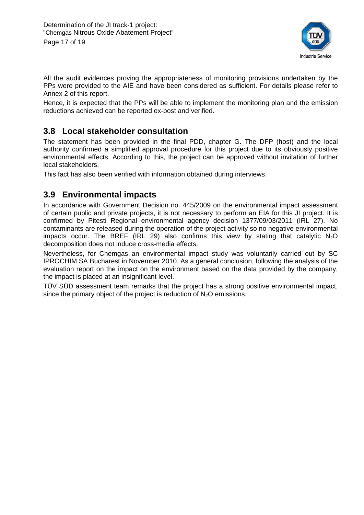

All the audit evidences proving the appropriateness of monitoring provisions undertaken by the PPs were provided to the AIE and have been considered as sufficient. For details please refer to Annex 2 of this report.

Hence, it is expected that the PPs will be able to implement the monitoring plan and the emission reductions achieved can be reported ex-post and verified.

#### **3.8 Local stakeholder consultation**

The statement has been provided in the final PDD, chapter G. The DFP (host) and the local authority confirmed a simplified approval procedure for this project due to its obviously positive environmental effects. According to this, the project can be approved without invitation of further local stakeholders.

This fact has also been verified with information obtained during interviews.

#### **3.9 Environmental impacts**

In accordance with Government Decision no. 445/2009 on the environmental impact assessment of certain public and private projects, it is not necessary to perform an EIA for this JI project. It is confirmed by Pitesti Regional environmental agency decision 1377/09/03/2011 (IRL 27). No contaminants are released during the operation of the project activity so no negative environmental impacts occur. The BREF (IRL 29) also confirms this view by stating that catalytic  $N_2O$ decomposition does not induce cross-media effects.

Nevertheless, for Chemgas an environmental impact study was voluntarily carried out by SC IPROCHIM SA Bucharest in November 2010. As a general conclusion, following the analysis of the evaluation report on the impact on the environment based on the data provided by the company, the impact is placed at an insignificant level.

TÜV SÜD assessment team remarks that the project has a strong positive environmental impact, since the primary object of the project is reduction of  $N<sub>2</sub>O$  emissions.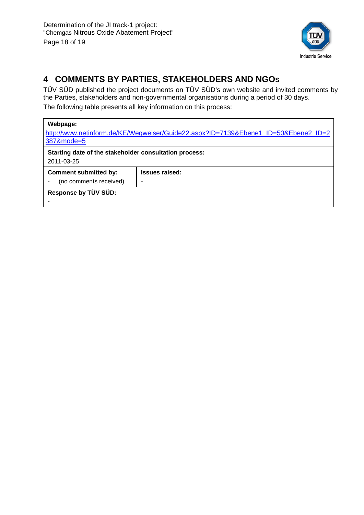

### **4 COMMENTS BY PARTIES, STAKEHOLDERS AND NGOS**

TÜV SÜD published the project documents on TÜV SÜD's own website and invited comments by the Parties, stakeholders and non-governmental organisations during a period of 30 days. The following table presents all key information on this process:

#### **Webpage:**

| http://www.netinform.de/KE/Wegweiser/Guide22.aspx?ID=7139&Ebene1_ID=50&Ebene2_ID=2<br>387&mode=5 |                                                        |  |  |  |  |
|--------------------------------------------------------------------------------------------------|--------------------------------------------------------|--|--|--|--|
|                                                                                                  | Starting date of the stakeholder consultation process: |  |  |  |  |
| 2011-03-25                                                                                       |                                                        |  |  |  |  |
| <b>Comment submitted by:</b>                                                                     | <b>Issues raised:</b>                                  |  |  |  |  |
| (no comments received)                                                                           |                                                        |  |  |  |  |
| Response by TÜV SÜD:                                                                             |                                                        |  |  |  |  |
|                                                                                                  |                                                        |  |  |  |  |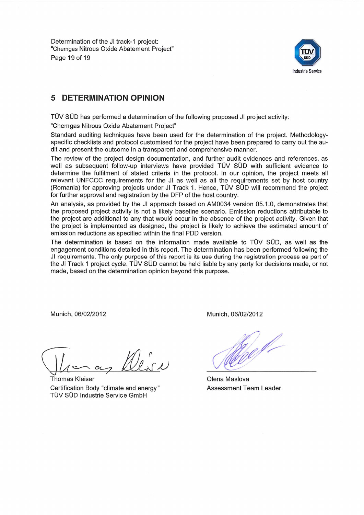Determination of the JI track-1 project: "Chemgas Nitrous Oxide Abatement Project" Page 19 of 19



#### **DETERMINATION OPINION** 5

TÜV SÜD has performed a determination of the following proposed JI project activity:

"Chemgas Nitrous Oxide Abatement Project"

Standard auditing techniques have been used for the determination of the project. Methodologyspecific checklists and protocol customised for the project have been prepared to carry out the audit and present the outcome in a transparent and comprehensive manner.

The review of the project design documentation, and further audit evidences and references, as well as subsequent follow-up interviews have provided TÜV SÜD with sufficient evidence to determine the fulfilment of stated criteria in the protocol. In our opinion, the project meets all relevant UNFCCC requirements for the JI as well as all the requirements set by host country (Romania) for approving projects under JI Track 1. Hence, TÜV SÜD will recommend the project for further approval and registration by the DFP of the host country.

An analysis, as provided by the JI approach based on AM0034 version 05.1.0, demonstrates that the proposed project activity is not a likely baseline scenario. Emission reductions attributable to the project are additional to any that would occur in the absence of the project activity. Given that the project is implemented as designed, the project is likely to achieve the estimated amount of emission reductions as specified within the final PDD version.

The determination is based on the information made available to TÜV SÜD, as well as the engagement conditions detailed in this report. The determination has been performed following the JI requirements. The only purpose of this report is its use during the registration process as part of the JI Track 1 project cycle. TUV SUD cannot be held liable by any party for decisions made, or not made, based on the determination opinion beyond this purpose.

Munich, 06/02/2012

Munich, 06/02/2012

Thomas Kleiser Certification Body "climate and energy" TÜV SÜD Industrie Service GmbH

Olena Maslova **Assessment Team Leader**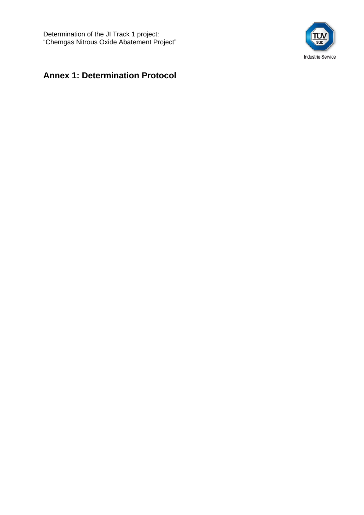Determination of the JI Track 1 project: "Chemgas Nitrous Oxide Abatement Project"



### **Annex 1: Determination Protocol**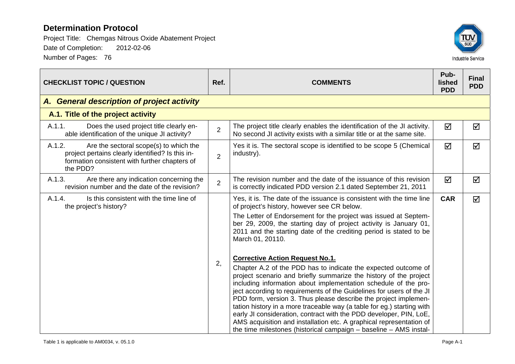

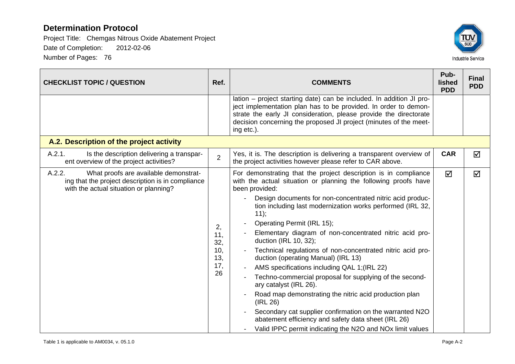

| <b>CHECKLIST TOPIC / QUESTION</b>                                                                                                              |                                             | <b>COMMENTS</b>                                                                                                                                                                                                                                                                                                                                                                                                                                                                                                                                                                                                                                                                                                                                                                                                                                                                                                      | Pub-<br>lished<br><b>PDD</b> | <b>Final</b><br><b>PDD</b> |
|------------------------------------------------------------------------------------------------------------------------------------------------|---------------------------------------------|----------------------------------------------------------------------------------------------------------------------------------------------------------------------------------------------------------------------------------------------------------------------------------------------------------------------------------------------------------------------------------------------------------------------------------------------------------------------------------------------------------------------------------------------------------------------------------------------------------------------------------------------------------------------------------------------------------------------------------------------------------------------------------------------------------------------------------------------------------------------------------------------------------------------|------------------------------|----------------------------|
|                                                                                                                                                |                                             | lation – project starting date) can be included. In addition JI pro-<br>ject implementation plan has to be provided. In order to demon-<br>strate the early JI consideration, please provide the directorate<br>decision concerning the proposed JI project (minutes of the meet-<br>ing etc.).                                                                                                                                                                                                                                                                                                                                                                                                                                                                                                                                                                                                                      |                              |                            |
| A.2. Description of the project activity                                                                                                       |                                             |                                                                                                                                                                                                                                                                                                                                                                                                                                                                                                                                                                                                                                                                                                                                                                                                                                                                                                                      |                              |                            |
| A.2.1.<br>Is the description delivering a transpar-<br>ent overview of the project activities?                                                 | $\overline{2}$                              | Yes, it is. The description is delivering a transparent overview of<br>the project activities however please refer to CAR above.                                                                                                                                                                                                                                                                                                                                                                                                                                                                                                                                                                                                                                                                                                                                                                                     | <b>CAR</b>                   | ☑                          |
| A.2.2.<br>What proofs are available demonstrat-<br>ing that the project description is in compliance<br>with the actual situation or planning? | 2,<br>11,<br>32,<br>10,<br>13,<br>17,<br>26 | For demonstrating that the project description is in compliance<br>with the actual situation or planning the following proofs have<br>been provided:<br>Design documents for non-concentrated nitric acid produc-<br>tion including last modernization works performed (IRL 32,<br>11);<br>Operating Permit (IRL 15);<br>Elementary diagram of non-concentrated nitric acid pro-<br>duction (IRL 10, 32);<br>Technical regulations of non-concentrated nitric acid pro-<br>duction (operating Manual) (IRL 13)<br>AMS specifications including QAL 1;(IRL 22)<br>Techno-commercial proposal for supplying of the second-<br>ary catalyst (IRL 26).<br>Road map demonstrating the nitric acid production plan<br>(IRL 26)<br>Secondary cat supplier confirmation on the warranted N2O<br>abatement efficiency and safety data sheet (IRL 26)<br>Valid IPPC permit indicating the N2O and NO <sub>x</sub> limit values | ☑                            | ☑                          |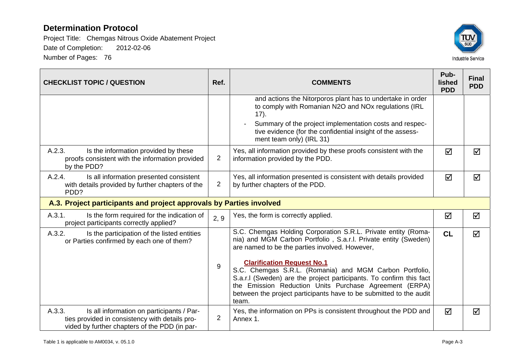

| <b>CHECKLIST TOPIC / QUESTION</b>                                                                                                                      | Ref.                                                                | <b>COMMENTS</b>                                                                                                                                                                                                                                                                                                                                                                                                                                                                                    |   | <b>Final</b><br><b>PDD</b> |  |
|--------------------------------------------------------------------------------------------------------------------------------------------------------|---------------------------------------------------------------------|----------------------------------------------------------------------------------------------------------------------------------------------------------------------------------------------------------------------------------------------------------------------------------------------------------------------------------------------------------------------------------------------------------------------------------------------------------------------------------------------------|---|----------------------------|--|
|                                                                                                                                                        |                                                                     | and actions the Nitorporos plant has to undertake in order<br>to comply with Romanian N2O and NOx regulations (IRL<br>17).<br>Summary of the project implementation costs and respec-<br>tive evidence (for the confidential insight of the assess-<br>ment team only) (IRL 31)                                                                                                                                                                                                                    |   |                            |  |
| A.2.3.<br>Is the information provided by these<br>proofs consistent with the information provided<br>by the PDD?                                       | $\overline{2}$                                                      | Yes, all information provided by these proofs consistent with the<br>information provided by the PDD.                                                                                                                                                                                                                                                                                                                                                                                              |   | ☑                          |  |
| A.2.4.<br>Is all information presented consistent<br>with details provided by further chapters of the<br>PDD?                                          | $\overline{2}$                                                      | Yes, all information presented is consistent with details provided<br>by further chapters of the PDD.                                                                                                                                                                                                                                                                                                                                                                                              |   | ☑                          |  |
|                                                                                                                                                        | A.3. Project participants and project approvals by Parties involved |                                                                                                                                                                                                                                                                                                                                                                                                                                                                                                    |   |                            |  |
| A.3.1.<br>Is the form required for the indication of<br>project participants correctly applied?                                                        | 2, 9                                                                | Yes, the form is correctly applied.                                                                                                                                                                                                                                                                                                                                                                                                                                                                | ☑ | ☑                          |  |
| A.3.2.<br>Is the participation of the listed entities<br>or Parties confirmed by each one of them?                                                     | 9                                                                   | S.C. Chemgas Holding Corporation S.R.L. Private entity (Roma-<br>nia) and MGM Carbon Portfolio, S.a.r.l. Private entity (Sweden)<br>are named to be the parties involved. However,<br><b>Clarification Request No.1</b><br>S.C. Chemgas S.R.L. (Romania) and MGM Carbon Portfolio,<br>S.a.r.I (Sweden) are the project participants. To confirm this fact<br>the Emission Reduction Units Purchase Agreement (ERPA)<br>between the project participants have to be submitted to the audit<br>team. |   | ☑                          |  |
| A.3.3.<br>Is all information on participants / Par-<br>ties provided in consistency with details pro-<br>vided by further chapters of the PDD (in par- | $\overline{2}$                                                      | Yes, the information on PPs is consistent throughout the PDD and<br>Annex 1.                                                                                                                                                                                                                                                                                                                                                                                                                       | ☑ | ☑                          |  |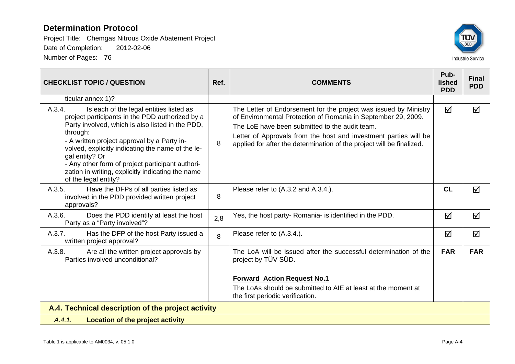

| <b>CHECKLIST TOPIC / QUESTION</b>                                                                                                                                                                                                                                                                                                                                                                                           |     | <b>COMMENTS</b>                                                                                                                                                                                                                                                                                                                  | Pub-<br><b>lished</b><br><b>PDD</b> | <b>Final</b><br><b>PDD</b> |
|-----------------------------------------------------------------------------------------------------------------------------------------------------------------------------------------------------------------------------------------------------------------------------------------------------------------------------------------------------------------------------------------------------------------------------|-----|----------------------------------------------------------------------------------------------------------------------------------------------------------------------------------------------------------------------------------------------------------------------------------------------------------------------------------|-------------------------------------|----------------------------|
| ticular annex 1)?                                                                                                                                                                                                                                                                                                                                                                                                           |     |                                                                                                                                                                                                                                                                                                                                  |                                     |                            |
| A.3.4.<br>Is each of the legal entities listed as<br>project participants in the PDD authorized by a<br>Party involved, which is also listed in the PDD,<br>through:<br>- A written project approval by a Party in-<br>volved, explicitly indicating the name of the le-<br>gal entity? Or<br>- Any other form of project participant authori-<br>zation in writing, explicitly indicating the name<br>of the legal entity? | 8   | The Letter of Endorsement for the project was issued by Ministry<br>of Environmental Protection of Romania in September 29, 2009.<br>The LoE have been submitted to the audit team.<br>Letter of Approvals from the host and investment parties will be<br>applied for after the determination of the project will be finalized. | $\blacktriangledown$                | ☑                          |
| A.3.5.<br>Have the DFPs of all parties listed as<br>involved in the PDD provided written project<br>approvals?                                                                                                                                                                                                                                                                                                              | 8   | Please refer to (A.3.2 and A.3.4.).                                                                                                                                                                                                                                                                                              | CL                                  | ☑                          |
| A.3.6.<br>Does the PDD identify at least the host<br>Party as a "Party involved"?                                                                                                                                                                                                                                                                                                                                           | 2,8 | Yes, the host party- Romania- is identified in the PDD.                                                                                                                                                                                                                                                                          | ☑                                   | ☑                          |
| A.3.7.<br>Has the DFP of the host Party issued a<br>written project approval?                                                                                                                                                                                                                                                                                                                                               | 8   | Please refer to (A.3.4.).                                                                                                                                                                                                                                                                                                        | ☑                                   | ☑                          |
| Are all the written project approvals by<br>A.3.8.<br>Parties involved unconditional?                                                                                                                                                                                                                                                                                                                                       |     | The LoA will be issued after the successful determination of the<br>project by TÜV SÜD.<br><b>Forward Action Request No.1</b><br>The LoAs should be submitted to AIE at least at the moment at                                                                                                                                   | <b>FAR</b>                          | <b>FAR</b>                 |
|                                                                                                                                                                                                                                                                                                                                                                                                                             |     | the first periodic verification.                                                                                                                                                                                                                                                                                                 |                                     |                            |
| A.4. Technical description of the project activity                                                                                                                                                                                                                                                                                                                                                                          |     |                                                                                                                                                                                                                                                                                                                                  |                                     |                            |
| <b>Location of the project activity</b><br>A.4.1.                                                                                                                                                                                                                                                                                                                                                                           |     |                                                                                                                                                                                                                                                                                                                                  |                                     |                            |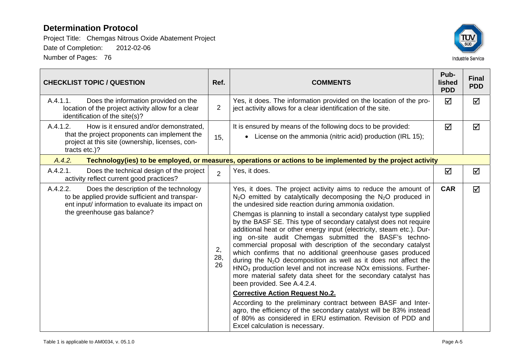

| <b>CHECKLIST TOPIC / QUESTION</b>                                                                                                                                                       |                | <b>COMMENTS</b>                                                                                                                                                                                                                                                                                                                                                                                                                                                                                                                                                                                                                                                                                                                                                                                                                                                                                                                                                                                                                                                                                                                                                | Pub-<br>lished<br><b>PDD</b> | <b>Final</b><br><b>PDD</b> |
|-----------------------------------------------------------------------------------------------------------------------------------------------------------------------------------------|----------------|----------------------------------------------------------------------------------------------------------------------------------------------------------------------------------------------------------------------------------------------------------------------------------------------------------------------------------------------------------------------------------------------------------------------------------------------------------------------------------------------------------------------------------------------------------------------------------------------------------------------------------------------------------------------------------------------------------------------------------------------------------------------------------------------------------------------------------------------------------------------------------------------------------------------------------------------------------------------------------------------------------------------------------------------------------------------------------------------------------------------------------------------------------------|------------------------------|----------------------------|
| A.4.1.1.<br>Does the information provided on the<br>location of the project activity allow for a clear<br>identification of the site(s)?                                                |                | Yes, it does. The information provided on the location of the pro-<br>ject activity allows for a clear identification of the site.                                                                                                                                                                                                                                                                                                                                                                                                                                                                                                                                                                                                                                                                                                                                                                                                                                                                                                                                                                                                                             | ☑                            | $\blacktriangledown$       |
| A.4.1.2.<br>How is it ensured and/or demonstrated.<br>that the project proponents can implement the<br>project at this site (ownership, licenses, con-<br>tracts etc.)?                 |                | It is ensured by means of the following docs to be provided:<br>• License on the ammonia (nitric acid) production (IRL 15);                                                                                                                                                                                                                                                                                                                                                                                                                                                                                                                                                                                                                                                                                                                                                                                                                                                                                                                                                                                                                                    | ☑                            | $\blacktriangledown$       |
| A.4.2.<br>Technology(ies) to be employed, or measures, operations or actions to be implemented by the project activity                                                                  |                |                                                                                                                                                                                                                                                                                                                                                                                                                                                                                                                                                                                                                                                                                                                                                                                                                                                                                                                                                                                                                                                                                                                                                                |                              |                            |
| A.4.2.1.<br>Does the technical design of the project<br>activity reflect current good practices?                                                                                        | $\overline{2}$ | Yes, it does.                                                                                                                                                                                                                                                                                                                                                                                                                                                                                                                                                                                                                                                                                                                                                                                                                                                                                                                                                                                                                                                                                                                                                  | ☑                            | ☑                          |
| A.4.2.2.<br>Does the description of the technology<br>to be applied provide sufficient and transpar-<br>ent input/ information to evaluate its impact on<br>the greenhouse gas balance? |                | Yes, it does. The project activity aims to reduce the amount of<br>$N_2O$ emitted by catalytically decomposing the $N_2O$ produced in<br>the undesired side reaction during ammonia oxidation.<br>Chemgas is planning to install a secondary catalyst type supplied<br>by the BASF SE. This type of secondary catalyst does not require<br>additional heat or other energy input (electricity, steam etc.). Dur-<br>ing on-site audit Chemgas submitted the BASF's techno-<br>commercial proposal with description of the secondary catalyst<br>which confirms that no additional greenhouse gases produced<br>during the $N_2O$ decomposition as well as it does not affect the<br>HNO <sub>3</sub> production level and not increase NO <sub>x</sub> emissions. Further-<br>more material safety data sheet for the secondary catalyst has<br>been provided. See A.4.2.4.<br><b>Corrective Action Request No.2.</b><br>According to the preliminary contract between BASF and Inter-<br>agro, the efficiency of the secondary catalyst will be 83% instead<br>of 80% as considered in ERU estimation. Revision of PDD and<br>Excel calculation is necessary. | <b>CAR</b>                   | ☑                          |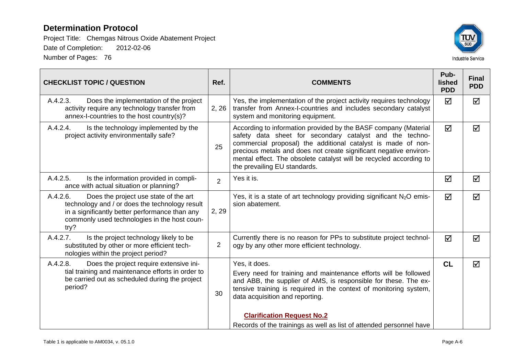

| <b>CHECKLIST TOPIC / QUESTION</b>                                                                                                                                                                             | Ref.           | <b>COMMENTS</b>                                                                                                                                                                                                                                                                                                                                                          |           | <b>Final</b><br><b>PDD</b> |
|---------------------------------------------------------------------------------------------------------------------------------------------------------------------------------------------------------------|----------------|--------------------------------------------------------------------------------------------------------------------------------------------------------------------------------------------------------------------------------------------------------------------------------------------------------------------------------------------------------------------------|-----------|----------------------------|
| A.4.2.3.<br>Does the implementation of the project<br>activity require any technology transfer from<br>annex-I-countries to the host country(s)?                                                              | 2, 26          | Yes, the implementation of the project activity requires technology<br>transfer from Annex-I-countries and includes secondary catalyst<br>system and monitoring equipment.                                                                                                                                                                                               | ☑         | ☑                          |
| A.4.2.4.<br>Is the technology implemented by the<br>project activity environmentally safe?                                                                                                                    | 25             | According to information provided by the BASF company (Material<br>safety data sheet for secondary catalyst and the techno-<br>commercial proposal) the additional catalyst is made of non-<br>precious metals and does not create significant negative environ-<br>mental effect. The obsolete catalyst will be recycled according to<br>the prevailing EU standards.   |           | ☑                          |
| A.4.2.5.<br>Is the information provided in compli-<br>ance with actual situation or planning?                                                                                                                 | $\overline{2}$ | Yes it is.                                                                                                                                                                                                                                                                                                                                                               |           | ☑                          |
| A.4.2.6.<br>Does the project use state of the art<br>technology and / or does the technology result<br>in a significantly better performance than any<br>commonly used technologies in the host coun-<br>try? | 2, 29          | Yes, it is a state of art technology providing significant $N_2O$ emis-<br>sion abatement.                                                                                                                                                                                                                                                                               |           | ☑                          |
| A.4.2.7.<br>Is the project technology likely to be<br>substituted by other or more efficient tech-<br>nologies within the project period?                                                                     | $\overline{2}$ | Currently there is no reason for PPs to substitute project technol-<br>ogy by any other more efficient technology.                                                                                                                                                                                                                                                       |           | ☑                          |
| A.4.2.8.<br>Does the project require extensive ini-<br>tial training and maintenance efforts in order to<br>be carried out as scheduled during the project<br>period?                                         |                | Yes, it does.<br>Every need for training and maintenance efforts will be followed<br>and ABB, the supplier of AMS, is responsible for these. The ex-<br>tensive training is required in the context of monitoring system,<br>data acquisition and reporting.<br><b>Clarification Request No.2</b><br>Records of the trainings as well as list of attended personnel have | <b>CL</b> | ☑                          |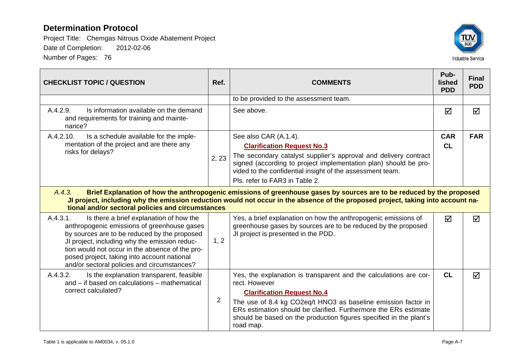

| <b>CHECKLIST TOPIC / QUESTION</b>                                                                                                                                                                                                                                                                                                                    | Ref.  | <b>COMMENTS</b>                                                                                                                                                                                                                                                                                                                                 |                      | <b>Final</b><br><b>PDD</b> |  |  |
|------------------------------------------------------------------------------------------------------------------------------------------------------------------------------------------------------------------------------------------------------------------------------------------------------------------------------------------------------|-------|-------------------------------------------------------------------------------------------------------------------------------------------------------------------------------------------------------------------------------------------------------------------------------------------------------------------------------------------------|----------------------|----------------------------|--|--|
|                                                                                                                                                                                                                                                                                                                                                      |       | to be provided to the assessment team.                                                                                                                                                                                                                                                                                                          |                      |                            |  |  |
| Is information available on the demand<br>A.4.2.9.<br>and requirements for training and mainte-<br>nance?                                                                                                                                                                                                                                            |       | See above.                                                                                                                                                                                                                                                                                                                                      | ☑                    | ☑                          |  |  |
| A.4.2.10.<br>Is a schedule available for the imple-                                                                                                                                                                                                                                                                                                  |       | See also CAR (A.1.4).                                                                                                                                                                                                                                                                                                                           | <b>CAR</b>           | <b>FAR</b>                 |  |  |
| mentation of the project and are there any<br>risks for delays?                                                                                                                                                                                                                                                                                      |       | <b>Clarification Request No.3</b>                                                                                                                                                                                                                                                                                                               | CL                   |                            |  |  |
|                                                                                                                                                                                                                                                                                                                                                      | 2, 23 | The secondary catalyst supplier's approval and delivery contract<br>signed (according to project implementation plan) should be pro-<br>vided to the confidential insight of the assessment team.                                                                                                                                               |                      |                            |  |  |
|                                                                                                                                                                                                                                                                                                                                                      |       | Pls. refer to FAR3 in Table 2.                                                                                                                                                                                                                                                                                                                  |                      |                            |  |  |
| Brief Explanation of how the anthropogenic emissions of greenhouse gases by sources are to be reduced by the proposed<br>A.4.3.<br>Ul project, including why the emission reduction would not occur in the absence of the proposed project, taking into account na-<br>tional and/or sectoral policies and circumstances                             |       |                                                                                                                                                                                                                                                                                                                                                 |                      |                            |  |  |
| A.4.3.1.<br>Is there a brief explanation of how the<br>anthropogenic emissions of greenhouse gases<br>by sources are to be reduced by the proposed<br>JI project, including why the emission reduc-<br>tion would not occur in the absence of the pro-<br>posed project, taking into account national<br>and/or sectoral policies and circumstances? | 1, 2  | Yes, a brief explanation on how the anthropogenic emissions of<br>greenhouse gases by sources are to be reduced by the proposed<br>JI project is presented in the PDD.                                                                                                                                                                          | $\blacktriangledown$ | ☑                          |  |  |
| A.4.3.2.<br>Is the explanation transparent, feasible<br>and – if based on calculations – mathematical<br>correct calculated?                                                                                                                                                                                                                         |       | Yes, the explanation is transparent and the calculations are cor-<br>rect. However<br><b>Clarification Request No.4</b><br>The use of 8.4 kg CO2eq/t HNO3 as baseline emission factor in<br>ERs estimation should be clarified. Furthermore the ERs estimate<br>should be based on the production figures specified in the plant's<br>road map. | <b>CL</b>            | ☑                          |  |  |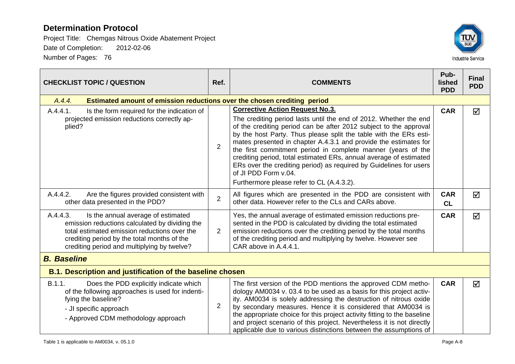

| <b>CHECKLIST TOPIC / QUESTION</b>                                                                                                                                                                                                              |                | <b>COMMENTS</b>                                                                                                                                                                                                                                                                                                                                                                                                                                                                                                                                               | Pub-<br>lished<br><b>PDD</b> | <b>Final</b><br><b>PDD</b> |
|------------------------------------------------------------------------------------------------------------------------------------------------------------------------------------------------------------------------------------------------|----------------|---------------------------------------------------------------------------------------------------------------------------------------------------------------------------------------------------------------------------------------------------------------------------------------------------------------------------------------------------------------------------------------------------------------------------------------------------------------------------------------------------------------------------------------------------------------|------------------------------|----------------------------|
| A.4.4.<br>Estimated amount of emission reductions over the chosen crediting period                                                                                                                                                             |                |                                                                                                                                                                                                                                                                                                                                                                                                                                                                                                                                                               |                              |                            |
| A.4.4.1.<br>Is the form required for the indication of<br>projected emission reductions correctly ap-<br>plied?                                                                                                                                | $\overline{2}$ | <b>Corrective Action Request No.3.</b><br>The crediting period lasts until the end of 2012. Whether the end<br>of the crediting period can be after 2012 subject to the approval<br>by the host Party. Thus please split the table with the ERs esti-<br>mates presented in chapter A.4.3.1 and provide the estimates for<br>the first commitment period in complete manner (years of the<br>crediting period, total estimated ERs, annual average of estimated<br>ERs over the crediting period) as required by Guidelines for users<br>of JI PDD Form v.04. | <b>CAR</b>                   | ☑                          |
| A.4.4.2.<br>Are the figures provided consistent with<br>other data presented in the PDD?                                                                                                                                                       |                | Furthermore please refer to CL (A.4.3.2).<br>All figures which are presented in the PDD are consistent with<br>other data. However refer to the CLs and CARs above.                                                                                                                                                                                                                                                                                                                                                                                           | <b>CAR</b><br>CL             | ☑                          |
| A.4.4.3.<br>Is the annual average of estimated<br>emission reductions calculated by dividing the<br>total estimated emission reductions over the<br>crediting period by the total months of the<br>crediting period and multiplying by twelve? |                | Yes, the annual average of estimated emission reductions pre-<br>sented in the PDD is calculated by dividing the total estimated<br>emission reductions over the crediting period by the total months<br>of the crediting period and multiplying by twelve. However see<br>CAR above in A.4.4.1.                                                                                                                                                                                                                                                              | <b>CAR</b>                   | $\overline{\mathsf{M}}$    |
| <b>B.</b> Baseline                                                                                                                                                                                                                             |                |                                                                                                                                                                                                                                                                                                                                                                                                                                                                                                                                                               |                              |                            |
| <b>B.1. Description and justification of the baseline chosen</b>                                                                                                                                                                               |                |                                                                                                                                                                                                                                                                                                                                                                                                                                                                                                                                                               |                              |                            |
| B.1.1.<br>Does the PDD explicitly indicate which<br>of the following approaches is used for indenti-<br>fying the baseline?<br>- JI specific approach<br>- Approved CDM methodology approach                                                   | $\overline{2}$ | The first version of the PDD mentions the approved CDM metho-<br>dology AM0034 v. 03.4 to be used as a basis for this project activ-<br>ity. AM0034 is solely addressing the destruction of nitrous oxide<br>by secondary measures. Hence it is considered that AM0034 is<br>the appropriate choice for this project activity fitting to the baseline<br>and project scenario of this project. Nevertheless it is not directly<br>applicable due to various distinctions between the assumptions of                                                           | <b>CAR</b>                   | $\overline{\mathsf{M}}$    |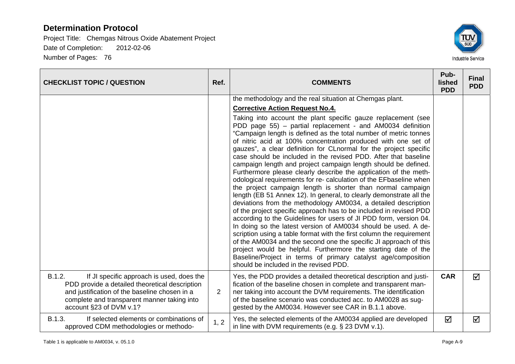

| <b>CHECKLIST TOPIC / QUESTION</b>                                                                                                                                                                                                | Ref.           | <b>COMMENTS</b>                                                                                                                                                                                                                                                                                                                                                                                                                                                                                                                                                                                                                                                                                                                                                                                                                                                                                                                                                                                                                                                                                                                                                                                                                                                                                                                                                                                                                                                           |            | <b>Final</b><br><b>PDD</b> |
|----------------------------------------------------------------------------------------------------------------------------------------------------------------------------------------------------------------------------------|----------------|---------------------------------------------------------------------------------------------------------------------------------------------------------------------------------------------------------------------------------------------------------------------------------------------------------------------------------------------------------------------------------------------------------------------------------------------------------------------------------------------------------------------------------------------------------------------------------------------------------------------------------------------------------------------------------------------------------------------------------------------------------------------------------------------------------------------------------------------------------------------------------------------------------------------------------------------------------------------------------------------------------------------------------------------------------------------------------------------------------------------------------------------------------------------------------------------------------------------------------------------------------------------------------------------------------------------------------------------------------------------------------------------------------------------------------------------------------------------------|------------|----------------------------|
|                                                                                                                                                                                                                                  |                | the methodology and the real situation at Chemgas plant.<br><b>Corrective Action Request No.4.</b><br>Taking into account the plant specific gauze replacement (see<br>PDD page 55) – partial replacement - and AM0034 definition<br>"Campaign length is defined as the total number of metric tonnes<br>of nitric acid at 100% concentration produced with one set of<br>gauzes", a clear definition for CLnormal for the project specific<br>case should be included in the revised PDD. After that baseline<br>campaign length and project campaign length should be defined.<br>Furthermore please clearly describe the application of the meth-<br>odological requirements for re- calculation of the EFbaseline when<br>the project campaign length is shorter than normal campaign<br>length (EB 51 Annex 12). In general, to clearly demonstrate all the<br>deviations from the methodology AM0034, a detailed description<br>of the project specific approach has to be included in revised PDD<br>according to the Guidelines for users of JI PDD form, version 04.<br>In doing so the latest version of AM0034 should be used. A de-<br>scription using a table format with the first column the requirement<br>of the AM0034 and the second one the specific JI approach of this<br>project would be helpful. Furthermore the starting date of the<br>Baseline/Project in terms of primary catalyst age/composition<br>should be included in the revised PDD. |            |                            |
| B.1.2.<br>If JI specific approach is used, does the<br>PDD provide a detailed theoretical description<br>and justification of the baseline chosen in a<br>complete and transparent manner taking into<br>account §23 of DVM v.1? | $\overline{2}$ | Yes, the PDD provides a detailed theoretical description and justi-<br>fication of the baseline chosen in complete and transparent man-<br>ner taking into account the DVM requirements. The identification<br>of the baseline scenario was conducted acc. to AM0028 as sug-<br>gested by the AM0034. However see CAR in B.1.1 above.                                                                                                                                                                                                                                                                                                                                                                                                                                                                                                                                                                                                                                                                                                                                                                                                                                                                                                                                                                                                                                                                                                                                     | <b>CAR</b> | ☑                          |
| B.1.3.<br>If selected elements or combinations of<br>approved CDM methodologies or methodo-                                                                                                                                      | 1, 2           | Yes, the selected elements of the AM0034 applied are developed<br>in line with DVM requirements (e.g. § 23 DVM v.1).                                                                                                                                                                                                                                                                                                                                                                                                                                                                                                                                                                                                                                                                                                                                                                                                                                                                                                                                                                                                                                                                                                                                                                                                                                                                                                                                                      | ☑          | ☑                          |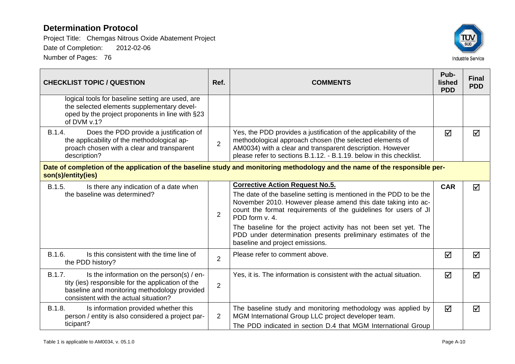

| <b>CHECKLIST TOPIC / QUESTION</b>                                                                                                                                                                 | Ref.           | <b>COMMENTS</b>                                                                                                                                                                                                                                                                                                                                                                                                                           |                 | <b>Final</b><br><b>PDD</b> |
|---------------------------------------------------------------------------------------------------------------------------------------------------------------------------------------------------|----------------|-------------------------------------------------------------------------------------------------------------------------------------------------------------------------------------------------------------------------------------------------------------------------------------------------------------------------------------------------------------------------------------------------------------------------------------------|-----------------|----------------------------|
| logical tools for baseline setting are used, are<br>the selected elements supplementary devel-<br>oped by the project proponents in line with §23<br>of DVM v.1?                                  |                |                                                                                                                                                                                                                                                                                                                                                                                                                                           |                 |                            |
| B.1.4.<br>Does the PDD provide a justification of<br>the applicability of the methodological ap-<br>proach chosen with a clear and transparent<br>description?                                    | $\overline{2}$ | Yes, the PDD provides a justification of the applicability of the<br>methodological approach chosen (the selected elements of<br>AM0034) with a clear and transparent description. However<br>please refer to sections B.1.12. - B.1.19. below in this checklist.                                                                                                                                                                         |                 | ☑                          |
| Date of completion of the application of the baseline study and monitoring methodology and the name of the responsible per-<br>son(s)/entity(ies)                                                 |                |                                                                                                                                                                                                                                                                                                                                                                                                                                           |                 |                            |
| B.1.5.<br>Is there any indication of a date when<br>the baseline was determined?                                                                                                                  | $\overline{2}$ | <b>Corrective Action Request No.5.</b><br>The date of the baseline setting is mentioned in the PDD to be the<br>November 2010. However please amend this date taking into ac-<br>count the format requirements of the guidelines for users of JI<br>PDD form v. 4.<br>The baseline for the project activity has not been set yet. The<br>PDD under determination presents preliminary estimates of the<br>baseline and project emissions. | <b>CAR</b>      | $\triangledown$            |
| B.1.6.<br>Is this consistent with the time line of<br>the PDD history?                                                                                                                            | $\overline{2}$ | Please refer to comment above.                                                                                                                                                                                                                                                                                                                                                                                                            | ☑               | ☑                          |
| B.1.7.<br>Is the information on the person(s) / en-<br>tity (ies) responsible for the application of the<br>baseline and monitoring methodology provided<br>consistent with the actual situation? | $\overline{2}$ | Yes, it is. The information is consistent with the actual situation.                                                                                                                                                                                                                                                                                                                                                                      | ☑               | ☑                          |
| B.1.8.<br>Is information provided whether this<br>person / entity is also considered a project par-<br>ticipant?                                                                                  | $\overline{2}$ | The baseline study and monitoring methodology was applied by<br>MGM International Group LLC project developer team.<br>The PDD indicated in section D.4 that MGM International Group                                                                                                                                                                                                                                                      | $\triangledown$ | $\blacktriangledown$       |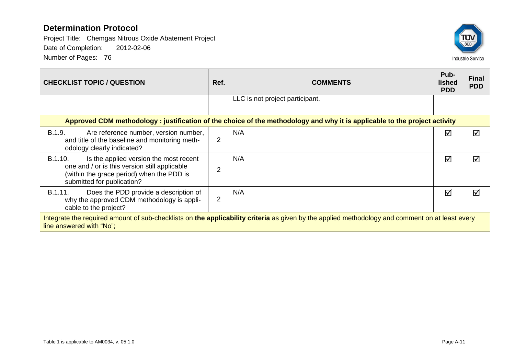

| <b>CHECKLIST TOPIC / QUESTION</b>                                                                                                                                             | Ref.           | <b>COMMENTS</b>                 | Pub-<br>lished<br><b>PDD</b> | <b>Final</b><br><b>PDD</b> |  |  |
|-------------------------------------------------------------------------------------------------------------------------------------------------------------------------------|----------------|---------------------------------|------------------------------|----------------------------|--|--|
|                                                                                                                                                                               |                | LLC is not project participant. |                              |                            |  |  |
| Approved CDM methodology: justification of the choice of the methodology and why it is applicable to the project activity                                                     |                |                                 |                              |                            |  |  |
| <b>B.1.9.</b><br>Are reference number, version number,<br>and title of the baseline and monitoring meth-<br>odology clearly indicated?                                        | 2              | N/A                             | ☑                            | ⊠                          |  |  |
| B.1.10.<br>Is the applied version the most recent<br>one and / or is this version still applicable<br>(within the grace period) when the PDD is<br>submitted for publication? | $\overline{2}$ | N/A                             | ☑                            | ⊠                          |  |  |
| Does the PDD provide a description of<br>B.1.11.<br>why the approved CDM methodology is appli-<br>cable to the project?                                                       | 2              | N/A                             | ☑                            | ⊠                          |  |  |
| Integrate the required amount of sub-checklists on the applicability criteria as given by the applied methodology and comment on at least every<br>line answered with "No";   |                |                                 |                              |                            |  |  |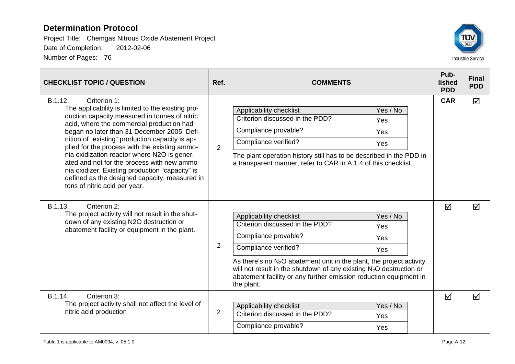

| <b>CHECKLIST TOPIC / QUESTION</b>                                                                                                                                                                                                                                                                                                                                                                                                                                                                                                                                | Ref.           | <b>COMMENTS</b>                                                                                                                                                                                                                                                                                                                                                                   |            | <b>Final</b><br><b>PDD</b> |
|------------------------------------------------------------------------------------------------------------------------------------------------------------------------------------------------------------------------------------------------------------------------------------------------------------------------------------------------------------------------------------------------------------------------------------------------------------------------------------------------------------------------------------------------------------------|----------------|-----------------------------------------------------------------------------------------------------------------------------------------------------------------------------------------------------------------------------------------------------------------------------------------------------------------------------------------------------------------------------------|------------|----------------------------|
| B.1.12.<br>Criterion 1:<br>The applicability is limited to the existing pro-<br>duction capacity measured in tonnes of nitric<br>acid, where the commercial production had<br>began no later than 31 December 2005. Defi-<br>nition of "existing" production capacity is ap-<br>plied for the process with the existing ammo-<br>nia oxidization reactor where N2O is gener-<br>ated and not for the process with new ammo-<br>nia oxidizer. Existing production "capacity" is<br>defined as the designed capacity, measured in<br>tons of nitric acid per year. | $\overline{2}$ | Yes / No<br>Applicability checklist<br>Criterion discussed in the PDD?<br>Yes<br>Compliance provable?<br>Yes<br>Compliance verified?<br>Yes<br>The plant operation history still has to be described in the PDD in<br>a transparent manner, refer to CAR in A.1.4 of this checklist                                                                                               | <b>CAR</b> | ☑                          |
| B.1.13.<br>Criterion 2:<br>The project activity will not result in the shut-<br>down of any existing N2O destruction or<br>abatement facility or equipment in the plant.                                                                                                                                                                                                                                                                                                                                                                                         | $\overline{2}$ | Applicability checklist<br>Yes / No<br>Criterion discussed in the PDD?<br>Yes<br>Compliance provable?<br>Yes<br>Compliance verified?<br>Yes<br>As there's no $N_2O$ abatement unit in the plant, the project activity<br>will not result in the shutdown of any existing $N_2O$ destruction or<br>abatement facility or any further emission reduction equipment in<br>the plant. | ☑          | ☑                          |
| B.1.14.<br>Criterion 3:<br>The project activity shall not affect the level of<br>nitric acid production                                                                                                                                                                                                                                                                                                                                                                                                                                                          | $\overline{2}$ | Yes / No<br>Applicability checklist<br>Criterion discussed in the PDD?<br>Yes<br>Compliance provable?<br>Yes                                                                                                                                                                                                                                                                      | ☑          | ☑                          |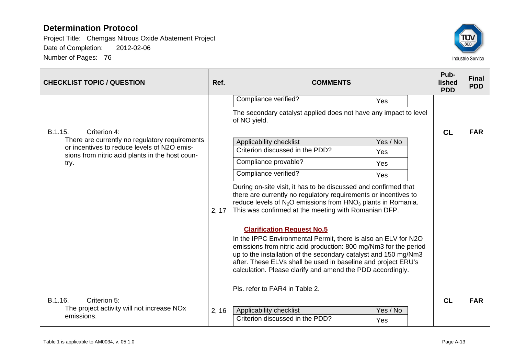

| <b>CHECKLIST TOPIC / QUESTION</b>                                                                                                                                                   | Ref.  | <b>COMMENTS</b>                                                                                                                                                                                                                                                                                                                                                                                                                                                                                                                                                                                                                                                                                                                                                                             | Pub-<br>lished<br><b>PDD</b> | <b>Final</b><br><b>PDD</b> |
|-------------------------------------------------------------------------------------------------------------------------------------------------------------------------------------|-------|---------------------------------------------------------------------------------------------------------------------------------------------------------------------------------------------------------------------------------------------------------------------------------------------------------------------------------------------------------------------------------------------------------------------------------------------------------------------------------------------------------------------------------------------------------------------------------------------------------------------------------------------------------------------------------------------------------------------------------------------------------------------------------------------|------------------------------|----------------------------|
|                                                                                                                                                                                     |       | Compliance verified?<br>Yes                                                                                                                                                                                                                                                                                                                                                                                                                                                                                                                                                                                                                                                                                                                                                                 |                              |                            |
|                                                                                                                                                                                     |       | The secondary catalyst applied does not have any impact to level<br>of NO yield.                                                                                                                                                                                                                                                                                                                                                                                                                                                                                                                                                                                                                                                                                                            |                              |                            |
| B.1.15.<br>Criterion 4:<br>There are currently no regulatory requirements<br>or incentives to reduce levels of N2O emis-<br>sions from nitric acid plants in the host coun-<br>try. | 2, 17 | Applicability checklist<br>Yes / No<br>Criterion discussed in the PDD?<br>Yes<br>Compliance provable?<br>Yes<br>Compliance verified?<br>Yes<br>During on-site visit, it has to be discussed and confirmed that<br>there are currently no regulatory requirements or incentives to<br>reduce levels of $N_2O$ emissions from $HNO_3$ plants in Romania.<br>This was confirmed at the meeting with Romanian DFP.<br><b>Clarification Request No.5</b><br>In the IPPC Environmental Permit, there is also an ELV for N2O<br>emissions from nitric acid production: 800 mg/Nm3 for the period<br>up to the installation of the secondary catalyst and 150 mg/Nm3<br>after. These ELVs shall be used in baseline and project ERU's<br>calculation. Please clarify and amend the PDD accordingly. | CL                           | <b>FAR</b>                 |
|                                                                                                                                                                                     |       | Pls. refer to FAR4 in Table 2.                                                                                                                                                                                                                                                                                                                                                                                                                                                                                                                                                                                                                                                                                                                                                              |                              |                            |
| B.1.16.<br>Criterion 5:<br>The project activity will not increase NOx<br>emissions.                                                                                                 | 2, 16 | Applicability checklist<br>Yes / No<br>Criterion discussed in the PDD?<br>Yes                                                                                                                                                                                                                                                                                                                                                                                                                                                                                                                                                                                                                                                                                                               | CL                           | <b>FAR</b>                 |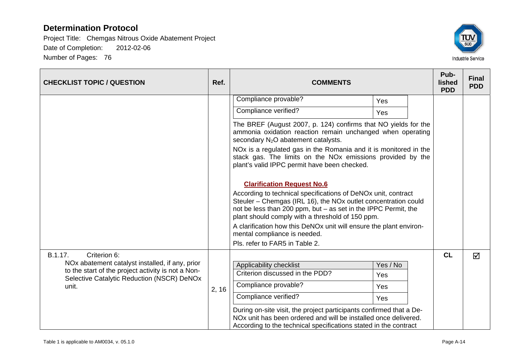

| <b>CHECKLIST TOPIC / QUESTION</b>                                                                     | Ref.  | <b>COMMENTS</b>                                                                                                                                                                                                                                       |          |  | Pub-<br>lished<br><b>PDD</b> | <b>Final</b><br><b>PDD</b> |
|-------------------------------------------------------------------------------------------------------|-------|-------------------------------------------------------------------------------------------------------------------------------------------------------------------------------------------------------------------------------------------------------|----------|--|------------------------------|----------------------------|
|                                                                                                       |       | Compliance provable?                                                                                                                                                                                                                                  | Yes      |  |                              |                            |
|                                                                                                       |       | Compliance verified?                                                                                                                                                                                                                                  | Yes      |  |                              |                            |
|                                                                                                       |       | The BREF (August 2007, p. 124) confirms that NO yields for the<br>ammonia oxidation reaction remain unchanged when operating<br>secondary N <sub>2</sub> O abatement catalysts.                                                                       |          |  |                              |                            |
|                                                                                                       |       | NOx is a regulated gas in the Romania and it is monitored in the<br>stack gas. The limits on the NOx emissions provided by the<br>plant's valid IPPC permit have been checked.                                                                        |          |  |                              |                            |
|                                                                                                       |       | <b>Clarification Request No.6</b>                                                                                                                                                                                                                     |          |  |                              |                            |
|                                                                                                       |       | According to technical specifications of DeNOx unit, contract<br>Steuler – Chemgas (IRL 16), the NOx outlet concentration could<br>not be less than 200 ppm, but - as set in the IPPC Permit, the<br>plant should comply with a threshold of 150 ppm. |          |  |                              |                            |
|                                                                                                       |       | A clarification how this DeNOx unit will ensure the plant environ-<br>mental compliance is needed.                                                                                                                                                    |          |  |                              |                            |
|                                                                                                       |       | Pls. refer to FAR5 in Table 2.                                                                                                                                                                                                                        |          |  |                              |                            |
| Criterion 6:<br>B.1.17.                                                                               |       |                                                                                                                                                                                                                                                       |          |  | CL                           | $\overline{\mathsf{M}}$    |
| NOx abatement catalyst installed, if any, prior<br>to the start of the project activity is not a Non- |       | Applicability checklist<br>Criterion discussed in the PDD?                                                                                                                                                                                            | Yes / No |  |                              |                            |
| Selective Catalytic Reduction (NSCR) DeNOx                                                            |       |                                                                                                                                                                                                                                                       | Yes      |  |                              |                            |
| unit.                                                                                                 | 2, 16 | Compliance provable?                                                                                                                                                                                                                                  | Yes      |  |                              |                            |
|                                                                                                       |       | Compliance verified?                                                                                                                                                                                                                                  | Yes      |  |                              |                            |
|                                                                                                       |       | During on-site visit, the project participants confirmed that a De-<br>NOx unit has been ordered and will be installed once delivered.<br>According to the technical specifications stated in the contract                                            |          |  |                              |                            |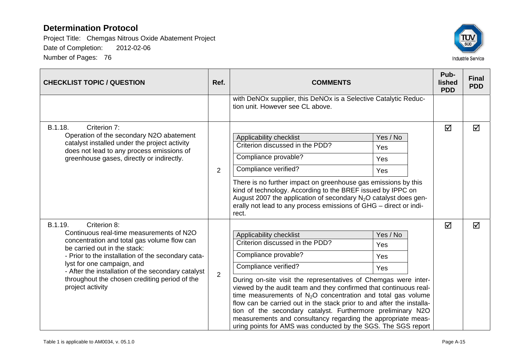

| <b>CHECKLIST TOPIC / QUESTION</b>                                                                                                                                                                                                                                                                                                                                 | Ref.           | <b>COMMENTS</b>                                                                                                                                                                                                                                                                                                                                                                                                                                                                                                                                                                                                                | Pub-<br>lished<br><b>PDD</b> | <b>Final</b><br><b>PDD</b> |
|-------------------------------------------------------------------------------------------------------------------------------------------------------------------------------------------------------------------------------------------------------------------------------------------------------------------------------------------------------------------|----------------|--------------------------------------------------------------------------------------------------------------------------------------------------------------------------------------------------------------------------------------------------------------------------------------------------------------------------------------------------------------------------------------------------------------------------------------------------------------------------------------------------------------------------------------------------------------------------------------------------------------------------------|------------------------------|----------------------------|
|                                                                                                                                                                                                                                                                                                                                                                   |                | with DeNOx supplier, this DeNOx is a Selective Catalytic Reduc-<br>tion unit. However see CL above.                                                                                                                                                                                                                                                                                                                                                                                                                                                                                                                            |                              |                            |
| B.1.18.<br>Criterion 7:<br>Operation of the secondary N2O abatement<br>catalyst installed under the project activity<br>does not lead to any process emissions of<br>greenhouse gases, directly or indirectly.                                                                                                                                                    | 2              | Applicability checklist<br>Yes / No<br>Criterion discussed in the PDD?<br>Yes<br>Compliance provable?<br>Yes<br>Compliance verified?<br>Yes<br>There is no further impact on greenhouse gas emissions by this<br>kind of technology. According to the BREF issued by IPPC on<br>August 2007 the application of secondary $N_2O$ catalyst does gen-<br>erally not lead to any process emissions of GHG - direct or indi-<br>rect.                                                                                                                                                                                               | ☑                            | ☑                          |
| B.1.19.<br>Criterion 8:<br>Continuous real-time measurements of N2O<br>concentration and total gas volume flow can<br>be carried out in the stack:<br>- Prior to the installation of the secondary cata-<br>lyst for one campaign, and<br>- After the installation of the secondary catalyst<br>throughout the chosen crediting period of the<br>project activity | $\overline{2}$ | Applicability checklist<br>Yes / No<br>Criterion discussed in the PDD?<br>Yes<br>Compliance provable?<br>Yes<br>Compliance verified?<br>Yes<br>During on-site visit the representatives of Chemgas were inter-<br>viewed by the audit team and they confirmed that continuous real-<br>time measurements of $N_2O$ concentration and total gas volume<br>flow can be carried out in the stack prior to and after the installa-<br>tion of the secondary catalyst. Furthermore preliminary N2O<br>measurements and consultancy regarding the appropriate meas-<br>uring points for AMS was conducted by the SGS. The SGS report | ☑                            | ☑                          |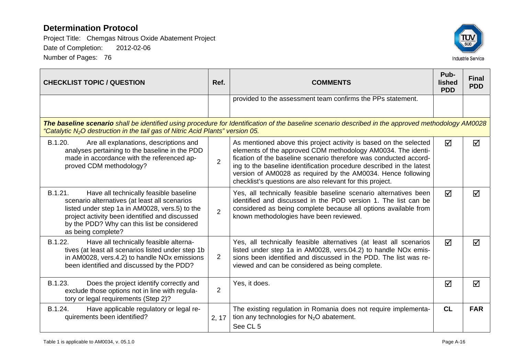

| <b>CHECKLIST TOPIC / QUESTION</b>                                                                                                                                                                                                                                           | Ref.           | <b>COMMENTS</b>                                                                                                                                                                                                                                                                                                                                                                                             | Pub-<br><b>lished</b><br><b>PDD</b> | <b>Final</b><br><b>PDD</b> |  |  |  |
|-----------------------------------------------------------------------------------------------------------------------------------------------------------------------------------------------------------------------------------------------------------------------------|----------------|-------------------------------------------------------------------------------------------------------------------------------------------------------------------------------------------------------------------------------------------------------------------------------------------------------------------------------------------------------------------------------------------------------------|-------------------------------------|----------------------------|--|--|--|
|                                                                                                                                                                                                                                                                             |                | provided to the assessment team confirms the PPs statement.                                                                                                                                                                                                                                                                                                                                                 |                                     |                            |  |  |  |
| The baseline scenario shall be identified using procedure for Identification of the baseline scenario described in the approved methodology AM0028<br>"Catalytic N <sub>2</sub> O destruction in the tail gas of Nitric Acid Plants" version 05.                            |                |                                                                                                                                                                                                                                                                                                                                                                                                             |                                     |                            |  |  |  |
| B.1.20.<br>Are all explanations, descriptions and<br>analyses pertaining to the baseline in the PDD<br>made in accordance with the referenced ap-<br>proved CDM methodology?                                                                                                | $\overline{2}$ | As mentioned above this project activity is based on the selected<br>elements of the approved CDM methodology AM0034. The identi-<br>fication of the baseline scenario therefore was conducted accord-<br>ing to the baseline identification procedure described in the latest<br>version of AM0028 as required by the AM0034. Hence following<br>checklist's questions are also relevant for this project. | ☑                                   | ☑                          |  |  |  |
| B.1.21.<br>Have all technically feasible baseline<br>scenario alternatives (at least all scenarios<br>listed under step 1a in AM0028, vers.5) to the<br>project activity been identified and discussed<br>by the PDD? Why can this list be considered<br>as being complete? | 2              | Yes, all technically feasible baseline scenario alternatives been<br>identified and discussed in the PDD version 1. The list can be<br>considered as being complete because all options available from<br>known methodologies have been reviewed.                                                                                                                                                           | ☑                                   | ☑                          |  |  |  |
| B.1.22.<br>Have all technically feasible alterna-<br>tives (at least all scenarios listed under step 1b<br>in AM0028, vers.4.2) to handle NOx emissions<br>been identified and discussed by the PDD?                                                                        | $\overline{2}$ | Yes, all technically feasible alternatives (at least all scenarios<br>listed under step 1a in AM0028, vers.04.2) to handle NO <sub>x</sub> emis-<br>sions been identified and discussed in the PDD. The list was re-<br>viewed and can be considered as being complete.                                                                                                                                     | ☑                                   | $\blacktriangledown$       |  |  |  |
| B.1.23.<br>Does the project identify correctly and<br>exclude those options not in line with regula-<br>tory or legal requirements (Step 2)?                                                                                                                                | 2              | Yes, it does.                                                                                                                                                                                                                                                                                                                                                                                               | ☑                                   | ☑                          |  |  |  |
| B.1.24.<br>Have applicable regulatory or legal re-<br>quirements been identified?                                                                                                                                                                                           | 2, 17          | The existing regulation in Romania does not require implementa-<br>tion any technologies for $N_2O$ abatement.<br>See CL 5                                                                                                                                                                                                                                                                                  | CL                                  | <b>FAR</b>                 |  |  |  |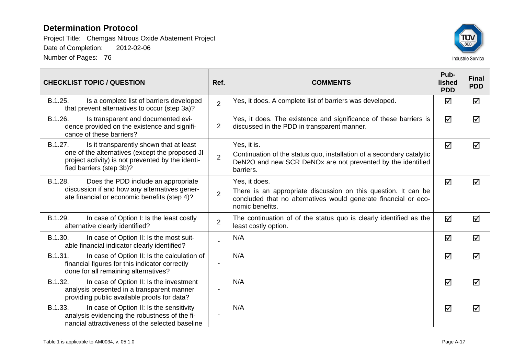

| <b>CHECKLIST TOPIC / QUESTION</b>                                                                                                                                                      | Ref.           | <b>COMMENTS</b>                                                                                                                                                       | Pub-<br><b>lished</b><br><b>PDD</b> | <b>Final</b><br><b>PDD</b> |
|----------------------------------------------------------------------------------------------------------------------------------------------------------------------------------------|----------------|-----------------------------------------------------------------------------------------------------------------------------------------------------------------------|-------------------------------------|----------------------------|
| B.1.25.<br>Is a complete list of barriers developed<br>that prevent alternatives to occur (step 3a)?                                                                                   | $\overline{2}$ | Yes, it does. A complete list of barriers was developed.                                                                                                              | ☑                                   | ☑                          |
| B.1.26.<br>Is transparent and documented evi-<br>dence provided on the existence and signifi-<br>cance of these barriers?                                                              | $\overline{2}$ | Yes, it does. The existence and significance of these barriers is<br>discussed in the PDD in transparent manner.                                                      | ☑                                   | ☑                          |
| B.1.27.<br>Is it transparently shown that at least<br>one of the alternatives (except the proposed JI<br>project activity) is not prevented by the identi-<br>fied barriers (step 3b)? | $\overline{2}$ | Yes, it is.<br>Continuation of the status quo, installation of a secondary catalytic<br>DeN2O and new SCR DeNOx are not prevented by the identified<br>barriers.      | $\blacktriangledown$                | ☑                          |
| B.1.28.<br>Does the PDD include an appropriate<br>discussion if and how any alternatives gener-<br>ate financial or economic benefits (step 4)?                                        | $\overline{2}$ | Yes, it does.<br>There is an appropriate discussion on this question. It can be<br>concluded that no alternatives would generate financial or eco-<br>nomic benefits. | ☑                                   | ☑                          |
| B.1.29.<br>In case of Option I: Is the least costly<br>alternative clearly identified?                                                                                                 | $\overline{2}$ | The continuation of of the status quo is clearly identified as the<br>least costly option.                                                                            | $\blacktriangledown$                | ☑                          |
| B.1.30.<br>In case of Option II: Is the most suit-<br>able financial indicator clearly identified?                                                                                     |                | N/A                                                                                                                                                                   | ☑                                   | ☑                          |
| B.1.31.<br>In case of Option II: Is the calculation of<br>financial figures for this indicator correctly<br>done for all remaining alternatives?                                       |                | N/A                                                                                                                                                                   | ☑                                   | ☑                          |
| B.1.32.<br>In case of Option II: Is the investment<br>analysis presented in a transparent manner<br>providing public available proofs for data?                                        |                | N/A                                                                                                                                                                   | $\blacktriangledown$                | $\overline{\mathsf{M}}$    |
| B.1.33.<br>In case of Option II: Is the sensitivity<br>analysis evidencing the robustness of the fi-<br>nancial attractiveness of the selected baseline                                |                | N/A                                                                                                                                                                   | ☑                                   | ☑                          |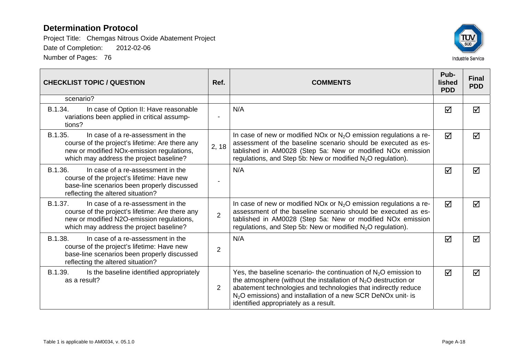

| <b>CHECKLIST TOPIC / QUESTION</b>                                                                                                                                                       | Ref.           | <b>COMMENTS</b>                                                                                                                                                                                                                                                                                                                | Pub-<br>lished<br><b>PDD</b> | <b>Final</b><br><b>PDD</b> |
|-----------------------------------------------------------------------------------------------------------------------------------------------------------------------------------------|----------------|--------------------------------------------------------------------------------------------------------------------------------------------------------------------------------------------------------------------------------------------------------------------------------------------------------------------------------|------------------------------|----------------------------|
| scenario?                                                                                                                                                                               |                |                                                                                                                                                                                                                                                                                                                                |                              |                            |
| B.1.34.<br>In case of Option II: Have reasonable<br>variations been applied in critical assump-<br>tions?                                                                               |                | N/A                                                                                                                                                                                                                                                                                                                            | $\blacktriangledown$         | ☑                          |
| B.1.35.<br>In case of a re-assessment in the<br>course of the project's lifetime: Are there any<br>new or modified NOx-emission regulations,<br>which may address the project baseline? | 2, 18          | In case of new or modified NOx or $N_2O$ emission regulations a re-<br>assessment of the baseline scenario should be executed as es-<br>tablished in AM0028 (Step 5a: New or modified NOx emission<br>regulations, and Step 5b: New or modified $N_2O$ regulation).                                                            | ☑                            | ☑                          |
| B.1.36.<br>In case of a re-assessment in the<br>course of the project's lifetime: Have new<br>base-line scenarios been properly discussed<br>reflecting the altered situation?          |                | N/A                                                                                                                                                                                                                                                                                                                            | $\overline{\mathsf{M}}$      | ☑                          |
| B.1.37.<br>In case of a re-assessment in the<br>course of the project's lifetime: Are there any<br>new or modified N2O-emission regulations,<br>which may address the project baseline? | $\overline{2}$ | In case of new or modified NOx or $N_2O$ emission regulations a re-<br>assessment of the baseline scenario should be executed as es-<br>tablished in AM0028 (Step 5a: New or modified NO <sub>x</sub> emission<br>regulations, and Step 5b: New or modified $N_2O$ regulation).                                                | $\triangledown$              | ☑                          |
| B.1.38.<br>In case of a re-assessment in the<br>course of the project's lifetime: Have new<br>base-line scenarios been properly discussed<br>reflecting the altered situation?          | $\overline{2}$ | N/A                                                                                                                                                                                                                                                                                                                            | ☑                            | ☑                          |
| B.1.39.<br>Is the baseline identified appropriately<br>as a result?                                                                                                                     | 2              | Yes, the baseline scenario- the continuation of $N_2O$ emission to<br>the atmosphere (without the installation of $N_2O$ destruction or<br>abatement technologies and technologies that indirectly reduce<br>N <sub>2</sub> O emissions) and installation of a new SCR DeNOx unit- is<br>identified appropriately as a result. | ☑                            | ☑                          |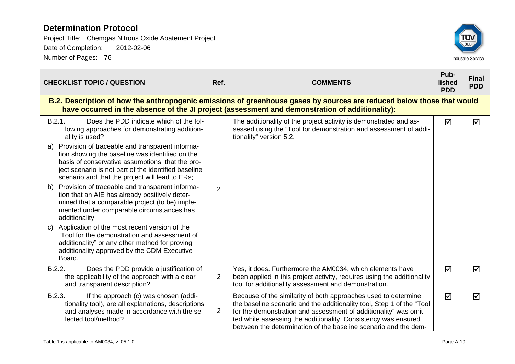| <b>CHECKLIST TOPIC / QUESTION</b>                                                                                                                                                                                                                                                                                                                                                                                                                                                                                                                                                                                                                                                                                                                                                                                                                  | Ref.           | <b>COMMENTS</b>                                                                                                                                                                                                                                                                                                                                   | Pub-<br>lished<br><b>PDD</b> | <b>Final</b><br><b>PDD</b> |
|----------------------------------------------------------------------------------------------------------------------------------------------------------------------------------------------------------------------------------------------------------------------------------------------------------------------------------------------------------------------------------------------------------------------------------------------------------------------------------------------------------------------------------------------------------------------------------------------------------------------------------------------------------------------------------------------------------------------------------------------------------------------------------------------------------------------------------------------------|----------------|---------------------------------------------------------------------------------------------------------------------------------------------------------------------------------------------------------------------------------------------------------------------------------------------------------------------------------------------------|------------------------------|----------------------------|
|                                                                                                                                                                                                                                                                                                                                                                                                                                                                                                                                                                                                                                                                                                                                                                                                                                                    |                | B.2. Description of how the anthropogenic emissions of greenhouse gases by sources are reduced below those that would<br>have occurred in the absence of the JI project (assessment and demonstration of additionality):                                                                                                                          |                              |                            |
| B.2.1.<br>Does the PDD indicate which of the fol-<br>lowing approaches for demonstrating addition-<br>ality is used?<br>Provision of traceable and transparent informa-<br>tion showing the baseline was identified on the<br>basis of conservative assumptions, that the pro-<br>ject scenario is not part of the identified baseline<br>scenario and that the project will lead to ERs;<br>Provision of traceable and transparent informa-<br>b)<br>tion that an AIE has already positively deter-<br>mined that a comparable project (to be) imple-<br>mented under comparable circumstances has<br>additionality;<br>Application of the most recent version of the<br>$\mathbf{C}$<br>"Tool for the demonstration and assessment of<br>additionality" or any other method for proving<br>additionality approved by the CDM Executive<br>Board. | 2              | The additionality of the project activity is demonstrated and as-<br>sessed using the "Tool for demonstration and assessment of addi-<br>tionality" version 5.2.                                                                                                                                                                                  | ☑                            | ☑                          |
| B.2.2.<br>Does the PDD provide a justification of<br>the applicability of the approach with a clear<br>and transparent description?                                                                                                                                                                                                                                                                                                                                                                                                                                                                                                                                                                                                                                                                                                                | $\overline{2}$ | Yes, it does. Furthermore the AM0034, which elements have<br>been applied in this project activity, requires using the additionality<br>tool for additionality assessment and demonstration.                                                                                                                                                      | $\Delta$                     | ☑                          |
| B.2.3.<br>If the approach (c) was chosen (addi-<br>tionality tool), are all explanations, descriptions<br>and analyses made in accordance with the se-<br>lected tool/method?                                                                                                                                                                                                                                                                                                                                                                                                                                                                                                                                                                                                                                                                      | $\overline{2}$ | Because of the similarity of both approaches used to determine<br>the baseline scenario and the additionality tool, Step 1 of the "Tool"<br>for the demonstration and assessment of additionality" was omit-<br>ted while assessing the additionality. Consistency was ensured<br>between the determination of the baseline scenario and the dem- | $\blacktriangledown$         | ☑                          |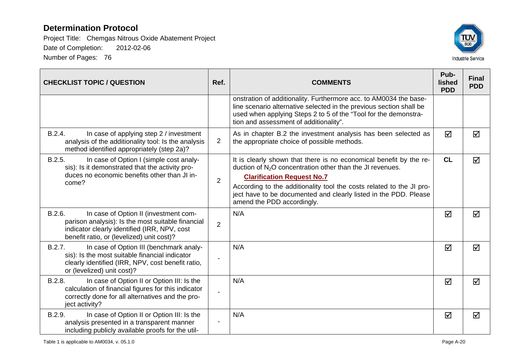

| <b>CHECKLIST TOPIC / QUESTION</b>                                                                                                                                                                 | Ref.           | <b>COMMENTS</b>                                                                                                                                                                                                                                                                                                                                 | Pub-<br>lished<br><b>PDD</b> | <b>Final</b><br><b>PDD</b> |
|---------------------------------------------------------------------------------------------------------------------------------------------------------------------------------------------------|----------------|-------------------------------------------------------------------------------------------------------------------------------------------------------------------------------------------------------------------------------------------------------------------------------------------------------------------------------------------------|------------------------------|----------------------------|
|                                                                                                                                                                                                   |                | onstration of additionality. Furthermore acc. to AM0034 the base-<br>line scenario alternative selected in the previous section shall be<br>used when applying Steps 2 to 5 of the "Tool for the demonstra-<br>tion and assessment of additionality".                                                                                           |                              |                            |
| B.2.4.<br>In case of applying step 2 / investment<br>analysis of the additionality tool: Is the analysis<br>method identified appropriately (step 2a)?                                            | $\overline{2}$ | As in chapter B.2 the investment analysis has been selected as<br>the appropriate choice of possible methods.                                                                                                                                                                                                                                   | ☑                            | ☑                          |
| B.2.5.<br>In case of Option I (simple cost analy-<br>sis): Is it demonstrated that the activity pro-<br>duces no economic benefits other than JI in-<br>come?                                     | $\overline{2}$ | It is clearly shown that there is no economical benefit by the re-<br>duction of $N2O$ concentration other than the JI revenues.<br><b>Clarification Request No.7</b><br>According to the additionality tool the costs related to the JI pro-<br>ject have to be documented and clearly listed in the PDD. Please<br>amend the PDD accordingly. | CL                           | ☑                          |
| B.2.6.<br>In case of Option II (investment com-<br>parison analysis): Is the most suitable financial<br>indicator clearly identified (IRR, NPV, cost<br>benefit ratio, or (levelized) unit cost)? | $\overline{2}$ | N/A                                                                                                                                                                                                                                                                                                                                             | ☑                            | ☑                          |
| B.2.7.<br>In case of Option III (benchmark analy-<br>sis): Is the most suitable financial indicator<br>clearly identified (IRR, NPV, cost benefit ratio,<br>or (levelized) unit cost)?            |                | N/A                                                                                                                                                                                                                                                                                                                                             | ☑                            | ☑                          |
| B.2.8.<br>In case of Option II or Option III: Is the<br>calculation of financial figures for this indicator<br>correctly done for all alternatives and the pro-<br>ject activity?                 |                | N/A                                                                                                                                                                                                                                                                                                                                             | ☑                            | $\triangledown$            |
| B.2.9.<br>In case of Option II or Option III: Is the<br>analysis presented in a transparent manner<br>including publicly available proofs for the util-                                           |                | N/A                                                                                                                                                                                                                                                                                                                                             | ☑                            | ☑                          |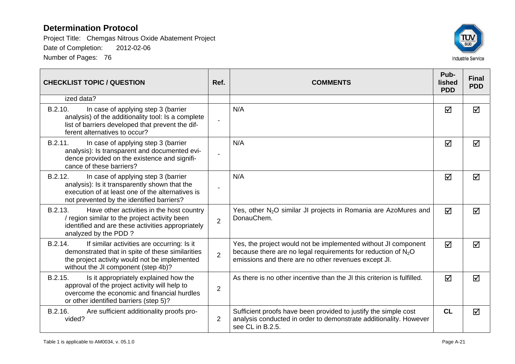

| <b>CHECKLIST TOPIC / QUESTION</b>                                                                                                                                                                 | Ref.           | <b>COMMENTS</b>                                                                                                                                                                           |                 | <b>Final</b><br><b>PDD</b> |
|---------------------------------------------------------------------------------------------------------------------------------------------------------------------------------------------------|----------------|-------------------------------------------------------------------------------------------------------------------------------------------------------------------------------------------|-----------------|----------------------------|
| ized data?                                                                                                                                                                                        |                |                                                                                                                                                                                           |                 |                            |
| B.2.10.<br>In case of applying step 3 (barrier<br>analysis) of the additionality tool: Is a complete<br>list of barriers developed that prevent the dif-<br>ferent alternatives to occur?         | $\blacksquare$ | N/A                                                                                                                                                                                       | ☑               | ☑                          |
| B.2.11.<br>In case of applying step 3 (barrier<br>analysis): Is transparent and documented evi-<br>dence provided on the existence and signifi-<br>cance of these barriers?                       |                | N/A                                                                                                                                                                                       | ☑               | ☑                          |
| B.2.12.<br>In case of applying step 3 (barrier<br>analysis): Is it transparently shown that the<br>execution of at least one of the alternatives is<br>not prevented by the identified barriers?  |                | N/A                                                                                                                                                                                       | ☑               | ☑                          |
| B.2.13.<br>Have other activities in the host country<br>/ region similar to the project activity been<br>identified and are these activities appropriately<br>analyzed by the PDD?                | $\overline{2}$ | Yes, other N <sub>2</sub> O similar JI projects in Romania are AzoMures and<br>DonauChem.                                                                                                 | ☑               | ☑                          |
| B.2.14.<br>If similar activities are occurring: Is it<br>demonstrated that in spite of these similarities<br>the project activity would not be implemented<br>without the JI component (step 4b)? | $\overline{2}$ | Yes, the project would not be implemented without JI component<br>because there are no legal requirements for reduction of $N_2O$<br>emissions and there are no other revenues except JI. | $\triangledown$ | $\blacktriangledown$       |
| B.2.15.<br>Is it appropriately explained how the<br>approval of the project activity will help to<br>overcome the economic and financial hurdles<br>or other identified barriers (step 5)?        | $\overline{2}$ | As there is no other incentive than the JI this criterion is fulfilled.                                                                                                                   | ☑               | ☑                          |
| B.2.16.<br>Are sufficient additionality proofs pro-<br>vided?                                                                                                                                     | $\overline{2}$ | Sufficient proofs have been provided to justify the simple cost<br>analysis conducted in order to demonstrate additionality. However<br>see CL in B.2.5.                                  | CL              | ☑                          |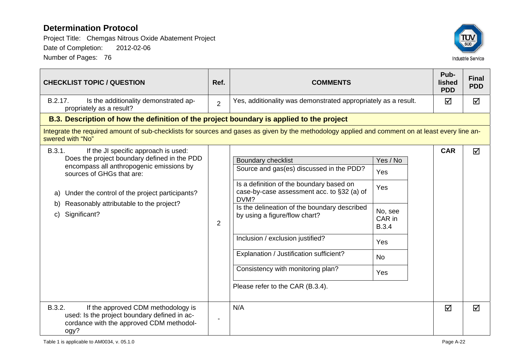

| <b>CHECKLIST TOPIC / QUESTION</b>                                                                                                                                                                                                                                                                      | Ref.                     | <b>COMMENTS</b>                                                                                                                                                                                                                                                                                                                                                                                                  |                                                                                        | Pub-<br>lished<br><b>PDD</b> | <b>Final</b><br><b>PDD</b> |
|--------------------------------------------------------------------------------------------------------------------------------------------------------------------------------------------------------------------------------------------------------------------------------------------------------|--------------------------|------------------------------------------------------------------------------------------------------------------------------------------------------------------------------------------------------------------------------------------------------------------------------------------------------------------------------------------------------------------------------------------------------------------|----------------------------------------------------------------------------------------|------------------------------|----------------------------|
| B.2.17.<br>Is the additionality demonstrated ap-<br>propriately as a result?                                                                                                                                                                                                                           | $\overline{2}$           | Yes, additionality was demonstrated appropriately as a result.                                                                                                                                                                                                                                                                                                                                                   |                                                                                        | ☑                            | ☑                          |
| B.3. Description of how the definition of the project boundary is applied to the project                                                                                                                                                                                                               |                          |                                                                                                                                                                                                                                                                                                                                                                                                                  |                                                                                        |                              |                            |
| Integrate the required amount of sub-checklists for sources and gases as given by the methodology applied and comment on at least every line an-<br>swered with "No"                                                                                                                                   |                          |                                                                                                                                                                                                                                                                                                                                                                                                                  |                                                                                        |                              |                            |
| B.3.1.<br>If the JI specific approach is used:<br>Does the project boundary defined in the PDD<br>encompass all anthropogenic emissions by<br>sources of GHGs that are:<br>Under the control of the project participants?<br>a)<br>Reasonably attributable to the project?<br>b)<br>Significant?<br>C) | $\overline{2}$           | <b>Boundary checklist</b><br>Source and gas(es) discussed in the PDD?<br>Is a definition of the boundary based on<br>case-by-case assessment acc. to §32 (a) of<br>DVM?<br>Is the delineation of the boundary described<br>by using a figure/flow chart?<br>Inclusion / exclusion justified?<br>Explanation / Justification sufficient?<br>Consistency with monitoring plan?<br>Please refer to the CAR (B.3.4). | Yes / No<br>Yes<br>Yes<br>No, see<br>CAR in<br><b>B.3.4</b><br>Yes<br><b>No</b><br>Yes | <b>CAR</b>                   | ☑                          |
| B.3.2.<br>If the approved CDM methodology is<br>used: Is the project boundary defined in ac-<br>cordance with the approved CDM methodol-<br>ogy?                                                                                                                                                       | $\overline{\phantom{a}}$ | N/A                                                                                                                                                                                                                                                                                                                                                                                                              |                                                                                        | ☑                            | ☑                          |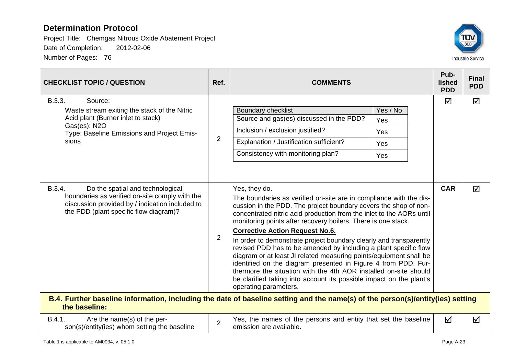

| <b>CHECKLIST TOPIC / QUESTION</b>                                                                                                                                                         | Ref.           | <b>COMMENTS</b>                                                                                                                                                                                                                                                                                                                                                                                                                                                                                                                                                                                                                                                                                                                                                         |   | <b>Final</b><br><b>PDD</b> |  |
|-------------------------------------------------------------------------------------------------------------------------------------------------------------------------------------------|----------------|-------------------------------------------------------------------------------------------------------------------------------------------------------------------------------------------------------------------------------------------------------------------------------------------------------------------------------------------------------------------------------------------------------------------------------------------------------------------------------------------------------------------------------------------------------------------------------------------------------------------------------------------------------------------------------------------------------------------------------------------------------------------------|---|----------------------------|--|
| B.3.3.<br>Source:<br>Waste stream exiting the stack of the Nitric<br>Acid plant (Burner inlet to stack)<br>Gas(es): N2O<br>Type: Baseline Emissions and Project Emis-<br>sions            | $\overline{2}$ | Yes / No<br><b>Boundary checklist</b><br>Source and gas(es) discussed in the PDD?<br>Yes<br>Inclusion / exclusion justified?<br>Yes<br>Explanation / Justification sufficient?<br>Yes<br>Consistency with monitoring plan?<br>Yes                                                                                                                                                                                                                                                                                                                                                                                                                                                                                                                                       | ☑ | ☑                          |  |
| B.3.4.<br>Do the spatial and technological<br>boundaries as verified on-site comply with the<br>discussion provided by / indication included to<br>the PDD (plant specific flow diagram)? | $\overline{2}$ | Yes, they do.<br>The boundaries as verified on-site are in compliance with the dis-<br>cussion in the PDD. The project boundary covers the shop of non-<br>concentrated nitric acid production from the inlet to the AORs until<br>monitoring points after recovery boilers. There is one stack.<br><b>Corrective Action Request No.6.</b><br>In order to demonstrate project boundary clearly and transparently<br>revised PDD has to be amended by including a plant specific flow<br>diagram or at least JI related measuring points/equipment shall be<br>identified on the diagram presented in Figure 4 from PDD. Fur-<br>thermore the situation with the 4th AOR installed on-site should<br>be clarified taking into account its possible impact on the plant's |   | $\triangledown$            |  |
| operating parameters.<br>B.4. Further baseline information, including the date of baseline setting and the name(s) of the person(s)/entity(ies) setting<br>the baseline:                  |                |                                                                                                                                                                                                                                                                                                                                                                                                                                                                                                                                                                                                                                                                                                                                                                         |   |                            |  |
| B.4.1.<br>Are the name(s) of the per-<br>son(s)/entity(ies) whom setting the baseline                                                                                                     | $\overline{2}$ | Yes, the names of the persons and entity that set the baseline<br>emission are available.                                                                                                                                                                                                                                                                                                                                                                                                                                                                                                                                                                                                                                                                               | ☑ | ☑                          |  |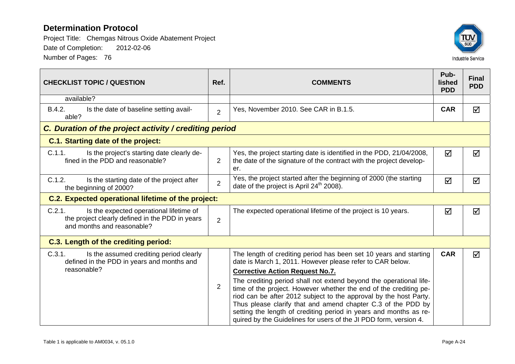

| <b>CHECKLIST TOPIC / QUESTION</b>                                                                                                  | Ref.           | <b>COMMENTS</b>                                                                                                                                                                                                                                                                                                                                                                                                                                                                                                                                                                                    |                      | <b>Final</b><br><b>PDD</b> |
|------------------------------------------------------------------------------------------------------------------------------------|----------------|----------------------------------------------------------------------------------------------------------------------------------------------------------------------------------------------------------------------------------------------------------------------------------------------------------------------------------------------------------------------------------------------------------------------------------------------------------------------------------------------------------------------------------------------------------------------------------------------------|----------------------|----------------------------|
| available?                                                                                                                         |                |                                                                                                                                                                                                                                                                                                                                                                                                                                                                                                                                                                                                    |                      |                            |
| B.4.2.<br>Is the date of baseline setting avail-<br>able?                                                                          | $\overline{2}$ | Yes, November 2010. See CAR in B.1.5.                                                                                                                                                                                                                                                                                                                                                                                                                                                                                                                                                              | <b>CAR</b>           | ☑                          |
| C. Duration of the project activity / crediting period                                                                             |                |                                                                                                                                                                                                                                                                                                                                                                                                                                                                                                                                                                                                    |                      |                            |
| <b>C.1. Starting date of the project:</b>                                                                                          |                |                                                                                                                                                                                                                                                                                                                                                                                                                                                                                                                                                                                                    |                      |                            |
| C.1.1.<br>Is the project's starting date clearly de-<br>fined in the PDD and reasonable?                                           | 2              | Yes, the project starting date is identified in the PDD, 21/04/2008,<br>the date of the signature of the contract with the project develop-<br>er.                                                                                                                                                                                                                                                                                                                                                                                                                                                 | ☑                    | ☑                          |
| C.1.2.<br>Is the starting date of the project after<br>the beginning of 2000?                                                      | $\overline{2}$ | Yes, the project started after the beginning of 2000 (the starting<br>date of the project is April 24 <sup>th</sup> 2008).                                                                                                                                                                                                                                                                                                                                                                                                                                                                         | $\blacktriangledown$ | ☑                          |
| <b>C.2. Expected operational lifetime of the project:</b>                                                                          |                |                                                                                                                                                                                                                                                                                                                                                                                                                                                                                                                                                                                                    |                      |                            |
| C.2.1.<br>Is the expected operational lifetime of<br>the project clearly defined in the PDD in years<br>and months and reasonable? | $\overline{2}$ | The expected operational lifetime of the project is 10 years.                                                                                                                                                                                                                                                                                                                                                                                                                                                                                                                                      | $\blacktriangledown$ | ☑                          |
| <b>C.3. Length of the crediting period:</b>                                                                                        |                |                                                                                                                                                                                                                                                                                                                                                                                                                                                                                                                                                                                                    |                      |                            |
| C.3.1.<br>Is the assumed crediting period clearly<br>defined in the PDD in years and months and<br>reasonable?                     | $\overline{2}$ | The length of crediting period has been set 10 years and starting<br>date is March 1, 2011. However please refer to CAR below.<br><b>Corrective Action Request No.7.</b><br>The crediting period shall not extend beyond the operational life-<br>time of the project. However whether the end of the crediting pe-<br>riod can be after 2012 subject to the approval by the host Party.<br>Thus please clarify that and amend chapter C.3 of the PDD by<br>setting the length of crediting period in years and months as re-<br>quired by the Guidelines for users of the JI PDD form, version 4. | <b>CAR</b>           | ☑                          |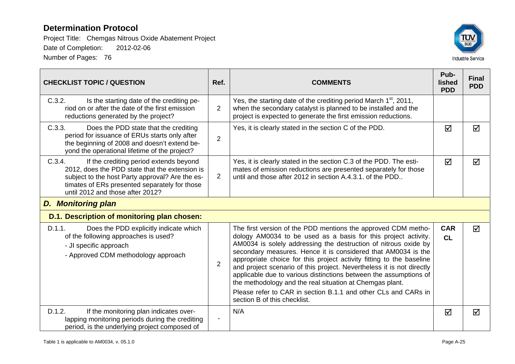

| <b>CHECKLIST TOPIC / QUESTION</b>                                                                                                                                                                                                          | Ref.           | <b>COMMENTS</b>                                                                                                                                                                                                                                                                                                                                                                                                                                                                                                                                                                                                                                         | Pub-<br><b>lished</b><br><b>PDD</b> | <b>Final</b><br><b>PDD</b> |  |  |
|--------------------------------------------------------------------------------------------------------------------------------------------------------------------------------------------------------------------------------------------|----------------|---------------------------------------------------------------------------------------------------------------------------------------------------------------------------------------------------------------------------------------------------------------------------------------------------------------------------------------------------------------------------------------------------------------------------------------------------------------------------------------------------------------------------------------------------------------------------------------------------------------------------------------------------------|-------------------------------------|----------------------------|--|--|
| C.3.2.<br>Is the starting date of the crediting pe-<br>riod on or after the date of the first emission<br>reductions generated by the project?                                                                                             | $\overline{2}$ | Yes, the starting date of the crediting period March 1 <sup>st</sup> , 2011,<br>when the secondary catalyst is planned to be installed and the<br>project is expected to generate the first emission reductions.                                                                                                                                                                                                                                                                                                                                                                                                                                        |                                     |                            |  |  |
| C.3.3.<br>Does the PDD state that the crediting<br>period for issuance of ERUs starts only after<br>the beginning of 2008 and doesn't extend be-<br>yond the operational lifetime of the project?                                          | $\overline{2}$ | Yes, it is clearly stated in the section C of the PDD.                                                                                                                                                                                                                                                                                                                                                                                                                                                                                                                                                                                                  | ☑                                   | ☑                          |  |  |
| C.3.4.<br>If the crediting period extends beyond<br>2012, does the PDD state that the extension is<br>subject to the host Party approval? Are the es-<br>timates of ERs presented separately for those<br>until 2012 and those after 2012? | $\overline{2}$ | Yes, it is clearly stated in the section C.3 of the PDD. The esti-<br>mates of emission reductions are presented separately for those<br>until and those after 2012 in section A.4.3.1, of the PDD.                                                                                                                                                                                                                                                                                                                                                                                                                                                     | ☑                                   | ☑                          |  |  |
| <b>D. Monitoring plan</b>                                                                                                                                                                                                                  |                |                                                                                                                                                                                                                                                                                                                                                                                                                                                                                                                                                                                                                                                         |                                     |                            |  |  |
| D.1. Description of monitoring plan chosen:                                                                                                                                                                                                |                |                                                                                                                                                                                                                                                                                                                                                                                                                                                                                                                                                                                                                                                         |                                     |                            |  |  |
| D.1.1.<br>Does the PDD explicitly indicate which<br>of the following approaches is used?<br>- JI specific approach<br>- Approved CDM methodology approach                                                                                  | $\overline{2}$ | The first version of the PDD mentions the approved CDM metho-<br>dology AM0034 to be used as a basis for this project activity.<br>AM0034 is solely addressing the destruction of nitrous oxide by<br>secondary measures. Hence it is considered that AM0034 is the<br>appropriate choice for this project activity fitting to the baseline<br>and project scenario of this project. Nevertheless it is not directly<br>applicable due to various distinctions between the assumptions of<br>the methodology and the real situation at Chemgas plant.<br>Please refer to CAR in section B.1.1 and other CLs and CARs in<br>section B of this checklist. | <b>CAR</b><br>CL                    | ☑                          |  |  |
| D.1.2.<br>If the monitoring plan indicates over-<br>lapping monitoring periods during the crediting<br>period, is the underlying project composed of                                                                                       |                | N/A                                                                                                                                                                                                                                                                                                                                                                                                                                                                                                                                                                                                                                                     | ☑                                   | ☑                          |  |  |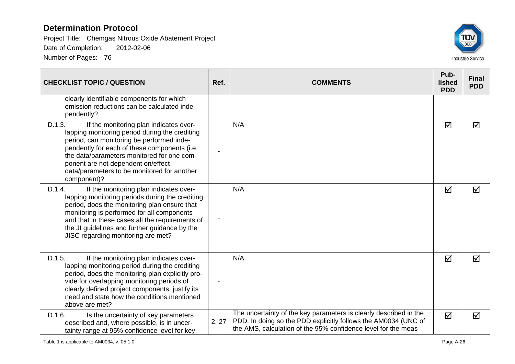

| <b>CHECKLIST TOPIC / QUESTION</b>                                                                                                                                                                                                                                                                                                                 | Ref.  | <b>COMMENTS</b>                                                                                                                                                                                       | Pub-<br>lished<br><b>PDD</b> | <b>Final</b><br><b>PDD</b> |
|---------------------------------------------------------------------------------------------------------------------------------------------------------------------------------------------------------------------------------------------------------------------------------------------------------------------------------------------------|-------|-------------------------------------------------------------------------------------------------------------------------------------------------------------------------------------------------------|------------------------------|----------------------------|
| clearly identifiable components for which<br>emission reductions can be calculated inde-<br>pendently?                                                                                                                                                                                                                                            |       |                                                                                                                                                                                                       |                              |                            |
| D.1.3.<br>If the monitoring plan indicates over-<br>lapping monitoring period during the crediting<br>period, can monitoring be performed inde-<br>pendently for each of these components (i.e.<br>the data/parameters monitored for one com-<br>ponent are not dependent on/effect<br>data/parameters to be monitored for another<br>component)? |       | N/A                                                                                                                                                                                                   | ☑                            | ☑                          |
| If the monitoring plan indicates over-<br>D.1.4.<br>lapping monitoring periods during the crediting<br>period, does the monitoring plan ensure that<br>monitoring is performed for all components<br>and that in these cases all the requirements of<br>the JI guidelines and further guidance by the<br>JISC regarding monitoring are met?       |       | N/A                                                                                                                                                                                                   | ☑                            | ☑                          |
| D.1.5.<br>If the monitoring plan indicates over-<br>lapping monitoring period during the crediting<br>period, does the monitoring plan explicitly pro-<br>vide for overlapping monitoring periods of<br>clearly defined project components, justify its<br>need and state how the conditions mentioned<br>above are met?                          |       | N/A                                                                                                                                                                                                   | ☑                            | ☑                          |
| D.1.6.<br>Is the uncertainty of key parameters<br>described and, where possible, is in uncer-<br>tainty range at 95% confidence level for key                                                                                                                                                                                                     | 2, 27 | The uncertainty of the key parameters is clearly described in the<br>PDD. In doing so the PDD explicitly follows the AM0034 (UNC of<br>the AMS, calculation of the 95% confidence level for the meas- | $\blacktriangledown$         | ☑                          |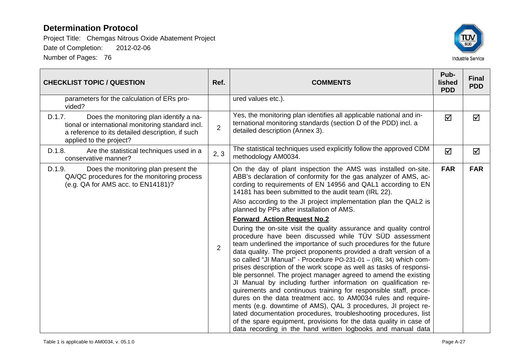

| <b>CHECKLIST TOPIC / QUESTION</b>                                                                                                                                                     | Ref.           | <b>COMMENTS</b>                                                                                                                                                                                                                                                                                                                                                                                                                                                                                                                                                                                                                                                                                                                                                                                                                                                                                                                                                                                                                                                                                                                                                                                                                                                                                                                                                                             | Pub-<br>lished<br><b>PDD</b> | <b>Final</b><br><b>PDD</b> |
|---------------------------------------------------------------------------------------------------------------------------------------------------------------------------------------|----------------|---------------------------------------------------------------------------------------------------------------------------------------------------------------------------------------------------------------------------------------------------------------------------------------------------------------------------------------------------------------------------------------------------------------------------------------------------------------------------------------------------------------------------------------------------------------------------------------------------------------------------------------------------------------------------------------------------------------------------------------------------------------------------------------------------------------------------------------------------------------------------------------------------------------------------------------------------------------------------------------------------------------------------------------------------------------------------------------------------------------------------------------------------------------------------------------------------------------------------------------------------------------------------------------------------------------------------------------------------------------------------------------------|------------------------------|----------------------------|
| parameters for the calculation of ERs pro-<br>vided?                                                                                                                                  |                | ured values etc.).                                                                                                                                                                                                                                                                                                                                                                                                                                                                                                                                                                                                                                                                                                                                                                                                                                                                                                                                                                                                                                                                                                                                                                                                                                                                                                                                                                          |                              |                            |
| Does the monitoring plan identify a na-<br>D.1.7.<br>tional or international monitoring standard incl.<br>a reference to its detailed description, if such<br>applied to the project? | $\overline{2}$ | Yes, the monitoring plan identifies all applicable national and in-<br>ternational monitoring standards (section D of the PDD) incl. a<br>detailed description (Annex 3).                                                                                                                                                                                                                                                                                                                                                                                                                                                                                                                                                                                                                                                                                                                                                                                                                                                                                                                                                                                                                                                                                                                                                                                                                   | ☑                            | ☑                          |
| D.1.8.<br>Are the statistical techniques used in a<br>conservative manner?                                                                                                            | 2, 3           | The statistical techniques used explicitly follow the approved CDM<br>methodology AM0034.                                                                                                                                                                                                                                                                                                                                                                                                                                                                                                                                                                                                                                                                                                                                                                                                                                                                                                                                                                                                                                                                                                                                                                                                                                                                                                   | ☑                            | ☑                          |
| D.1.9.<br>Does the monitoring plan present the<br>QA/QC procedures for the monitoring process<br>(e.g. QA for AMS acc. to EN14181)?                                                   | $\overline{2}$ | On the day of plant inspection the AMS was installed on-site.<br>ABB's declaration of conformity for the gas analyzer of AMS, ac-<br>cording to requirements of EN 14956 and QAL1 according to EN<br>14181 has been submitted to the audit team (IRL 22).<br>Also according to the JI project implementation plan the QAL2 is<br>planned by PPs after installation of AMS.<br><b>Forward Action Request No.2</b><br>During the on-site visit the quality assurance and quality control<br>procedure have been discussed while TÜV SÜD assessment<br>team underlined the importance of such procedures for the future<br>data quality. The project proponents provided a draft version of a<br>so called "Jl Manual" - Procedure PO-231-01 - (IRL 34) which com-<br>prises description of the work scope as well as tasks of responsi-<br>ble personnel. The project manager agreed to amend the existing<br>JI Manual by including further information on qualification re-<br>quirements and continuous training for responsible staff, proce-<br>dures on the data treatment acc. to AM0034 rules and require-<br>ments (e.g. downtime of AMS), QAL 3 procedures, JI project re-<br>lated documentation procedures, troubleshooting procedures, list<br>of the spare equipment, provisions for the data quality in case of<br>data recording in the hand written logbooks and manual data | <b>FAR</b>                   | <b>FAR</b>                 |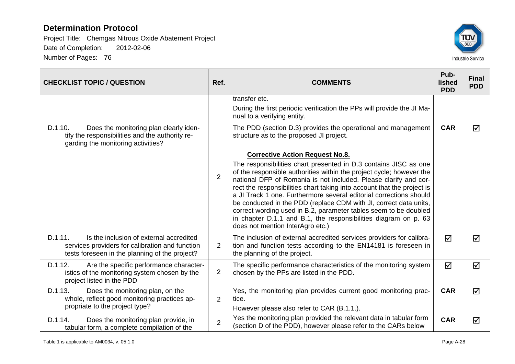

| <b>CHECKLIST TOPIC / QUESTION</b>                                                                                                                       | Ref.           | <b>COMMENTS</b>                                                                                                                                                                                                                                                                                                                                                                                                                                                                                                                                                                                                                                         |            | <b>Final</b><br><b>PDD</b> |
|---------------------------------------------------------------------------------------------------------------------------------------------------------|----------------|---------------------------------------------------------------------------------------------------------------------------------------------------------------------------------------------------------------------------------------------------------------------------------------------------------------------------------------------------------------------------------------------------------------------------------------------------------------------------------------------------------------------------------------------------------------------------------------------------------------------------------------------------------|------------|----------------------------|
|                                                                                                                                                         |                | transfer etc.<br>During the first periodic verification the PPs will provide the JI Ma-<br>nual to a verifying entity.                                                                                                                                                                                                                                                                                                                                                                                                                                                                                                                                  |            |                            |
| D.1.10.<br>Does the monitoring plan clearly iden-<br>tify the responsibilities and the authority re-<br>garding the monitoring activities?              |                | The PDD (section D.3) provides the operational and management<br>structure as to the proposed JI project.                                                                                                                                                                                                                                                                                                                                                                                                                                                                                                                                               | <b>CAR</b> | ☑                          |
|                                                                                                                                                         | 2              | <b>Corrective Action Request No.8.</b><br>The responsibilities chart presented in D.3 contains JISC as one<br>of the responsible authorities within the project cycle; however the<br>national DFP of Romania is not included. Please clarify and cor-<br>rect the responsibilities chart taking into account that the project is<br>a JI Track 1 one. Furthermore several editorial corrections should<br>be conducted in the PDD (replace CDM with JI, correct data units,<br>correct wording used in B.2, parameter tables seem to be doubled<br>in chapter D.1.1 and B.1, the responsibilities diagram on p. 63<br>does not mention InterAgro etc.) |            |                            |
| D.1.11.<br>Is the inclusion of external accredited<br>services providers for calibration and function<br>tests foreseen in the planning of the project? | 2              | The inclusion of external accredited services providers for calibra-<br>tion and function tests according to the EN14181 is foreseen in<br>the planning of the project.                                                                                                                                                                                                                                                                                                                                                                                                                                                                                 | ☑          | ☑                          |
| D.1.12.<br>Are the specific performance character-<br>istics of the monitoring system chosen by the<br>project listed in the PDD                        | 2              | The specific performance characteristics of the monitoring system<br>chosen by the PPs are listed in the PDD.                                                                                                                                                                                                                                                                                                                                                                                                                                                                                                                                           | ☑          | $\Delta$                   |
| D.1.13.<br>Does the monitoring plan, on the<br>whole, reflect good monitoring practices ap-<br>propriate to the project type?                           | 2              | Yes, the monitoring plan provides current good monitoring prac-<br>tice.<br>However please also refer to CAR (B.1.1.).                                                                                                                                                                                                                                                                                                                                                                                                                                                                                                                                  | <b>CAR</b> | ☑                          |
| D.1.14.<br>Does the monitoring plan provide, in<br>tabular form, a complete compilation of the                                                          | $\overline{2}$ | Yes the monitoring plan provided the relevant data in tabular form<br>(section D of the PDD), however please refer to the CARs below                                                                                                                                                                                                                                                                                                                                                                                                                                                                                                                    | <b>CAR</b> | $\Delta$                   |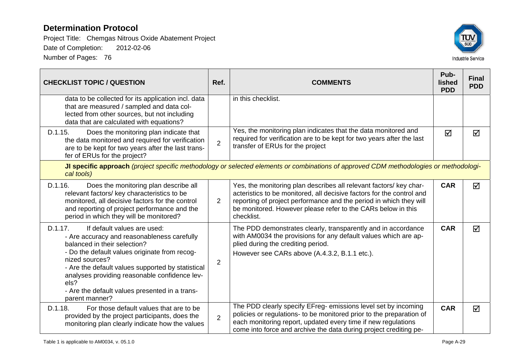

| <b>CHECKLIST TOPIC / QUESTION</b>                                                                                                                                                                                                                                                                                                                                          | Ref.           | <b>COMMENTS</b>                                                                                                                                                                                                                                                                                 |            | <b>Final</b><br><b>PDD</b> |  |  |
|----------------------------------------------------------------------------------------------------------------------------------------------------------------------------------------------------------------------------------------------------------------------------------------------------------------------------------------------------------------------------|----------------|-------------------------------------------------------------------------------------------------------------------------------------------------------------------------------------------------------------------------------------------------------------------------------------------------|------------|----------------------------|--|--|
| data to be collected for its application incl. data<br>that are measured / sampled and data col-<br>lected from other sources, but not including<br>data that are calculated with equations?                                                                                                                                                                               |                | in this checklist.                                                                                                                                                                                                                                                                              |            |                            |  |  |
| D.1.15.<br>Does the monitoring plan indicate that<br>the data monitored and required for verification<br>are to be kept for two years after the last trans-<br>fer of ERUs for the project?                                                                                                                                                                                | $\overline{2}$ | Yes, the monitoring plan indicates that the data monitored and<br>required for verification are to be kept for two years after the last<br>transfer of ERUs for the project                                                                                                                     | ☑          | ☑                          |  |  |
| JI specific approach (project specific methodology or selected elements or combinations of approved CDM methodologies or methodologi-<br>cal tools)                                                                                                                                                                                                                        |                |                                                                                                                                                                                                                                                                                                 |            |                            |  |  |
| D.1.16.<br>Does the monitoring plan describe all<br>relevant factors/ key characteristics to be<br>monitored, all decisive factors for the control<br>and reporting of project performance and the<br>period in which they will be monitored?                                                                                                                              | $\overline{2}$ | Yes, the monitoring plan describes all relevant factors/ key char-<br>acteristics to be monitored, all decisive factors for the control and<br>reporting of project performance and the period in which they will<br>be monitored. However please refer to the CARs below in this<br>checklist. | <b>CAR</b> | ☑                          |  |  |
| D.1.17.<br>If default values are used:<br>- Are accuracy and reasonableness carefully<br>balanced in their selection?<br>- Do the default values originate from recog-<br>nized sources?<br>- Are the default values supported by statistical<br>analyses providing reasonable confidence lev-<br>els?<br>- Are the default values presented in a trans-<br>parent manner? | $\overline{2}$ | The PDD demonstrates clearly, transparently and in accordance<br>with AM0034 the provisions for any default values which are ap-<br>plied during the crediting period.<br>However see CARs above (A.4.3.2, B.1.1 etc.).                                                                         | <b>CAR</b> | ☑                          |  |  |
| D.1.18.<br>For those default values that are to be<br>provided by the project participants, does the<br>monitoring plan clearly indicate how the values                                                                                                                                                                                                                    | $\overline{2}$ | The PDD clearly specify EFreg- emissions level set by incoming<br>policies or regulations- to be monitored prior to the preparation of<br>each monitoring report, updated every time if new regulations<br>come into force and archive the data during project crediting pe-                    | <b>CAR</b> | $\triangledown$            |  |  |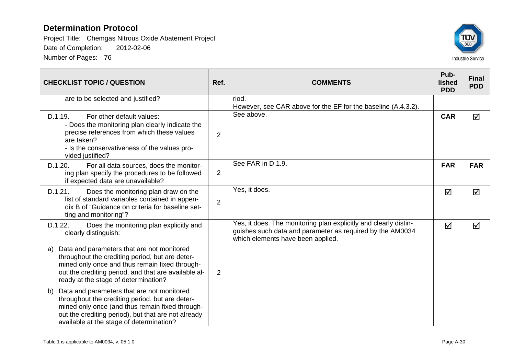

| <b>CHECKLIST TOPIC / QUESTION</b>                                                                                                                                                                                                                         | Ref.           | <b>COMMENTS</b>                                                                                                                                                    | Pub-<br>lished<br><b>PDD</b> | <b>Final</b><br><b>PDD</b> |
|-----------------------------------------------------------------------------------------------------------------------------------------------------------------------------------------------------------------------------------------------------------|----------------|--------------------------------------------------------------------------------------------------------------------------------------------------------------------|------------------------------|----------------------------|
| are to be selected and justified?                                                                                                                                                                                                                         |                | riod.<br>However, see CAR above for the EF for the baseline (A.4.3.2).                                                                                             |                              |                            |
| D.1.19.<br>For other default values:<br>- Does the monitoring plan clearly indicate the<br>precise references from which these values<br>are taken?<br>- Is the conservativeness of the values pro-<br>vided justified?                                   | 2              | See above.                                                                                                                                                         | <b>CAR</b>                   | ☑                          |
| D.1.20.<br>For all data sources, does the monitor-<br>ing plan specify the procedures to be followed<br>if expected data are unavailable?                                                                                                                 | $\overline{2}$ | See FAR in D.1.9.                                                                                                                                                  | <b>FAR</b>                   | <b>FAR</b>                 |
| D.1.21.<br>Does the monitoring plan draw on the<br>list of standard variables contained in appen-<br>dix B of "Guidance on criteria for baseline set-<br>ting and monitoring"?                                                                            | $\overline{2}$ | Yes, it does.                                                                                                                                                      | ☑                            | ☑                          |
| Does the monitoring plan explicitly and<br>D.1.22.<br>clearly distinguish:                                                                                                                                                                                |                | Yes, it does. The monitoring plan explicitly and clearly distin-<br>guishes such data and parameter as required by the AM0034<br>which elements have been applied. | ☑                            | ☑                          |
| Data and parameters that are not monitored<br>a)<br>throughout the crediting period, but are deter-<br>mined only once and thus remain fixed through-<br>out the crediting period, and that are available al-<br>ready at the stage of determination?     | $\overline{2}$ |                                                                                                                                                                    |                              |                            |
| Data and parameters that are not monitored<br>b)<br>throughout the crediting period, but are deter-<br>mined only once (and thus remain fixed through-<br>out the crediting period), but that are not already<br>available at the stage of determination? |                |                                                                                                                                                                    |                              |                            |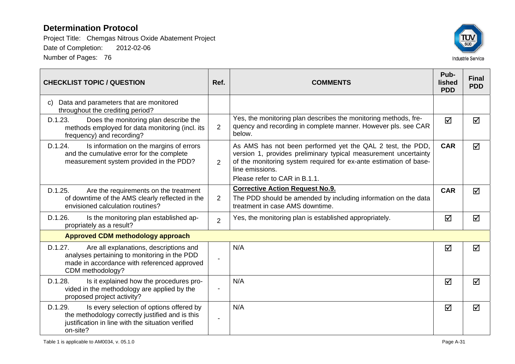

| <b>CHECKLIST TOPIC / QUESTION</b>                                                                                                                                       | Ref.           | <b>COMMENTS</b>                                                                                                                                                                                                                                        | Pub-<br>lished<br><b>PDD</b> | <b>Final</b><br><b>PDD</b> |
|-------------------------------------------------------------------------------------------------------------------------------------------------------------------------|----------------|--------------------------------------------------------------------------------------------------------------------------------------------------------------------------------------------------------------------------------------------------------|------------------------------|----------------------------|
| Data and parameters that are monitored<br>C)<br>throughout the crediting period?                                                                                        |                |                                                                                                                                                                                                                                                        |                              |                            |
| D.1.23.<br>Does the monitoring plan describe the<br>methods employed for data monitoring (incl. its<br>frequency) and recording?                                        | $\overline{2}$ | Yes, the monitoring plan describes the monitoring methods, fre-<br>quency and recording in complete manner. However pls. see CAR<br>below.                                                                                                             | ☑                            | ☑                          |
| D.1.24.<br>Is information on the margins of errors<br>and the cumulative error for the complete<br>measurement system provided in the PDD?                              | $\overline{2}$ | As AMS has not been performed yet the QAL 2 test, the PDD,<br>version 1, provides preliminary typical measurement uncertainty<br>of the monitoring system required for ex-ante estimation of base-<br>line emissions.<br>Please refer to CAR in B.1.1. | <b>CAR</b>                   | $\triangledown$            |
| D.1.25.<br>Are the requirements on the treatment<br>of downtime of the AMS clearly reflected in the<br>envisioned calculation routines?                                 | $\overline{2}$ | <b>Corrective Action Request No.9.</b><br>The PDD should be amended by including information on the data<br>treatment in case AMS downtime.                                                                                                            | <b>CAR</b>                   | ⊠                          |
| D.1.26.<br>Is the monitoring plan established ap-<br>propriately as a result?                                                                                           | $\overline{2}$ | Yes, the monitoring plan is established appropriately.                                                                                                                                                                                                 | ☑                            | ☑                          |
| <b>Approved CDM methodology approach</b>                                                                                                                                |                |                                                                                                                                                                                                                                                        |                              |                            |
| D.1.27.<br>Are all explanations, descriptions and<br>analyses pertaining to monitoring in the PDD<br>made in accordance with referenced approved<br>CDM methodology?    |                | N/A                                                                                                                                                                                                                                                    | ☑                            | ☑                          |
| D.1.28.<br>Is it explained how the procedures pro-<br>vided in the methodology are applied by the<br>proposed project activity?                                         |                | N/A                                                                                                                                                                                                                                                    | ☑                            | $\triangledown$            |
| D.1.29.<br>Is every selection of options offered by<br>the methodology correctly justified and is this<br>justification in line with the situation verified<br>on-site? |                | N/A                                                                                                                                                                                                                                                    | ☑                            | ☑                          |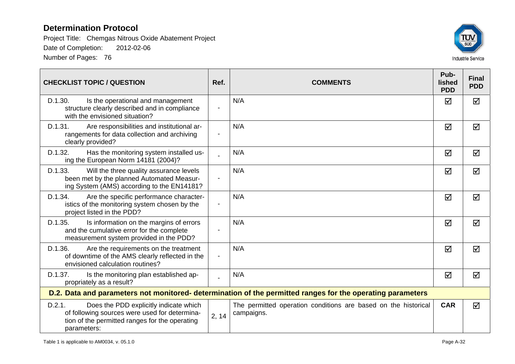

| <b>CHECKLIST TOPIC / QUESTION</b>                                                                                                                                  | Ref.                     | <b>COMMENTS</b>                                                                                            | Pub-<br>lished<br><b>PDD</b> | <b>Final</b><br><b>PDD</b> |
|--------------------------------------------------------------------------------------------------------------------------------------------------------------------|--------------------------|------------------------------------------------------------------------------------------------------------|------------------------------|----------------------------|
| D.1.30.<br>Is the operational and management<br>structure clearly described and in compliance<br>with the envisioned situation?                                    | $\blacksquare$           | N/A                                                                                                        | ☑                            | ☑                          |
| D.1.31.<br>Are responsibilities and institutional ar-<br>rangements for data collection and archiving<br>clearly provided?                                         | $\overline{\phantom{a}}$ | N/A                                                                                                        | ☑                            | ☑                          |
| D.1.32.<br>Has the monitoring system installed us-<br>ing the European Norm 14181 (2004)?                                                                          |                          | N/A                                                                                                        | ☑                            | ☑                          |
| D.1.33.<br>Will the three quality assurance levels<br>been met by the planned Automated Measur-<br>ing System (AMS) according to the EN14181?                      | $\overline{\phantom{a}}$ | N/A                                                                                                        | ☑                            | ☑                          |
| D.1.34.<br>Are the specific performance character-<br>istics of the monitoring system chosen by the<br>project listed in the PDD?                                  | $\overline{\phantom{a}}$ | N/A                                                                                                        | ☑                            | ☑                          |
| D.1.35.<br>Is information on the margins of errors<br>and the cumulative error for the complete<br>measurement system provided in the PDD?                         |                          | N/A                                                                                                        | ☑                            | ☑                          |
| D.1.36.<br>Are the requirements on the treatment<br>of downtime of the AMS clearly reflected in the<br>envisioned calculation routines?                            | $\overline{\phantom{a}}$ | N/A                                                                                                        | ☑                            | ☑                          |
| D.1.37.<br>Is the monitoring plan established ap-<br>propriately as a result?                                                                                      |                          | N/A                                                                                                        | ☑                            | ☑                          |
|                                                                                                                                                                    |                          | D.2. Data and parameters not monitored- determination of the permitted ranges for the operating parameters |                              |                            |
| D.2.1.<br>Does the PDD explicitly indicate which<br>of following sources were used for determina-<br>tion of the permitted ranges for the operating<br>parameters: | 2, 14                    | The permitted operation conditions are based on the historical<br>campaigns.                               | <b>CAR</b>                   | ☑                          |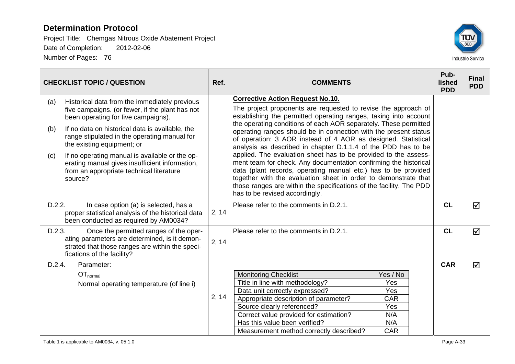

|                   | <b>CHECKLIST TOPIC / QUESTION</b>                                                                                                                                                                                                                                                                                                                                                                                                   | Ref.  | <b>COMMENTS</b>                                                                                                                                                                                                                                                                                                                                                                                                                                                                                                                                                                                                                                                                                                                                                                                                                              |                                                                  | Pub-<br>lished<br><b>PDD</b> | <b>Final</b><br><b>PDD</b> |
|-------------------|-------------------------------------------------------------------------------------------------------------------------------------------------------------------------------------------------------------------------------------------------------------------------------------------------------------------------------------------------------------------------------------------------------------------------------------|-------|----------------------------------------------------------------------------------------------------------------------------------------------------------------------------------------------------------------------------------------------------------------------------------------------------------------------------------------------------------------------------------------------------------------------------------------------------------------------------------------------------------------------------------------------------------------------------------------------------------------------------------------------------------------------------------------------------------------------------------------------------------------------------------------------------------------------------------------------|------------------------------------------------------------------|------------------------------|----------------------------|
| (a)<br>(b)<br>(c) | Historical data from the immediately previous<br>five campaigns. (or fewer, if the plant has not<br>been operating for five campaigns).<br>If no data on historical data is available, the<br>range stipulated in the operating manual for<br>the existing equipment; or<br>If no operating manual is available or the op-<br>erating manual gives insufficient information,<br>from an appropriate technical literature<br>source? |       | <b>Corrective Action Request No.10.</b><br>The project proponents are requested to revise the approach of<br>establishing the permitted operating ranges, taking into account<br>the operating conditions of each AOR separately. These permitted<br>operating ranges should be in connection with the present status<br>of operation: 3 AOR instead of 4 AOR as designed. Statistical<br>analysis as described in chapter D.1.1.4 of the PDD has to be<br>applied. The evaluation sheet has to be provided to the assess-<br>ment team for check. Any documentation confirming the historical<br>data (plant records, operating manual etc.) has to be provided<br>together with the evaluation sheet in order to demonstrate that<br>those ranges are within the specifications of the facility. The PDD<br>has to be revised accordingly. |                                                                  |                              |                            |
| D.2.2.            | In case option (a) is selected, has a<br>proper statistical analysis of the historical data<br>been conducted as required by AM0034?                                                                                                                                                                                                                                                                                                | 2, 14 | Please refer to the comments in D.2.1.                                                                                                                                                                                                                                                                                                                                                                                                                                                                                                                                                                                                                                                                                                                                                                                                       |                                                                  | <b>CL</b>                    | ☑                          |
| D.2.3.            | Once the permitted ranges of the oper-<br>ating parameters are determined, is it demon-<br>strated that those ranges are within the speci-<br>fications of the facility?                                                                                                                                                                                                                                                            | 2, 14 | Please refer to the comments in D.2.1.                                                                                                                                                                                                                                                                                                                                                                                                                                                                                                                                                                                                                                                                                                                                                                                                       |                                                                  | <b>CL</b>                    | $\triangledown$            |
| D.2.4.            | Parameter:<br>OT <sub>normal</sub><br>Normal operating temperature (of line i)                                                                                                                                                                                                                                                                                                                                                      | 2, 14 | <b>Monitoring Checklist</b><br>Title in line with methodology?<br>Data unit correctly expressed?<br>Appropriate description of parameter?<br>Source clearly referenced?<br>Correct value provided for estimation?<br>Has this value been verified?<br>Measurement method correctly described?                                                                                                                                                                                                                                                                                                                                                                                                                                                                                                                                                | Yes / No<br>Yes<br>Yes<br>CAR<br>Yes<br>N/A<br>N/A<br><b>CAR</b> | <b>CAR</b>                   | ☑                          |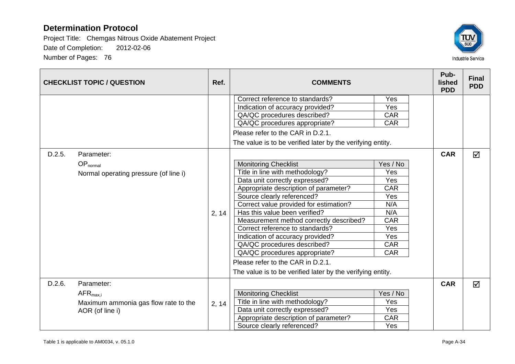

|        | <b>CHECKLIST TOPIC / QUESTION</b>                                                             | Ref.  | <b>COMMENTS</b>                                                                                                                                                                                                                                                                                                                                                                                                                                                                                                                                                                                                                                                                                                                                                                   |                                                                                                                                               | Pub-<br>lished<br><b>PDD</b> | <b>Final</b><br><b>PDD</b> |
|--------|-----------------------------------------------------------------------------------------------|-------|-----------------------------------------------------------------------------------------------------------------------------------------------------------------------------------------------------------------------------------------------------------------------------------------------------------------------------------------------------------------------------------------------------------------------------------------------------------------------------------------------------------------------------------------------------------------------------------------------------------------------------------------------------------------------------------------------------------------------------------------------------------------------------------|-----------------------------------------------------------------------------------------------------------------------------------------------|------------------------------|----------------------------|
| D.2.5. | Parameter:<br>$OP_{normal}$<br>Normal operating pressure (of line i)                          | 2, 14 | Correct reference to standards?<br>Indication of accuracy provided?<br>QA/QC procedures described?<br>QA/QC procedures appropriate?<br>Please refer to the CAR in D.2.1.<br>The value is to be verified later by the verifying entity.<br><b>Monitoring Checklist</b><br>Title in line with methodology?<br>Data unit correctly expressed?<br>Appropriate description of parameter?<br>Source clearly referenced?<br>Correct value provided for estimation?<br>Has this value been verified?<br>Measurement method correctly described?<br>Correct reference to standards?<br>Indication of accuracy provided?<br>QA/QC procedures described?<br>QA/QC procedures appropriate?<br>Please refer to the CAR in D.2.1.<br>The value is to be verified later by the verifying entity. | Yes<br>Yes<br>CAR<br>CAR<br>Yes / No<br>Yes<br>Yes<br><b>CAR</b><br>Yes<br>N/A<br>N/A<br><b>CAR</b><br>Yes<br>Yes<br><b>CAR</b><br><b>CAR</b> | <b>CAR</b>                   | ⊠                          |
| D.2.6. | Parameter:<br>$AFR_{\text{max,i}}$<br>Maximum ammonia gas flow rate to the<br>AOR (of line i) | 2, 14 | <b>Monitoring Checklist</b><br>Title in line with methodology?<br>Data unit correctly expressed?<br>Appropriate description of parameter?<br>Source clearly referenced?                                                                                                                                                                                                                                                                                                                                                                                                                                                                                                                                                                                                           | Yes / No<br>Yes<br>Yes<br><b>CAR</b><br>Yes                                                                                                   | <b>CAR</b>                   | $\triangledown$            |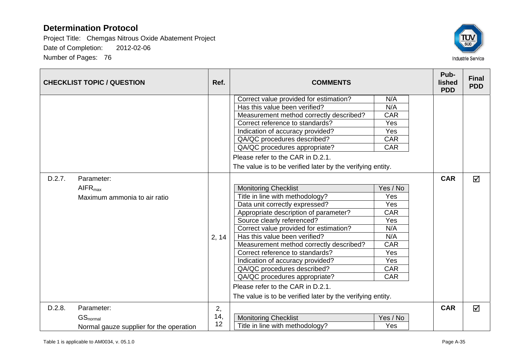

|        | <b>CHECKLIST TOPIC / QUESTION</b>       | Ref.  | <b>COMMENTS</b>                                            |            | Pub-<br>lished<br><b>PDD</b> | <b>Final</b><br><b>PDD</b> |
|--------|-----------------------------------------|-------|------------------------------------------------------------|------------|------------------------------|----------------------------|
|        |                                         |       | Correct value provided for estimation?                     | N/A        |                              |                            |
|        |                                         |       | Has this value been verified?                              | N/A        |                              |                            |
|        |                                         |       | Measurement method correctly described?                    | <b>CAR</b> |                              |                            |
|        |                                         |       | Correct reference to standards?                            | Yes        |                              |                            |
|        |                                         |       | Indication of accuracy provided?                           | Yes        |                              |                            |
|        |                                         |       | QA/QC procedures described?                                | <b>CAR</b> |                              |                            |
|        |                                         |       | QA/QC procedures appropriate?                              | <b>CAR</b> |                              |                            |
|        |                                         |       | Please refer to the CAR in D.2.1.                          |            |                              |                            |
|        |                                         |       | The value is to be verified later by the verifying entity. |            |                              |                            |
| D.2.7. | Parameter:                              |       |                                                            |            | <b>CAR</b>                   | ☑                          |
|        | AIFR <sub>max</sub>                     |       | <b>Monitoring Checklist</b>                                | Yes / No   |                              |                            |
|        | Maximum ammonia to air ratio            |       | Title in line with methodology?                            | Yes        |                              |                            |
|        |                                         |       | Data unit correctly expressed?                             | Yes        |                              |                            |
|        |                                         |       | Appropriate description of parameter?                      | <b>CAR</b> |                              |                            |
|        |                                         |       | Source clearly referenced?                                 | Yes        |                              |                            |
|        |                                         |       | Correct value provided for estimation?                     | N/A        |                              |                            |
|        |                                         | 2, 14 | Has this value been verified?                              | N/A        |                              |                            |
|        |                                         |       | Measurement method correctly described?                    | <b>CAR</b> |                              |                            |
|        |                                         |       | Correct reference to standards?                            | Yes        |                              |                            |
|        |                                         |       | Indication of accuracy provided?                           | Yes        |                              |                            |
|        |                                         |       | QA/QC procedures described?                                | <b>CAR</b> |                              |                            |
|        |                                         |       | QA/QC procedures appropriate?                              | CAR        |                              |                            |
|        |                                         |       | Please refer to the CAR in D.2.1.                          |            |                              |                            |
|        |                                         |       | The value is to be verified later by the verifying entity. |            |                              |                            |
| D.2.8. | Parameter:                              | 2,    |                                                            |            | <b>CAR</b>                   | ☑                          |
|        | GS <sub>normal</sub>                    | 14,   | <b>Monitoring Checklist</b>                                | Yes / No   |                              |                            |
|        | Normal gauze supplier for the operation | 12    | Title in line with methodology?                            | Yes        |                              |                            |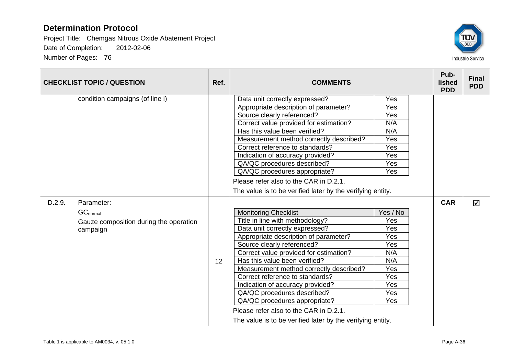

| <b>CHECKLIST TOPIC / QUESTION</b>                                                           | Ref. | <b>COMMENTS</b>                                                                                                                                                                                                                                                                                                                                                                                                                                                                                                                              |                                                                                       | Pub-<br>lished<br><b>PDD</b> | <b>Final</b><br><b>PDD</b> |
|---------------------------------------------------------------------------------------------|------|----------------------------------------------------------------------------------------------------------------------------------------------------------------------------------------------------------------------------------------------------------------------------------------------------------------------------------------------------------------------------------------------------------------------------------------------------------------------------------------------------------------------------------------------|---------------------------------------------------------------------------------------|------------------------------|----------------------------|
| condition campaigns (of line i)                                                             |      | Data unit correctly expressed?<br>Appropriate description of parameter?<br>Source clearly referenced?<br>Correct value provided for estimation?<br>Has this value been verified?<br>Measurement method correctly described?<br>Correct reference to standards?<br>Indication of accuracy provided?<br>QA/QC procedures described?<br>QA/QC procedures appropriate?                                                                                                                                                                           | Yes<br>Yes<br>Yes<br>N/A<br>N/A<br>Yes<br>Yes<br>Yes<br>Yes<br>Yes                    |                              |                            |
|                                                                                             |      | Please refer also to the CAR in D.2.1.<br>The value is to be verified later by the verifying entity.                                                                                                                                                                                                                                                                                                                                                                                                                                         |                                                                                       |                              |                            |
| D.2.9.<br>Parameter:<br>$GC_{normal}$<br>Gauze composition during the operation<br>campaign | 12   | <b>Monitoring Checklist</b><br>Title in line with methodology?<br>Data unit correctly expressed?<br>Appropriate description of parameter?<br>Source clearly referenced?<br>Correct value provided for estimation?<br>Has this value been verified?<br>Measurement method correctly described?<br>Correct reference to standards?<br>Indication of accuracy provided?<br>QA/QC procedures described?<br>QA/QC procedures appropriate?<br>Please refer also to the CAR in D.2.1.<br>The value is to be verified later by the verifying entity. | Yes / No<br>Yes<br>Yes<br>Yes<br>Yes<br>N/A<br>N/A<br>Yes<br>Yes<br>Yes<br>Yes<br>Yes | <b>CAR</b>                   | $\triangledown$            |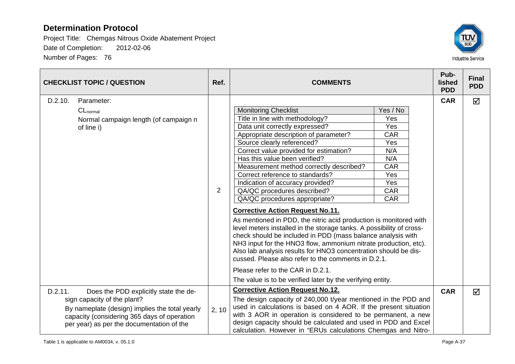

| <b>CHECKLIST TOPIC / QUESTION</b> |                                                                                                                                                                                                                    | Ref.           | <b>COMMENTS</b>                                                                                                                                                                                                                                                                                                                                                                                                                                                                                                                                                                                                                                                                                                                                                                                                                                                                                                                                                                             |                                                                                                                   | Pub-<br>lished<br><b>PDD</b> | <b>Final</b><br><b>PDD</b> |
|-----------------------------------|--------------------------------------------------------------------------------------------------------------------------------------------------------------------------------------------------------------------|----------------|---------------------------------------------------------------------------------------------------------------------------------------------------------------------------------------------------------------------------------------------------------------------------------------------------------------------------------------------------------------------------------------------------------------------------------------------------------------------------------------------------------------------------------------------------------------------------------------------------------------------------------------------------------------------------------------------------------------------------------------------------------------------------------------------------------------------------------------------------------------------------------------------------------------------------------------------------------------------------------------------|-------------------------------------------------------------------------------------------------------------------|------------------------------|----------------------------|
| D.2.10.                           | Parameter:<br>$CL_{normal}$<br>Normal campaign length (of campaign n<br>of line i)                                                                                                                                 | $\overline{2}$ | <b>Monitoring Checklist</b><br>Title in line with methodology?<br>Data unit correctly expressed?<br>Appropriate description of parameter?<br>Source clearly referenced?<br>Correct value provided for estimation?<br>Has this value been verified?<br>Measurement method correctly described?<br>Correct reference to standards?<br>Indication of accuracy provided?<br>QA/QC procedures described?<br>QA/QC procedures appropriate?<br><b>Corrective Action Request No.11.</b><br>As mentioned in PDD, the nitric acid production is monitored with<br>level meters installed in the storage tanks. A possibility of cross-<br>check should be included in PDD (mass balance analysis with<br>NH3 input for the HNO3 flow, ammonium nitrate production, etc).<br>Also lab analysis results for HNO3 concentration should be dis-<br>cussed. Please also refer to the comments in D.2.1.<br>Please refer to the CAR in D.2.1.<br>The value is to be verified later by the verifying entity. | Yes / No<br>Yes<br>Yes<br><b>CAR</b><br>Yes<br>N/A<br>N/A<br><b>CAR</b><br>Yes<br>Yes<br><b>CAR</b><br><b>CAR</b> | <b>CAR</b>                   | $\Delta$                   |
| D.2.11.                           | Does the PDD explicitly state the de-<br>sign capacity of the plant?<br>By nameplate (design) implies the total yearly<br>capacity (considering 365 days of operation<br>per year) as per the documentation of the | 2, 10          | <b>Corrective Action Request No.12.</b><br>The design capacity of 240,000 t/year mentioned in the PDD and<br>used in calculations is based on 4 AOR. If the present situation<br>with 3 AOR in operation is considered to be permanent, a new<br>design capacity should be calculated and used in PDD and Excel<br>calculation. However in "ERUs calculations Chemgas and Nitro-                                                                                                                                                                                                                                                                                                                                                                                                                                                                                                                                                                                                            |                                                                                                                   | <b>CAR</b>                   | ☑                          |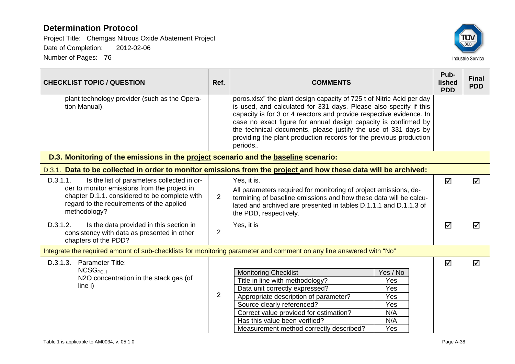

| <b>CHECKLIST TOPIC / QUESTION</b>                                                                                                                                                                                    | Ref.           | <b>COMMENTS</b>                                                                                                                                                                                                                                                                                                                                                                                                                         |                                                           | Pub-<br>lished<br><b>PDD</b> | <b>Final</b><br><b>PDD</b> |  |
|----------------------------------------------------------------------------------------------------------------------------------------------------------------------------------------------------------------------|----------------|-----------------------------------------------------------------------------------------------------------------------------------------------------------------------------------------------------------------------------------------------------------------------------------------------------------------------------------------------------------------------------------------------------------------------------------------|-----------------------------------------------------------|------------------------------|----------------------------|--|
| plant technology provider (such as the Opera-<br>tion Manual).                                                                                                                                                       |                | poros.xlsx" the plant design capacity of 725 t of Nitric Acid per day<br>is used, and calculated for 331 days. Please also specify if this<br>capacity is for 3 or 4 reactors and provide respective evidence. In<br>case no exact figure for annual design capacity is confirmed by<br>the technical documents, please justify the use of 331 days by<br>providing the plant production records for the previous production<br>periods |                                                           |                              |                            |  |
| D.3. Monitoring of the emissions in the project scenario and the baseline scenario:                                                                                                                                  |                |                                                                                                                                                                                                                                                                                                                                                                                                                                         |                                                           |                              |                            |  |
| D.3.1. Data to be collected in order to monitor emissions from the project and how these data will be archived:                                                                                                      |                |                                                                                                                                                                                                                                                                                                                                                                                                                                         |                                                           |                              |                            |  |
| D.3.1.1.<br>Is the list of parameters collected in or-<br>der to monitor emissions from the project in<br>chapter D.1.1. considered to be complete with<br>regard to the requirements of the applied<br>methodology? | 2              | Yes, it is.<br>All parameters required for monitoring of project emissions, de-<br>termining of baseline emissions and how these data will be calcu-<br>lated and archived are presented in tables D.1.1.1 and D.1.1.3 of<br>the PDD, respectively.                                                                                                                                                                                     |                                                           | ☑                            | ☑                          |  |
| D.3.1.2.<br>Is the data provided in this section in<br>consistency with data as presented in other<br>chapters of the PDD?                                                                                           | 2              | Yes, it is                                                                                                                                                                                                                                                                                                                                                                                                                              |                                                           |                              | ⊠                          |  |
| Integrate the required amount of sub-checklists for monitoring parameter and comment on any line answered with "No"                                                                                                  |                |                                                                                                                                                                                                                                                                                                                                                                                                                                         |                                                           |                              |                            |  |
| D.3.1.3. Parameter Title:<br>NCSG <sub>PC. i</sub><br>N2O concentration in the stack gas (of<br>line i)                                                                                                              | $\overline{2}$ | <b>Monitoring Checklist</b><br>Title in line with methodology?<br>Data unit correctly expressed?<br>Appropriate description of parameter?<br>Source clearly referenced?<br>Correct value provided for estimation?<br>Has this value been verified?<br>Measurement method correctly described?                                                                                                                                           | Yes / No<br>Yes<br>Yes<br>Yes<br>Yes<br>N/A<br>N/A<br>Yes | ☑                            | ☑                          |  |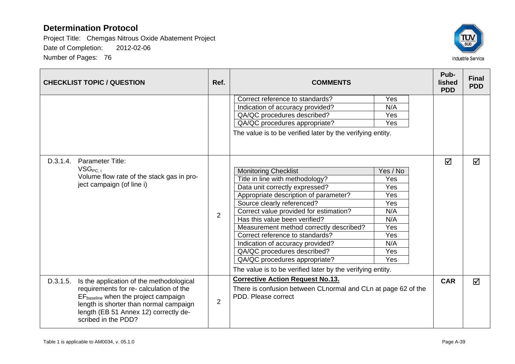

| <b>CHECKLIST TOPIC / QUESTION</b>                                                                                                                          | Ref.           | <b>COMMENTS</b>                                               |          | Pub-<br>lished<br><b>PDD</b> | <b>Final</b><br><b>PDD</b> |
|------------------------------------------------------------------------------------------------------------------------------------------------------------|----------------|---------------------------------------------------------------|----------|------------------------------|----------------------------|
|                                                                                                                                                            |                | Correct reference to standards?                               | Yes      |                              |                            |
|                                                                                                                                                            |                | Indication of accuracy provided?                              | N/A      |                              |                            |
|                                                                                                                                                            |                | QA/QC procedures described?                                   | Yes      |                              |                            |
|                                                                                                                                                            |                | QA/QC procedures appropriate?                                 | Yes      |                              |                            |
|                                                                                                                                                            |                | The value is to be verified later by the verifying entity.    |          |                              |                            |
| D.3.1.4.<br>Parameter Title:                                                                                                                               |                |                                                               |          | $\triangledown$              | ⊠                          |
| $VSG_{PC,i}$                                                                                                                                               |                | <b>Monitoring Checklist</b>                                   | Yes / No |                              |                            |
| Volume flow rate of the stack gas in pro-<br>ject campaign (of line i)                                                                                     |                | Title in line with methodology?                               | Yes      |                              |                            |
|                                                                                                                                                            | $\overline{2}$ | Data unit correctly expressed?                                | Yes      |                              |                            |
|                                                                                                                                                            |                | Appropriate description of parameter?                         | Yes      |                              |                            |
|                                                                                                                                                            |                | Source clearly referenced?                                    | Yes      |                              |                            |
|                                                                                                                                                            |                | Correct value provided for estimation?                        | N/A      |                              |                            |
|                                                                                                                                                            |                | Has this value been verified?                                 | N/A      |                              |                            |
|                                                                                                                                                            |                | Measurement method correctly described?                       | Yes      |                              |                            |
|                                                                                                                                                            |                | Correct reference to standards?                               | Yes      |                              |                            |
|                                                                                                                                                            |                | Indication of accuracy provided?                              | N/A      |                              |                            |
|                                                                                                                                                            |                | QA/QC procedures described?                                   | Yes      |                              |                            |
|                                                                                                                                                            |                | QA/QC procedures appropriate?                                 | Yes      |                              |                            |
|                                                                                                                                                            |                | The value is to be verified later by the verifying entity.    |          |                              |                            |
| D.3.1.5.<br>Is the application of the methodological                                                                                                       |                | <b>Corrective Action Request No.13.</b>                       |          | <b>CAR</b>                   | ☑                          |
| requirements for re- calculation of the                                                                                                                    |                | There is confusion between CLnormal and CLn at page 62 of the |          |                              |                            |
| $EF_{\text{baseline}}$ when the project campaign<br>length is shorter than normal campaign<br>length (EB 51 Annex 12) correctly de-<br>scribed in the PDD? | $\overline{2}$ | PDD. Please correct                                           |          |                              |                            |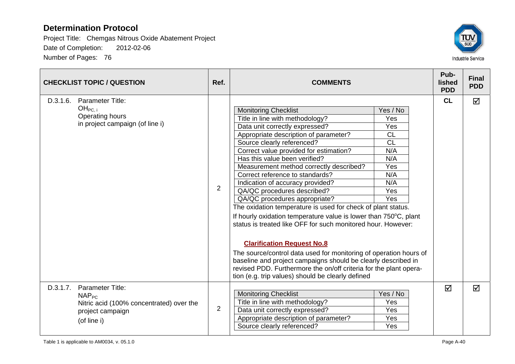

| <b>CHECKLIST TOPIC / QUESTION</b>                                                                                         | Ref.           | <b>COMMENTS</b>                                                                                                                                                                                                                                                                                                                                                                                                                                                                                                                                                                                                                                                                                                                                                                                                                                                                                                                               |                                                                                                   | Pub-<br>lished<br><b>PDD</b> | <b>Final</b><br><b>PDD</b> |
|---------------------------------------------------------------------------------------------------------------------------|----------------|-----------------------------------------------------------------------------------------------------------------------------------------------------------------------------------------------------------------------------------------------------------------------------------------------------------------------------------------------------------------------------------------------------------------------------------------------------------------------------------------------------------------------------------------------------------------------------------------------------------------------------------------------------------------------------------------------------------------------------------------------------------------------------------------------------------------------------------------------------------------------------------------------------------------------------------------------|---------------------------------------------------------------------------------------------------|------------------------------|----------------------------|
| D.3.1.6.<br><b>Parameter Title:</b><br>OH <sub>PC. i</sub><br><b>Operating hours</b><br>in project campaign (of line i)   | $\overline{2}$ | <b>Monitoring Checklist</b><br>Title in line with methodology?<br>Data unit correctly expressed?<br>Appropriate description of parameter?<br>Source clearly referenced?<br>Correct value provided for estimation?<br>Has this value been verified?<br>Measurement method correctly described?<br>Correct reference to standards?<br>Indication of accuracy provided?<br>QA/QC procedures described?<br>QA/QC procedures appropriate?<br>The oxidation temperature is used for check of plant status.<br>If hourly oxidation temperature value is lower than 750°C, plant<br>status is treated like OFF for such monitored hour. However:<br><b>Clarification Request No.8</b><br>The source/control data used for monitoring of operation hours of<br>baseline and project campaigns should be clearly described in<br>revised PDD. Furthermore the on/off criteria for the plant opera-<br>tion (e.g. trip values) should be clearly defined | Yes / No<br>Yes<br>Yes<br><b>CL</b><br><b>CL</b><br>N/A<br>N/A<br>Yes<br>N/A<br>N/A<br>Yes<br>Yes | <b>CL</b>                    | ☑                          |
| D.3.1.7.<br>Parameter Title:<br>$NAP_{PC}$<br>Nitric acid (100% concentrated) over the<br>project campaign<br>(of line i) | $\overline{2}$ | <b>Monitoring Checklist</b><br>Title in line with methodology?<br>Data unit correctly expressed?<br>Appropriate description of parameter?<br>Source clearly referenced?                                                                                                                                                                                                                                                                                                                                                                                                                                                                                                                                                                                                                                                                                                                                                                       | Yes / No<br>Yes<br>Yes<br>Yes<br>Yes                                                              | ☑                            | ☑                          |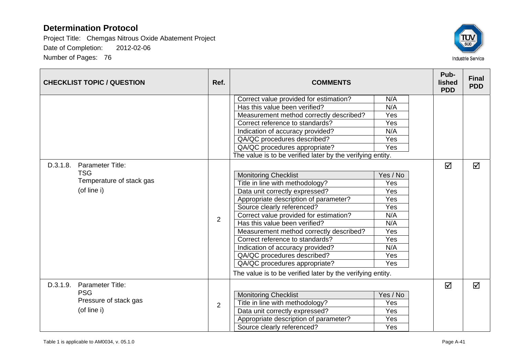

|                          | <b>CHECKLIST TOPIC / QUESTION</b> | Ref.                            | <b>COMMENTS</b>                                            |          | Pub-<br>lished<br><b>PDD</b> | <b>Final</b><br><b>PDD</b> |
|--------------------------|-----------------------------------|---------------------------------|------------------------------------------------------------|----------|------------------------------|----------------------------|
|                          |                                   |                                 | Correct value provided for estimation?                     | N/A      |                              |                            |
|                          |                                   |                                 | Has this value been verified?                              | N/A      |                              |                            |
|                          |                                   |                                 | Measurement method correctly described?                    | Yes      |                              |                            |
|                          |                                   |                                 | Correct reference to standards?                            | Yes      |                              |                            |
|                          |                                   |                                 | Indication of accuracy provided?                           | N/A      |                              |                            |
|                          |                                   |                                 | QA/QC procedures described?                                | Yes      |                              |                            |
|                          |                                   |                                 | QA/QC procedures appropriate?                              | Yes      |                              |                            |
|                          |                                   |                                 | The value is to be verified later by the verifying entity. |          |                              |                            |
| D.3.1.8.                 | Parameter Title:                  |                                 |                                                            |          | ☑                            | ☑                          |
| <b>TSG</b>               |                                   |                                 | <b>Monitoring Checklist</b>                                | Yes / No |                              |                            |
| Temperature of stack gas |                                   | Title in line with methodology? | Yes                                                        |          |                              |                            |
|                          | (of line i)                       |                                 | Data unit correctly expressed?                             | Yes      |                              |                            |
|                          |                                   |                                 | Appropriate description of parameter?                      | Yes      |                              |                            |
|                          |                                   |                                 | Source clearly referenced?                                 | Yes      |                              |                            |
|                          |                                   |                                 | Correct value provided for estimation?                     | N/A      |                              |                            |
|                          |                                   | $\overline{2}$                  | Has this value been verified?                              | N/A      |                              |                            |
|                          |                                   |                                 | Measurement method correctly described?                    | Yes      |                              |                            |
|                          |                                   |                                 | Correct reference to standards?                            | Yes      |                              |                            |
|                          |                                   |                                 | Indication of accuracy provided?                           | N/A      |                              |                            |
|                          |                                   |                                 | QA/QC procedures described?                                | Yes      |                              |                            |
|                          |                                   |                                 | QA/QC procedures appropriate?                              | Yes      |                              |                            |
|                          |                                   |                                 | The value is to be verified later by the verifying entity. |          |                              |                            |
| D.3.1.9.                 | Parameter Title:                  |                                 |                                                            |          | ☑                            | $\triangledown$            |
| <b>PSG</b>               |                                   |                                 | <b>Monitoring Checklist</b>                                | Yes / No |                              |                            |
|                          | Pressure of stack gas             |                                 | Title in line with methodology?                            | Yes      |                              |                            |
|                          | (of line i)                       | $\overline{2}$                  | Data unit correctly expressed?                             | Yes      |                              |                            |
|                          |                                   |                                 | Appropriate description of parameter?                      | Yes      |                              |                            |
|                          |                                   |                                 | Source clearly referenced?                                 | Yes      |                              |                            |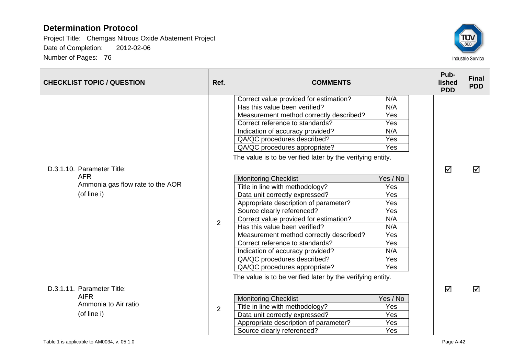

| <b>CHECKLIST TOPIC / QUESTION</b>   | Ref.           | <b>COMMENTS</b>                                            |          | Pub-<br>lished<br><b>PDD</b> | <b>Final</b><br><b>PDD</b> |
|-------------------------------------|----------------|------------------------------------------------------------|----------|------------------------------|----------------------------|
|                                     |                | Correct value provided for estimation?                     | N/A      |                              |                            |
|                                     |                | Has this value been verified?                              | N/A      |                              |                            |
|                                     |                | Measurement method correctly described?                    | Yes      |                              |                            |
|                                     |                | Correct reference to standards?                            | Yes      |                              |                            |
|                                     |                | Indication of accuracy provided?                           | N/A      |                              |                            |
|                                     |                | QA/QC procedures described?                                | Yes      |                              |                            |
|                                     |                | QA/QC procedures appropriate?                              | Yes      |                              |                            |
|                                     |                | The value is to be verified later by the verifying entity. |          |                              |                            |
| D.3.1.10. Parameter Title:          |                |                                                            |          | ☑                            | ☑                          |
| <b>AFR</b>                          | $\overline{2}$ | <b>Monitoring Checklist</b>                                | Yes / No |                              |                            |
| Ammonia gas flow rate to the AOR    |                | Title in line with methodology?                            | Yes      |                              |                            |
| (of line i)                         |                | Data unit correctly expressed?                             | Yes      |                              |                            |
|                                     |                | Appropriate description of parameter?                      | Yes      |                              |                            |
|                                     |                | Source clearly referenced?                                 | Yes      |                              |                            |
|                                     |                | Correct value provided for estimation?                     | N/A      |                              |                            |
|                                     |                | Has this value been verified?                              | N/A      |                              |                            |
|                                     |                | Measurement method correctly described?                    | Yes      |                              |                            |
|                                     |                | Correct reference to standards?                            | Yes      |                              |                            |
|                                     |                | Indication of accuracy provided?                           | N/A      |                              |                            |
|                                     |                | QA/QC procedures described?                                | Yes      |                              |                            |
|                                     |                | QA/QC procedures appropriate?                              | Yes      |                              |                            |
|                                     |                | The value is to be verified later by the verifying entity. |          |                              |                            |
| D.3.1.11. Parameter Title:          |                |                                                            |          | ☑                            | $\triangledown$            |
| <b>AIFR</b><br>Ammonia to Air ratio |                | <b>Monitoring Checklist</b>                                | Yes / No |                              |                            |
|                                     | $\overline{2}$ | Title in line with methodology?                            | Yes      |                              |                            |
| (of line i)                         |                | Data unit correctly expressed?                             | Yes      |                              |                            |
|                                     |                | Appropriate description of parameter?                      | Yes      |                              |                            |
|                                     |                | Source clearly referenced?                                 | Yes      |                              |                            |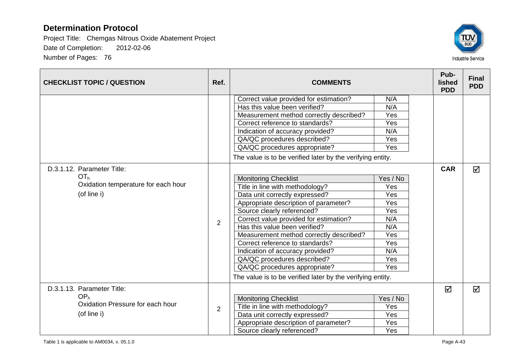

| <b>CHECKLIST TOPIC / QUESTION</b>   | Ref.           | <b>COMMENTS</b>                                            |          | Pub-<br><b>lished</b><br><b>PDD</b> | <b>Final</b><br><b>PDD</b> |
|-------------------------------------|----------------|------------------------------------------------------------|----------|-------------------------------------|----------------------------|
|                                     |                | Correct value provided for estimation?                     | N/A      |                                     |                            |
|                                     |                | Has this value been verified?                              | N/A      |                                     |                            |
|                                     |                | Measurement method correctly described?                    | Yes      |                                     |                            |
|                                     |                | Correct reference to standards?                            | Yes      |                                     |                            |
|                                     |                | Indication of accuracy provided?                           | N/A      |                                     |                            |
|                                     |                | QA/QC procedures described?                                | Yes      |                                     |                            |
|                                     |                | QA/QC procedures appropriate?                              | Yes      |                                     |                            |
|                                     |                | The value is to be verified later by the verifying entity. |          |                                     |                            |
| D.3.1.12. Parameter Title:          |                |                                                            |          | <b>CAR</b>                          | ☑                          |
| OT <sub>h</sub>                     |                | <b>Monitoring Checklist</b>                                | Yes / No |                                     |                            |
| Oxidation temperature for each hour |                | Title in line with methodology?                            | Yes      |                                     |                            |
| (of line i)                         |                | Data unit correctly expressed?                             | Yes      |                                     |                            |
|                                     |                | Appropriate description of parameter?                      | Yes      |                                     |                            |
|                                     |                | Source clearly referenced?                                 | Yes      |                                     |                            |
|                                     | $\overline{2}$ | Correct value provided for estimation?                     | N/A      |                                     |                            |
|                                     |                | Has this value been verified?                              | N/A      |                                     |                            |
|                                     |                | Measurement method correctly described?                    | Yes      |                                     |                            |
|                                     |                | Correct reference to standards?                            | Yes      |                                     |                            |
|                                     |                | Indication of accuracy provided?                           | N/A      |                                     |                            |
|                                     |                | QA/QC procedures described?                                | Yes      |                                     |                            |
|                                     |                | QA/QC procedures appropriate?                              | Yes      |                                     |                            |
|                                     |                | The value is to be verified later by the verifying entity. |          |                                     |                            |
| D.3.1.13. Parameter Title:          |                |                                                            |          | ☑                                   | ☑                          |
| OP <sub>h</sub>                     |                | <b>Monitoring Checklist</b>                                | Yes / No |                                     |                            |
| Oxidation Pressure for each hour    | $\overline{2}$ | Title in line with methodology?                            | Yes      |                                     |                            |
| (of line i)                         |                | Data unit correctly expressed?                             | Yes      |                                     |                            |
|                                     |                | Appropriate description of parameter?                      | Yes      |                                     |                            |
|                                     |                | Source clearly referenced?                                 | Yes      |                                     |                            |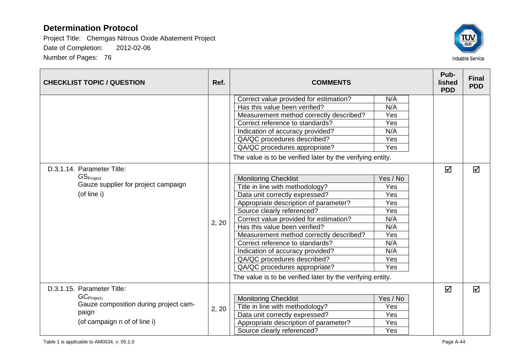

| <b>CHECKLIST TOPIC / QUESTION</b>     | Ref.  | <b>COMMENTS</b>                                            |          | Pub-<br>lished<br><b>PDD</b> | <b>Final</b><br><b>PDD</b> |
|---------------------------------------|-------|------------------------------------------------------------|----------|------------------------------|----------------------------|
|                                       |       | Correct value provided for estimation?                     | N/A      |                              |                            |
|                                       |       | Has this value been verified?                              | N/A      |                              |                            |
|                                       |       | Measurement method correctly described?                    | Yes      |                              |                            |
|                                       |       | Correct reference to standards?                            | Yes      |                              |                            |
|                                       |       | Indication of accuracy provided?                           | N/A      |                              |                            |
|                                       |       | QA/QC procedures described?                                | Yes      |                              |                            |
|                                       |       | QA/QC procedures appropriate?                              | Yes      |                              |                            |
|                                       |       | The value is to be verified later by the verifying entity. |          |                              |                            |
| D.3.1.14. Parameter Title:            |       |                                                            |          | ☑                            | $\triangledown$            |
| GS <sub>Project</sub>                 |       | <b>Monitoring Checklist</b>                                | Yes / No |                              |                            |
| Gauze supplier for project campaign   |       | Title in line with methodology?                            | Yes      |                              |                            |
| (of line i)                           |       | Data unit correctly expressed?                             | Yes      |                              |                            |
|                                       |       | Appropriate description of parameter?                      | Yes      |                              |                            |
|                                       |       | Source clearly referenced?                                 | Yes      |                              |                            |
|                                       | 2, 20 | Correct value provided for estimation?                     | N/A      |                              |                            |
|                                       |       | Has this value been verified?                              | N/A      |                              |                            |
|                                       |       | Measurement method correctly described?                    | Yes      |                              |                            |
|                                       |       | Correct reference to standards?                            | N/A      |                              |                            |
|                                       |       | Indication of accuracy provided?                           | N/A      |                              |                            |
|                                       |       | QA/QC procedures described?                                | Yes      |                              |                            |
|                                       |       | QA/QC procedures appropriate?                              | Yes      |                              |                            |
|                                       |       | The value is to be verified later by the verifying entity. |          |                              |                            |
| D.3.1.15. Parameter Title:            |       |                                                            |          | ☑                            | $\triangledown$            |
| GC <sub>Project</sub> ,               |       | <b>Monitoring Checklist</b>                                | Yes / No |                              |                            |
| Gauze composition during project cam- | 2, 20 | Title in line with methodology?                            | Yes      |                              |                            |
| paign                                 |       | Data unit correctly expressed?                             | Yes      |                              |                            |
| (of campaign n of of line i)          |       | Appropriate description of parameter?                      | Yes      |                              |                            |
|                                       |       | Source clearly referenced?                                 | Yes      |                              |                            |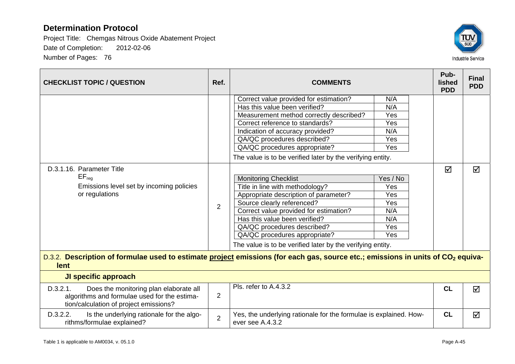

| <b>CHECKLIST TOPIC / QUESTION</b>                                                                                                                                                                                                                    | Ref.           | <b>COMMENTS</b>                                                                                                                                                                                                                                                                                                                                |                                                           | Pub-<br>lished<br><b>PDD</b> | <b>Final</b><br><b>PDD</b> |
|------------------------------------------------------------------------------------------------------------------------------------------------------------------------------------------------------------------------------------------------------|----------------|------------------------------------------------------------------------------------------------------------------------------------------------------------------------------------------------------------------------------------------------------------------------------------------------------------------------------------------------|-----------------------------------------------------------|------------------------------|----------------------------|
|                                                                                                                                                                                                                                                      |                | Correct value provided for estimation?<br>Has this value been verified?<br>Measurement method correctly described?<br>Correct reference to standards?<br>Indication of accuracy provided?<br>QA/QC procedures described?<br>QA/QC procedures appropriate?<br>The value is to be verified later by the verifying entity.                        | N/A<br>N/A<br>Yes<br>Yes<br>N/A<br>Yes<br>Yes             |                              |                            |
| D.3.1.16. Parameter Title<br>$EF_{req}$<br>Emissions level set by incoming policies<br>or regulations<br>D.3.2. Description of formulae used to estimate project emissions (for each gas, source etc.; emissions in units of CO <sub>2</sub> equiva- | 2              | <b>Monitoring Checklist</b><br>Title in line with methodology?<br>Appropriate description of parameter?<br>Source clearly referenced?<br>Correct value provided for estimation?<br>Has this value been verified?<br>QA/QC procedures described?<br>QA/QC procedures appropriate?<br>The value is to be verified later by the verifying entity. | Yes / No<br>Yes<br>Yes<br>Yes<br>N/A<br>N/A<br>Yes<br>Yes | ☑                            | ☑                          |
| lent                                                                                                                                                                                                                                                 |                |                                                                                                                                                                                                                                                                                                                                                |                                                           |                              |                            |
| JI specific approach                                                                                                                                                                                                                                 |                |                                                                                                                                                                                                                                                                                                                                                |                                                           |                              |                            |
| D.3.2.1.<br>Does the monitoring plan elaborate all<br>algorithms and formulae used for the estima-<br>tion/calculation of project emissions?                                                                                                         | 2              | Pls. refer to A.4.3.2                                                                                                                                                                                                                                                                                                                          |                                                           | CL                           | $\triangledown$            |
| D.3.2.2.<br>Is the underlying rationale for the algo-<br>rithms/formulae explained?                                                                                                                                                                  | $\overline{2}$ | Yes, the underlying rationale for the formulae is explained. How-<br>ever see A.4.3.2                                                                                                                                                                                                                                                          |                                                           | CL                           | ☑                          |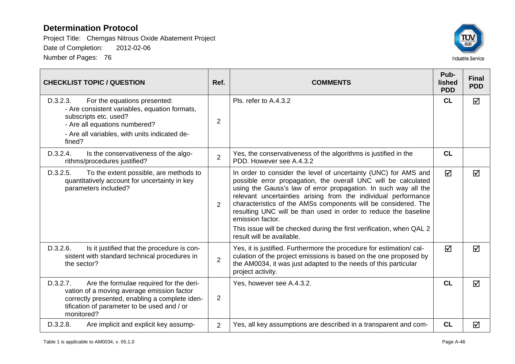

| <b>CHECKLIST TOPIC / QUESTION</b>                                                                                                                                                                                | Ref.           | <b>COMMENTS</b>                                                                                                                                                                                                                                                                                                                                                                                                                                                                                                                      | Pub-<br>lished<br><b>PDD</b> | <b>Final</b><br><b>PDD</b> |
|------------------------------------------------------------------------------------------------------------------------------------------------------------------------------------------------------------------|----------------|--------------------------------------------------------------------------------------------------------------------------------------------------------------------------------------------------------------------------------------------------------------------------------------------------------------------------------------------------------------------------------------------------------------------------------------------------------------------------------------------------------------------------------------|------------------------------|----------------------------|
| D.3.2.3.<br>For the equations presented:<br>- Are consistent variables, equation formats,<br>subscripts etc. used?<br>- Are all equations numbered?<br>- Are all variables, with units indicated de-<br>fined?   | $\overline{2}$ | Pls. refer to A.4.3.2                                                                                                                                                                                                                                                                                                                                                                                                                                                                                                                | <b>CL</b>                    | ☑                          |
| D.3.2.4.<br>Is the conservativeness of the algo-<br>rithms/procedures justified?                                                                                                                                 | $\overline{2}$ | Yes, the conservativeness of the algorithms is justified in the<br>PDD. However see A.4.3.2                                                                                                                                                                                                                                                                                                                                                                                                                                          | CL                           |                            |
| D.3.2.5.<br>To the extent possible, are methods to<br>quantitatively account for uncertainty in key<br>parameters included?                                                                                      | $\overline{2}$ | In order to consider the level of uncertainty (UNC) for AMS and<br>possible error propagation, the overall UNC will be calculated<br>using the Gauss's law of error propagation. In such way all the<br>relevant uncertainties arising from the individual performance<br>characteristics of the AMSs components will be considered. The<br>resulting UNC will be than used in order to reduce the baseline<br>emission factor.<br>This issue will be checked during the first verification, when QAL 2<br>result will be available. | ☑                            | ☑                          |
| D.3.2.6.<br>Is it justified that the procedure is con-<br>sistent with standard technical procedures in<br>the sector?                                                                                           | $\overline{2}$ | Yes, it is justified. Furthermore the procedure for estimation/cal-<br>culation of the project emissions is based on the one proposed by<br>the AM0034, it was just adapted to the needs of this particular<br>project activity.                                                                                                                                                                                                                                                                                                     | $\triangledown$              | $\overline{\mathsf{M}}$    |
| D.3.2.7.<br>Are the formulae required for the deri-<br>vation of a moving average emission factor<br>correctly presented, enabling a complete iden-<br>tification of parameter to be used and / or<br>monitored? | $\overline{2}$ | Yes, however see A.4.3.2.                                                                                                                                                                                                                                                                                                                                                                                                                                                                                                            | CL                           | $\blacktriangledown$       |
| D.3.2.8.<br>Are implicit and explicit key assump-                                                                                                                                                                | $\overline{2}$ | Yes, all key assumptions are described in a transparent and com-                                                                                                                                                                                                                                                                                                                                                                                                                                                                     | CL                           | ☑                          |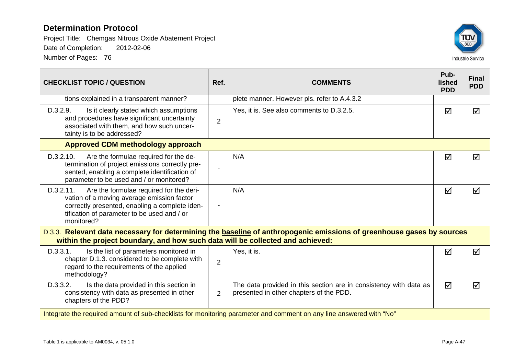

| <b>CHECKLIST TOPIC / QUESTION</b>                                                                                                                                                                                 | Ref.           | <b>COMMENTS</b>                                                                                                       | Pub-<br><b>lished</b><br><b>PDD</b> | <b>Final</b><br><b>PDD</b> |  |
|-------------------------------------------------------------------------------------------------------------------------------------------------------------------------------------------------------------------|----------------|-----------------------------------------------------------------------------------------------------------------------|-------------------------------------|----------------------------|--|
| tions explained in a transparent manner?                                                                                                                                                                          |                | plete manner. However pls. refer to A.4.3.2                                                                           |                                     |                            |  |
| D.3.2.9.<br>Is it clearly stated which assumptions<br>and procedures have significant uncertainty<br>associated with them, and how such uncer-<br>tainty is to be addressed?                                      | $\overline{2}$ | Yes, it is. See also comments to D.3.2.5.                                                                             | ☑                                   | ☑                          |  |
| <b>Approved CDM methodology approach</b>                                                                                                                                                                          |                |                                                                                                                       |                                     |                            |  |
| Are the formulae required for the de-<br>D.3.2.10.<br>termination of project emissions correctly pre-<br>sented, enabling a complete identification of<br>parameter to be used and / or monitored?                |                | N/A                                                                                                                   | ☑                                   | ☑                          |  |
| Are the formulae required for the deri-<br>D.3.2.11.<br>vation of a moving average emission factor<br>correctly presented, enabling a complete iden-<br>tification of parameter to be used and / or<br>monitored? |                | N/A                                                                                                                   | ☑                                   | ⊠                          |  |
| within the project boundary, and how such data will be collected and achieved:                                                                                                                                    |                | D.3.3. Relevant data necessary for determining the baseline of anthropogenic emissions of greenhouse gases by sources |                                     |                            |  |
| D.3.3.1.<br>Is the list of parameters monitored in<br>chapter D.1.3. considered to be complete with<br>regard to the requirements of the applied<br>methodology?                                                  | $\overline{2}$ | Yes, it is.                                                                                                           | ☑                                   | ☑                          |  |
| D.3.3.2.<br>Is the data provided in this section in<br>consistency with data as presented in other<br>chapters of the PDD?                                                                                        | $\overline{2}$ | The data provided in this section are in consistency with data as<br>presented in other chapters of the PDD.          | ☑                                   | ☑                          |  |
| Integrate the required amount of sub-checklists for monitoring parameter and comment on any line answered with "No"                                                                                               |                |                                                                                                                       |                                     |                            |  |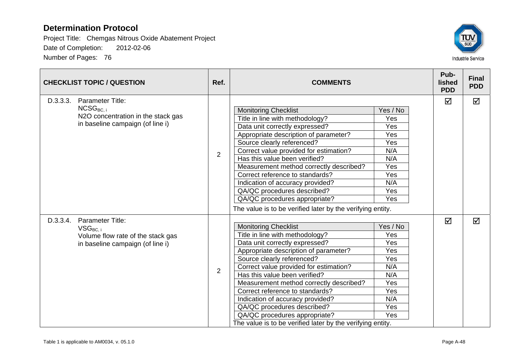

| <b>CHECKLIST TOPIC / QUESTION</b>                                                                                              |                | <b>COMMENTS</b>                                                                                                                                                                                                                                                                                                                                                                                                                                                                                    |                                                                                       | Pub-<br>lished<br><b>PDD</b> | <b>Final</b><br><b>PDD</b> |
|--------------------------------------------------------------------------------------------------------------------------------|----------------|----------------------------------------------------------------------------------------------------------------------------------------------------------------------------------------------------------------------------------------------------------------------------------------------------------------------------------------------------------------------------------------------------------------------------------------------------------------------------------------------------|---------------------------------------------------------------------------------------|------------------------------|----------------------------|
| D.3.3.3.<br><b>Parameter Title:</b><br>$NCSG_{BC,i}$<br>N2O concentration in the stack gas<br>in baseline campaign (of line i) | $\overline{2}$ | <b>Monitoring Checklist</b><br>Title in line with methodology?<br>Data unit correctly expressed?<br>Appropriate description of parameter?<br>Source clearly referenced?<br>Correct value provided for estimation?<br>Has this value been verified?<br>Measurement method correctly described?<br>Correct reference to standards?<br>Indication of accuracy provided?<br>QA/QC procedures described?<br>QA/QC procedures appropriate?<br>The value is to be verified later by the verifying entity. | Yes / No<br>Yes<br>Yes<br>Yes<br>Yes<br>N/A<br>N/A<br>Yes<br>Yes<br>N/A<br>Yes<br>Yes | ☑                            | ☑                          |
| D.3.3.4.<br>Parameter Title:<br>$VSG_{BC,i}$<br>Volume flow rate of the stack gas<br>in baseline campaign (of line i)          | $\overline{2}$ | <b>Monitoring Checklist</b><br>Title in line with methodology?<br>Data unit correctly expressed?<br>Appropriate description of parameter?<br>Source clearly referenced?<br>Correct value provided for estimation?<br>Has this value been verified?<br>Measurement method correctly described?<br>Correct reference to standards?<br>Indication of accuracy provided?<br>QA/QC procedures described?<br>QA/QC procedures appropriate?<br>The value is to be verified later by the verifying entity. | Yes / No<br>Yes<br>Yes<br>Yes<br>Yes<br>N/A<br>N/A<br>Yes<br>Yes<br>N/A<br>Yes<br>Yes | $\Delta$                     | $\Delta$                   |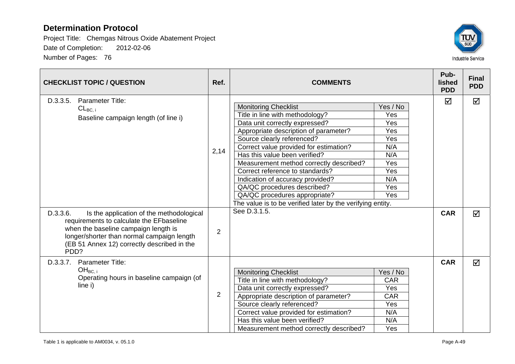

| <b>CHECKLIST TOPIC / QUESTION</b>                                                                                                                                                                                                                                                                                                           |                | <b>COMMENTS</b>                                                                                                                                                                                                                                                                                                                                                                                                                                                                                                    |                                                                                              | Pub-<br>lished<br><b>PDD</b> | <b>Final</b><br><b>PDD</b> |
|---------------------------------------------------------------------------------------------------------------------------------------------------------------------------------------------------------------------------------------------------------------------------------------------------------------------------------------------|----------------|--------------------------------------------------------------------------------------------------------------------------------------------------------------------------------------------------------------------------------------------------------------------------------------------------------------------------------------------------------------------------------------------------------------------------------------------------------------------------------------------------------------------|----------------------------------------------------------------------------------------------|------------------------------|----------------------------|
| D.3.3.5.<br><b>Parameter Title:</b><br>$CL_{BC,i}$<br>Baseline campaign length (of line i)<br>D.3.3.6.<br>Is the application of the methodological<br>requirements to calculate the EFbaseline<br>when the baseline campaign length is<br>longer/shorter than normal campaign length<br>(EB 51 Annex 12) correctly described in the<br>PDD? | 2,14<br>2      | <b>Monitoring Checklist</b><br>Title in line with methodology?<br>Data unit correctly expressed?<br>Appropriate description of parameter?<br>Source clearly referenced?<br>Correct value provided for estimation?<br>Has this value been verified?<br>Measurement method correctly described?<br>Correct reference to standards?<br>Indication of accuracy provided?<br>QA/QC procedures described?<br>QA/QC procedures appropriate?<br>The value is to be verified later by the verifying entity.<br>See D.3.1.5. | Yes / No<br>Yes<br>Yes<br>Yes<br>Yes<br>N/A<br>N/A<br>Yes<br>Yes<br>N/A<br>Yes<br><b>Yes</b> | ☑<br><b>CAR</b>              | ☑<br>☑                     |
| D.3.3.7. Parameter Title:<br>$OH_{BC, i}$<br>Operating hours in baseline campaign (of<br>line i)                                                                                                                                                                                                                                            | $\overline{2}$ | <b>Monitoring Checklist</b><br>Title in line with methodology?<br>Data unit correctly expressed?<br>Appropriate description of parameter?<br>Source clearly referenced?<br>Correct value provided for estimation?<br>Has this value been verified?<br>Measurement method correctly described?                                                                                                                                                                                                                      | Yes / No<br><b>CAR</b><br>Yes<br><b>CAR</b><br>Yes<br>N/A<br>N/A<br>Yes                      | <b>CAR</b>                   | $\triangledown$            |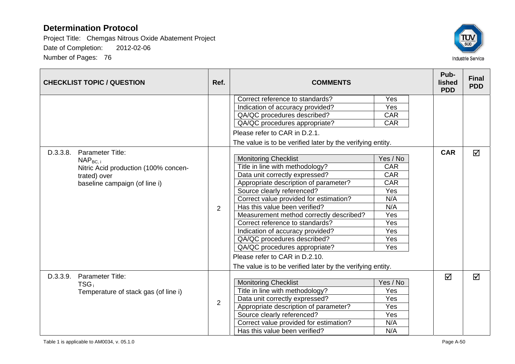

|          | <b>CHECKLIST TOPIC / QUESTION</b>                                                                      | Ref.           | <b>COMMENTS</b>                                            |            |            | <b>Final</b><br><b>PDD</b> |
|----------|--------------------------------------------------------------------------------------------------------|----------------|------------------------------------------------------------|------------|------------|----------------------------|
|          |                                                                                                        |                | Correct reference to standards?                            | Yes        |            |                            |
|          |                                                                                                        |                | Indication of accuracy provided?                           | Yes        |            |                            |
|          |                                                                                                        |                | QA/QC procedures described?                                | CAR        |            |                            |
|          |                                                                                                        |                | QA/QC procedures appropriate?                              | CAR        |            |                            |
|          |                                                                                                        |                | Please refer to CAR in D.2.1.                              |            |            |                            |
|          |                                                                                                        |                | The value is to be verified later by the verifying entity. |            |            |                            |
| D.3.3.8. | Parameter Title:                                                                                       |                |                                                            |            | <b>CAR</b> | ☑                          |
|          | $NAP_{BC. i}$<br>Nitric Acid production (100% concen-<br>trated) over<br>baseline campaign (of line i) |                | <b>Monitoring Checklist</b>                                | Yes / No   |            |                            |
|          |                                                                                                        |                | Title in line with methodology?                            | CAR        |            |                            |
|          |                                                                                                        |                | Data unit correctly expressed?                             | <b>CAR</b> |            |                            |
|          |                                                                                                        | $\overline{2}$ | Appropriate description of parameter?                      | <b>CAR</b> |            |                            |
|          |                                                                                                        |                | Source clearly referenced?                                 | Yes        |            |                            |
|          |                                                                                                        |                | Correct value provided for estimation?                     | N/A        |            |                            |
|          |                                                                                                        |                | Has this value been verified?                              | N/A        |            |                            |
|          |                                                                                                        |                | Measurement method correctly described?                    | Yes        |            |                            |
|          |                                                                                                        |                | Correct reference to standards?                            | Yes        |            |                            |
|          |                                                                                                        |                | Indication of accuracy provided?                           | Yes        |            |                            |
|          |                                                                                                        |                | QA/QC procedures described?                                | Yes        |            |                            |
|          |                                                                                                        |                | QA/QC procedures appropriate?                              | Yes        |            |                            |
|          |                                                                                                        |                | Please refer to CAR in D.2.10.                             |            |            |                            |
|          |                                                                                                        |                | The value is to be verified later by the verifying entity. |            |            |                            |
| D.3.3.9. | Parameter Title:                                                                                       |                |                                                            |            | ☑          | ☑                          |
|          | $TSG_i$                                                                                                |                | <b>Monitoring Checklist</b>                                | Yes / No   |            |                            |
|          | Temperature of stack gas (of line i)                                                                   |                | Title in line with methodology?                            | Yes        |            |                            |
|          |                                                                                                        | $\overline{2}$ | Data unit correctly expressed?                             | Yes        |            |                            |
|          |                                                                                                        |                | Appropriate description of parameter?                      | Yes        |            |                            |
|          |                                                                                                        |                | Source clearly referenced?                                 | Yes        |            |                            |
|          |                                                                                                        |                | Correct value provided for estimation?                     | N/A        |            |                            |
|          |                                                                                                        |                | Has this value been verified?                              | N/A        |            |                            |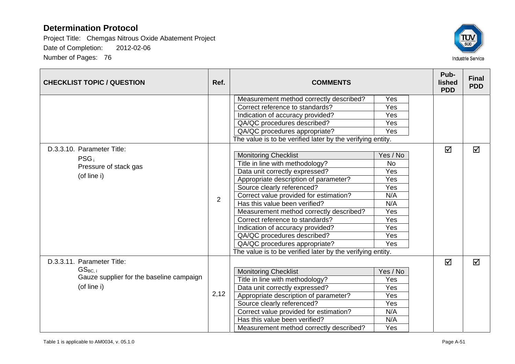

| <b>CHECKLIST TOPIC / QUESTION</b>                                       | Ref.           | <b>COMMENTS</b>                                            |           |  | Pub-<br>lished<br><b>PDD</b> | <b>Final</b><br><b>PDD</b> |
|-------------------------------------------------------------------------|----------------|------------------------------------------------------------|-----------|--|------------------------------|----------------------------|
|                                                                         |                | Measurement method correctly described?                    | Yes       |  |                              |                            |
|                                                                         |                | Correct reference to standards?                            | Yes       |  |                              |                            |
|                                                                         |                | Indication of accuracy provided?                           | Yes       |  |                              |                            |
|                                                                         |                | QA/QC procedures described?                                | Yes       |  |                              |                            |
|                                                                         |                | QA/QC procedures appropriate?                              | Yes       |  |                              |                            |
|                                                                         |                | The value is to be verified later by the verifying entity. |           |  |                              |                            |
| D.3.3.10. Parameter Title:<br>PSG <sub>i</sub><br>Pressure of stack gas |                |                                                            |           |  | ☑                            | ☑                          |
|                                                                         |                | <b>Monitoring Checklist</b>                                | Yes / No  |  |                              |                            |
|                                                                         |                | Title in line with methodology?                            | <b>No</b> |  |                              |                            |
|                                                                         |                | Data unit correctly expressed?                             | Yes       |  |                              |                            |
| (of line i)                                                             | $\overline{2}$ | Appropriate description of parameter?                      | Yes       |  |                              |                            |
|                                                                         |                | Source clearly referenced?                                 | Yes       |  |                              |                            |
|                                                                         |                | Correct value provided for estimation?                     | N/A       |  |                              |                            |
|                                                                         |                | Has this value been verified?                              | N/A       |  |                              |                            |
|                                                                         |                | Measurement method correctly described?                    | Yes       |  |                              |                            |
|                                                                         |                | Correct reference to standards?                            | Yes       |  |                              |                            |
|                                                                         |                | Indication of accuracy provided?                           | Yes       |  |                              |                            |
|                                                                         |                | QA/QC procedures described?                                | Yes       |  |                              |                            |
|                                                                         |                | QA/QC procedures appropriate?                              | Yes       |  |                              |                            |
|                                                                         |                | The value is to be verified later by the verifying entity. |           |  |                              |                            |
| D.3.3.11. Parameter Title:                                              |                |                                                            |           |  | ☑                            | ☑                          |
| $GS_{BC,i}$                                                             |                | <b>Monitoring Checklist</b>                                | Yes / No  |  |                              |                            |
| Gauze supplier for the baseline campaign                                |                | Title in line with methodology?                            | Yes       |  |                              |                            |
| (of line i)                                                             |                | Data unit correctly expressed?                             | Yes       |  |                              |                            |
|                                                                         | 2,12           | Appropriate description of parameter?                      | Yes       |  |                              |                            |
|                                                                         |                | Source clearly referenced?                                 | Yes       |  |                              |                            |
|                                                                         |                | Correct value provided for estimation?                     | N/A       |  |                              |                            |
|                                                                         |                | Has this value been verified?                              | N/A       |  |                              |                            |
|                                                                         |                | Measurement method correctly described?                    | Yes       |  |                              |                            |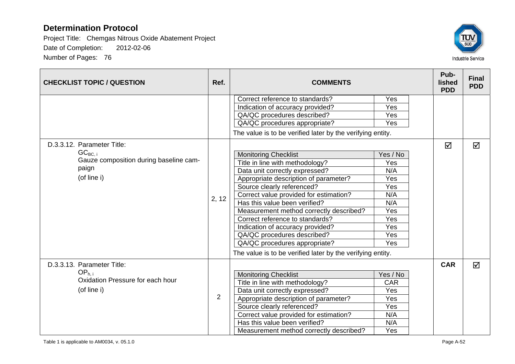

| <b>CHECKLIST TOPIC / QUESTION</b>                                              | Ref.           | <b>COMMENTS</b>                                            |          | Pub-<br>lished<br><b>PDD</b> | <b>Final</b><br><b>PDD</b> |
|--------------------------------------------------------------------------------|----------------|------------------------------------------------------------|----------|------------------------------|----------------------------|
|                                                                                |                | Correct reference to standards?                            | Yes      |                              |                            |
|                                                                                |                | Indication of accuracy provided?                           | Yes      |                              |                            |
|                                                                                |                | QA/QC procedures described?                                | Yes      |                              |                            |
|                                                                                |                | QA/QC procedures appropriate?                              | Yes      |                              |                            |
|                                                                                |                | The value is to be verified later by the verifying entity. |          |                              |                            |
| D.3.3.12. Parameter Title:                                                     |                |                                                            |          | ☑                            | ☑                          |
| $GC_{BC, i}$<br>Gauze composition during baseline cam-<br>paign<br>(of line i) |                | <b>Monitoring Checklist</b>                                | Yes / No |                              |                            |
|                                                                                |                | Title in line with methodology?                            | Yes      |                              |                            |
|                                                                                |                | Data unit correctly expressed?                             | N/A      |                              |                            |
|                                                                                | 2, 12          | Appropriate description of parameter?                      | Yes      |                              |                            |
|                                                                                |                | Source clearly referenced?                                 | Yes      |                              |                            |
|                                                                                |                | Correct value provided for estimation?                     | N/A      |                              |                            |
|                                                                                |                | Has this value been verified?                              | N/A      |                              |                            |
|                                                                                |                | Measurement method correctly described?                    | Yes      |                              |                            |
|                                                                                |                | Correct reference to standards?                            | Yes      |                              |                            |
|                                                                                |                | Indication of accuracy provided?                           | Yes      |                              |                            |
|                                                                                |                | QA/QC procedures described?                                | Yes      |                              |                            |
|                                                                                |                | QA/QC procedures appropriate?                              | Yes      |                              |                            |
|                                                                                |                | The value is to be verified later by the verifying entity. |          |                              |                            |
| D.3.3.13. Parameter Title:                                                     |                |                                                            |          | <b>CAR</b>                   | ☑                          |
| OP <sub>h.i</sub>                                                              |                | <b>Monitoring Checklist</b>                                | Yes / No |                              |                            |
| Oxidation Pressure for each hour                                               |                | Title in line with methodology?                            | CAR      |                              |                            |
| (of line i)                                                                    |                | Data unit correctly expressed?                             | Yes      |                              |                            |
|                                                                                | $\overline{2}$ | Appropriate description of parameter?                      | Yes      |                              |                            |
|                                                                                |                | Source clearly referenced?                                 | Yes      |                              |                            |
|                                                                                |                | Correct value provided for estimation?                     | N/A      |                              |                            |
|                                                                                |                | Has this value been verified?                              | N/A      |                              |                            |
|                                                                                |                | Measurement method correctly described?                    | Yes      |                              |                            |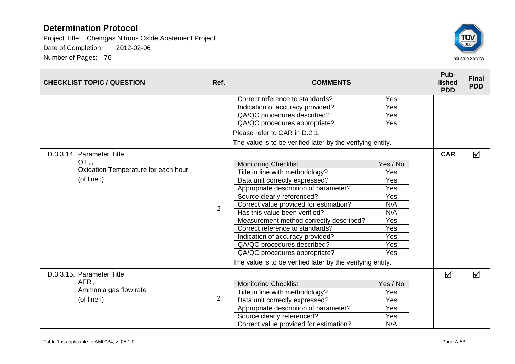

| <b>CHECKLIST TOPIC / QUESTION</b>         | Ref. | <b>COMMENTS</b>                                            |          | Pub-<br>lished<br><b>PDD</b> | <b>Final</b><br><b>PDD</b> |
|-------------------------------------------|------|------------------------------------------------------------|----------|------------------------------|----------------------------|
|                                           |      | Correct reference to standards?                            | Yes      |                              |                            |
|                                           |      | Indication of accuracy provided?                           | Yes      |                              |                            |
|                                           |      | QA/QC procedures described?                                | Yes      |                              |                            |
|                                           |      | QA/QC procedures appropriate?                              | Yes      |                              |                            |
|                                           |      | Please refer to CAR in D.2.1.                              |          |                              |                            |
|                                           |      | The value is to be verified later by the verifying entity. |          |                              |                            |
| D.3.3.14. Parameter Title:                |      |                                                            |          | <b>CAR</b>                   | ☑                          |
| $OT_{h,i}$                                |      | <b>Monitoring Checklist</b>                                | Yes / No |                              |                            |
| Oxidation Temperature for each hour       |      | Title in line with methodology?                            | Yes      |                              |                            |
| (of line i)                               |      | Data unit correctly expressed?                             | Yes      |                              |                            |
|                                           | 2    | Appropriate description of parameter?                      | Yes      |                              |                            |
|                                           |      | Source clearly referenced?                                 | Yes      |                              |                            |
|                                           |      | Correct value provided for estimation?                     | N/A      |                              |                            |
|                                           |      | Has this value been verified?                              | N/A      |                              |                            |
|                                           |      | Measurement method correctly described?                    | Yes      |                              |                            |
|                                           |      | Correct reference to standards?                            | Yes      |                              |                            |
|                                           |      | Indication of accuracy provided?                           | Yes      |                              |                            |
|                                           |      | QA/QC procedures described?                                | Yes      |                              |                            |
|                                           |      | QA/QC procedures appropriate?                              | Yes      |                              |                            |
|                                           |      | The value is to be verified later by the verifying entity. |          |                              |                            |
| D.3.3.15. Parameter Title:                |      |                                                            |          | ☑                            | ☑                          |
| AFR <sub>i</sub><br>Ammonia gas flow rate |      | <b>Monitoring Checklist</b>                                | Yes / No |                              |                            |
|                                           |      | Title in line with methodology?                            | Yes      |                              |                            |
| (of line i)                               | 2    | Data unit correctly expressed?                             | Yes      |                              |                            |
|                                           |      | Appropriate description of parameter?                      | Yes      |                              |                            |
|                                           |      | Source clearly referenced?                                 | Yes      |                              |                            |
|                                           |      | Correct value provided for estimation?                     | N/A      |                              |                            |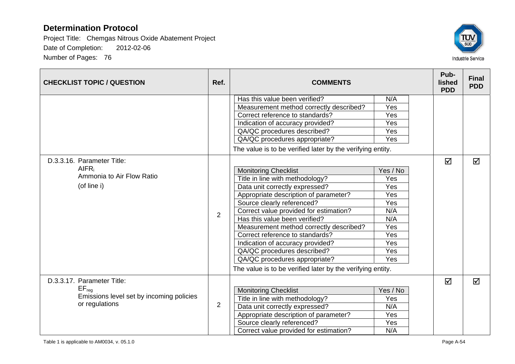

| <b>CHECKLIST TOPIC / QUESTION</b>                                        | Ref.           | <b>COMMENTS</b>                                            |          |  | Pub-<br>lished<br><b>PDD</b> | <b>Final</b><br><b>PDD</b> |
|--------------------------------------------------------------------------|----------------|------------------------------------------------------------|----------|--|------------------------------|----------------------------|
|                                                                          |                | Has this value been verified?                              | N/A      |  |                              |                            |
|                                                                          |                | Measurement method correctly described?                    | Yes      |  |                              |                            |
|                                                                          |                | Correct reference to standards?                            | Yes      |  |                              |                            |
|                                                                          |                | Indication of accuracy provided?                           | Yes      |  |                              |                            |
|                                                                          |                | QA/QC procedures described?                                | Yes      |  |                              |                            |
|                                                                          |                | QA/QC procedures appropriate?                              | Yes      |  |                              |                            |
|                                                                          |                | The value is to be verified later by the verifying entity. |          |  |                              |                            |
| D.3.3.16. Parameter Title:                                               |                |                                                            |          |  | ☑                            | $\triangledown$            |
| AlFR <sub>i</sub>                                                        | $\overline{2}$ | <b>Monitoring Checklist</b>                                | Yes / No |  |                              |                            |
| Ammonia to Air Flow Ratio                                                |                | Title in line with methodology?                            | Yes      |  |                              |                            |
| (of line i)                                                              |                | Data unit correctly expressed?                             | Yes      |  |                              |                            |
|                                                                          |                | Appropriate description of parameter?                      | Yes      |  |                              |                            |
|                                                                          |                | Source clearly referenced?                                 | Yes      |  |                              |                            |
|                                                                          |                | Correct value provided for estimation?                     | N/A      |  |                              |                            |
|                                                                          |                | Has this value been verified?                              | N/A      |  |                              |                            |
|                                                                          |                | Measurement method correctly described?                    | Yes      |  |                              |                            |
|                                                                          |                | Correct reference to standards?                            | Yes      |  |                              |                            |
|                                                                          |                | Indication of accuracy provided?                           | Yes      |  |                              |                            |
|                                                                          |                | QA/QC procedures described?                                | Yes      |  |                              |                            |
|                                                                          |                | QA/QC procedures appropriate?                              | Yes      |  |                              |                            |
|                                                                          |                | The value is to be verified later by the verifying entity. |          |  |                              |                            |
| D.3.3.17. Parameter Title:                                               |                |                                                            |          |  | ☑                            | $\triangledown$            |
| $EF_{req}$<br>Emissions level set by incoming policies<br>or regulations |                | <b>Monitoring Checklist</b>                                | Yes / No |  |                              |                            |
|                                                                          |                | Title in line with methodology?                            | Yes      |  |                              |                            |
|                                                                          | 2              | Data unit correctly expressed?                             | N/A      |  |                              |                            |
|                                                                          |                | Appropriate description of parameter?                      | Yes      |  |                              |                            |
|                                                                          |                | Source clearly referenced?                                 | Yes      |  |                              |                            |
|                                                                          |                | Correct value provided for estimation?                     | N/A      |  |                              |                            |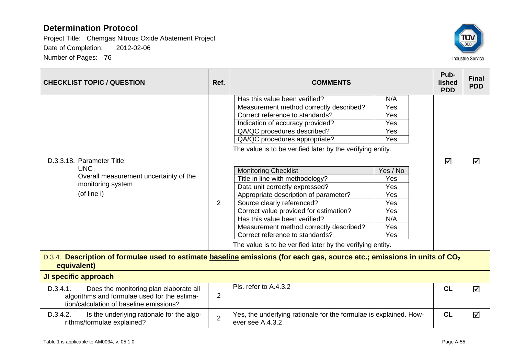

| <b>CHECKLIST TOPIC / QUESTION</b>                                                                                                                   | Ref.           | <b>COMMENTS</b>                                                                                                                                                                                                                                                                                                                                                                                                                                                                                                                                                                                                                                                                 |                                                                                                            | Pub-<br>lished<br><b>PDD</b> | <b>Final</b><br><b>PDD</b> |  |  |
|-----------------------------------------------------------------------------------------------------------------------------------------------------|----------------|---------------------------------------------------------------------------------------------------------------------------------------------------------------------------------------------------------------------------------------------------------------------------------------------------------------------------------------------------------------------------------------------------------------------------------------------------------------------------------------------------------------------------------------------------------------------------------------------------------------------------------------------------------------------------------|------------------------------------------------------------------------------------------------------------|------------------------------|----------------------------|--|--|
| D.3.3.18. Parameter Title:<br>$UNC_i$<br>Overall measurement uncertainty of the<br>monitoring system<br>(of line i)                                 | 2              | Has this value been verified?<br>Measurement method correctly described?<br>Correct reference to standards?<br>Indication of accuracy provided?<br>QA/QC procedures described?<br>QA/QC procedures appropriate?<br>The value is to be verified later by the verifying entity.<br><b>Monitoring Checklist</b><br>Title in line with methodology?<br>Data unit correctly expressed?<br>Appropriate description of parameter?<br>Source clearly referenced?<br>Correct value provided for estimation?<br>Has this value been verified?<br>Measurement method correctly described?<br>Correct reference to standards?<br>The value is to be verified later by the verifying entity. | N/A<br>Yes<br>Yes<br>Yes<br>Yes<br>Yes<br>Yes / No<br>Yes<br>Yes<br>Yes<br>Yes<br>Yes<br>N/A<br>Yes<br>Yes | ☑                            | $\blacktriangledown$       |  |  |
| D.3.4. Description of formulae used to estimate baseline emissions (for each gas, source etc.; emissions in units of CO <sub>2</sub><br>equivalent) |                |                                                                                                                                                                                                                                                                                                                                                                                                                                                                                                                                                                                                                                                                                 |                                                                                                            |                              |                            |  |  |
| JI specific approach                                                                                                                                |                |                                                                                                                                                                                                                                                                                                                                                                                                                                                                                                                                                                                                                                                                                 |                                                                                                            |                              |                            |  |  |
| D.3.4.1.<br>Does the monitoring plan elaborate all<br>algorithms and formulae used for the estima-<br>tion/calculation of baseline emissions?       | $\overline{2}$ | Pls. refer to A.4.3.2                                                                                                                                                                                                                                                                                                                                                                                                                                                                                                                                                                                                                                                           |                                                                                                            | CL                           | ☑                          |  |  |
| D.3.4.2.<br>Is the underlying rationale for the algo-<br>rithms/formulae explained?                                                                 | $\overline{2}$ | Yes, the underlying rationale for the formulae is explained. How-<br>ever see A.4.3.2                                                                                                                                                                                                                                                                                                                                                                                                                                                                                                                                                                                           |                                                                                                            | CL                           | ☑                          |  |  |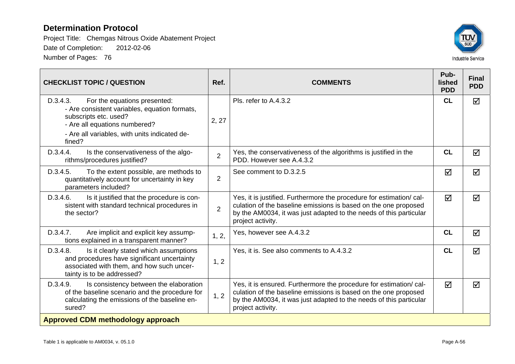

| <b>CHECKLIST TOPIC / QUESTION</b>                                                                                                                                                                              | Ref.           | <b>COMMENTS</b>                                                                                                                                                                                                                    | Pub-<br><b>lished</b><br><b>PDD</b> | <b>Final</b><br><b>PDD</b> |  |  |
|----------------------------------------------------------------------------------------------------------------------------------------------------------------------------------------------------------------|----------------|------------------------------------------------------------------------------------------------------------------------------------------------------------------------------------------------------------------------------------|-------------------------------------|----------------------------|--|--|
| D.3.4.3.<br>For the equations presented:<br>- Are consistent variables, equation formats,<br>subscripts etc. used?<br>- Are all equations numbered?<br>- Are all variables, with units indicated de-<br>fined? | 2, 27          | Pls. refer to A.4.3.2                                                                                                                                                                                                              | <b>CL</b>                           | ☑                          |  |  |
| Is the conservativeness of the algo-<br>D.3.4.4.<br>rithms/procedures justified?                                                                                                                               | $\overline{2}$ | Yes, the conservativeness of the algorithms is justified in the<br>PDD. However see A.4.3.2                                                                                                                                        | CL                                  | ☑                          |  |  |
| D.3.4.5.<br>To the extent possible, are methods to<br>quantitatively account for uncertainty in key<br>parameters included?                                                                                    | $\overline{2}$ | See comment to D.3.2.5                                                                                                                                                                                                             | ☑                                   | ☑                          |  |  |
| Is it justified that the procedure is con-<br>D.3.4.6.<br>sistent with standard technical procedures in<br>the sector?                                                                                         | $\overline{2}$ | Yes, it is justified. Furthermore the procedure for estimation/ cal-<br>culation of the baseline emissions is based on the one proposed<br>by the AM0034, it was just adapted to the needs of this particular<br>project activity. | ☑                                   | ☑                          |  |  |
| D.3.4.7.<br>Are implicit and explicit key assump-<br>tions explained in a transparent manner?                                                                                                                  | 1, 2,          | Yes, however see A.4.3.2                                                                                                                                                                                                           | CL                                  | $\overline{\mathsf{M}}$    |  |  |
| D.3.4.8.<br>Is it clearly stated which assumptions<br>and procedures have significant uncertainty<br>associated with them, and how such uncer-<br>tainty is to be addressed?                                   | 1, 2           | Yes, it is. See also comments to A.4.3.2                                                                                                                                                                                           | CL                                  | ☑                          |  |  |
| D.3.4.9.<br>Is consistency between the elaboration<br>of the baseline scenario and the procedure for<br>calculating the emissions of the baseline en-<br>sured?                                                | 1, 2           | Yes, it is ensured. Furthermore the procedure for estimation/cal-<br>culation of the baseline emissions is based on the one proposed<br>by the AM0034, it was just adapted to the needs of this particular<br>project activity.    | $\blacktriangledown$                | ☑                          |  |  |
| <b>Approved CDM methodology approach</b>                                                                                                                                                                       |                |                                                                                                                                                                                                                                    |                                     |                            |  |  |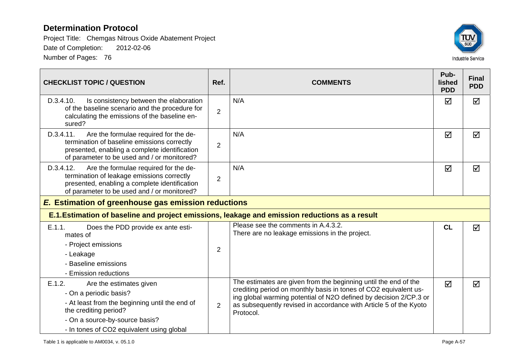

| <b>CHECKLIST TOPIC / QUESTION</b>                                                                                                                                                                                     | Ref.           | <b>COMMENTS</b>                                                                                                                                                                                                                                                                            | Pub-<br>lished<br><b>PDD</b> | <b>Final</b><br><b>PDD</b> |  |  |
|-----------------------------------------------------------------------------------------------------------------------------------------------------------------------------------------------------------------------|----------------|--------------------------------------------------------------------------------------------------------------------------------------------------------------------------------------------------------------------------------------------------------------------------------------------|------------------------------|----------------------------|--|--|
| D.3.4.10.<br>Is consistency between the elaboration<br>of the baseline scenario and the procedure for<br>calculating the emissions of the baseline en-<br>sured?                                                      | $\overline{2}$ | N/A                                                                                                                                                                                                                                                                                        | ☑                            | ☑                          |  |  |
| Are the formulae required for the de-<br>D.3.4.11.<br>termination of baseline emissions correctly<br>presented, enabling a complete identification<br>of parameter to be used and / or monitored?                     | $\overline{2}$ | N/A                                                                                                                                                                                                                                                                                        | ☑                            | ☑                          |  |  |
| Are the formulae required for the de-<br>D.3.4.12.<br>termination of leakage emissions correctly<br>presented, enabling a complete identification<br>of parameter to be used and / or monitored?                      | $\overline{2}$ | N/A                                                                                                                                                                                                                                                                                        | ☑                            | ☑                          |  |  |
| <b>E.</b> Estimation of greenhouse gas emission reductions                                                                                                                                                            |                |                                                                                                                                                                                                                                                                                            |                              |                            |  |  |
| E.1. Estimation of baseline and project emissions, leakage and emission reductions as a result                                                                                                                        |                |                                                                                                                                                                                                                                                                                            |                              |                            |  |  |
| E.1.1.<br>Does the PDD provide ex ante esti-<br>mates of<br>- Project emissions<br>- Leakage<br>- Baseline emissions<br>- Emission reductions                                                                         | $\overline{2}$ | Please see the comments in A.4.3.2.<br>There are no leakage emissions in the project.                                                                                                                                                                                                      | CL                           | $\blacktriangledown$       |  |  |
| E.1.2.<br>Are the estimates given<br>- On a periodic basis?<br>- At least from the beginning until the end of<br>the crediting period?<br>- On a source-by-source basis?<br>- In tones of CO2 equivalent using global | $\overline{2}$ | The estimates are given from the beginning until the end of the<br>crediting period on monthly basis in tones of CO2 equivalent us-<br>ing global warming potential of N2O defined by decision 2/CP.3 or<br>as subsequently revised in accordance with Article 5 of the Kyoto<br>Protocol. | ☑                            | ☑                          |  |  |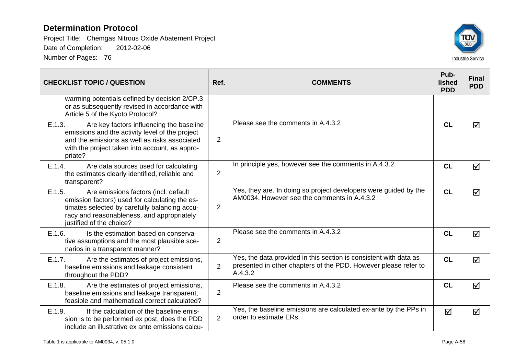

| <b>CHECKLIST TOPIC / QUESTION</b>                                                                                                                                                                                           | Ref.           | <b>COMMENTS</b>                                                                                                                                 | Pub-<br>lished<br><b>PDD</b> | <b>Final</b><br><b>PDD</b> |
|-----------------------------------------------------------------------------------------------------------------------------------------------------------------------------------------------------------------------------|----------------|-------------------------------------------------------------------------------------------------------------------------------------------------|------------------------------|----------------------------|
| warming potentials defined by decision 2/CP.3<br>or as subsequently revised in accordance with<br>Article 5 of the Kyoto Protocol?                                                                                          |                |                                                                                                                                                 |                              |                            |
| E.1.3.<br>Are key factors influencing the baseline<br>emissions and the activity level of the project<br>and the emissions as well as risks associated<br>with the project taken into account, as appro-<br>priate?         | $\overline{2}$ | Please see the comments in A.4.3.2                                                                                                              | CL                           | $\triangledown$            |
| E.1.4.<br>Are data sources used for calculating<br>the estimates clearly identified, reliable and<br>transparent?                                                                                                           | $\overline{2}$ | In principle yes, however see the comments in A.4.3.2                                                                                           | <b>CL</b>                    | $\triangledown$            |
| E.1.5.<br>Are emissions factors (incl. default<br>emission factors) used for calculating the es-<br>timates selected by carefully balancing accu-<br>racy and reasonableness, and appropriately<br>justified of the choice? | $\overline{2}$ | Yes, they are. In doing so project developers were guided by the<br>AM0034. However see the comments in A.4.3.2                                 | <b>CL</b>                    | ☑                          |
| E.1.6.<br>Is the estimation based on conserva-<br>tive assumptions and the most plausible sce-<br>narios in a transparent manner?                                                                                           | $\overline{2}$ | Please see the comments in A.4.3.2                                                                                                              | CL                           | ☑                          |
| E.1.7.<br>Are the estimates of project emissions,<br>baseline emissions and leakage consistent<br>throughout the PDD?                                                                                                       | $\overline{2}$ | Yes, the data provided in this section is consistent with data as<br>presented in other chapters of the PDD. However please refer to<br>A.4.3.2 | <b>CL</b>                    | $\blacktriangledown$       |
| E.1.8.<br>Are the estimates of project emissions,<br>baseline emissions and leakage transparent,<br>feasible and mathematical correct calculated?                                                                           | 2              | Please see the comments in A.4.3.2                                                                                                              | <b>CL</b>                    | ☑                          |
| E.1.9.<br>If the calculation of the baseline emis-<br>sion is to be performed ex post, does the PDD<br>include an illustrative ex ante emissions calcu-                                                                     | $\overline{2}$ | Yes, the baseline emissions are calculated ex-ante by the PPs in<br>order to estimate ERs.                                                      | ☑                            | ☑                          |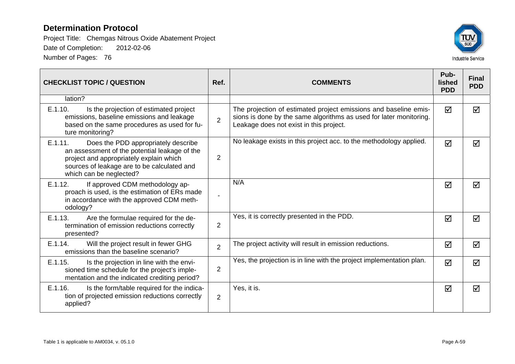

| <b>CHECKLIST TOPIC / QUESTION</b>                                                                                                                                                                                    | Ref.           | <b>COMMENTS</b>                                                                                                                                                                   | Pub-<br>lished<br><b>PDD</b> | <b>Final</b><br><b>PDD</b> |
|----------------------------------------------------------------------------------------------------------------------------------------------------------------------------------------------------------------------|----------------|-----------------------------------------------------------------------------------------------------------------------------------------------------------------------------------|------------------------------|----------------------------|
| lation?                                                                                                                                                                                                              |                |                                                                                                                                                                                   |                              |                            |
| E.1.10.<br>Is the projection of estimated project<br>emissions, baseline emissions and leakage<br>based on the same procedures as used for fu-<br>ture monitoring?                                                   | $\overline{2}$ | The projection of estimated project emissions and baseline emis-<br>sions is done by the same algorithms as used for later monitoring.<br>Leakage does not exist in this project. | ☑                            | ☑                          |
| E.1.11.<br>Does the PDD appropriately describe<br>an assessment of the potential leakage of the<br>project and appropriately explain which<br>sources of leakage are to be calculated and<br>which can be neglected? | $\overline{2}$ | No leakage exists in this project acc. to the methodology applied.                                                                                                                | ☑                            | ☑                          |
| If approved CDM methodology ap-<br>E.1.12.<br>proach is used, is the estimation of ERs made<br>in accordance with the approved CDM meth-<br>odology?                                                                 |                | N/A                                                                                                                                                                               | ☑                            | ☑                          |
| E.1.13.<br>Are the formulae required for the de-<br>termination of emission reductions correctly<br>presented?                                                                                                       | $\overline{2}$ | Yes, it is correctly presented in the PDD.                                                                                                                                        | $\triangledown$              | ☑                          |
| Will the project result in fewer GHG<br>E.1.14.<br>emissions than the baseline scenario?                                                                                                                             | $\overline{2}$ | The project activity will result in emission reductions.                                                                                                                          | ☑                            | ☑                          |
| E.1.15.<br>Is the projection in line with the envi-<br>sioned time schedule for the project's imple-<br>mentation and the indicated crediting period?                                                                | $\overline{2}$ | Yes, the projection is in line with the project implementation plan.                                                                                                              | ☑                            | ☑                          |
| E.1.16.<br>Is the form/table required for the indica-<br>tion of projected emission reductions correctly<br>applied?                                                                                                 | $\overline{2}$ | Yes, it is.                                                                                                                                                                       | ☑                            | ☑                          |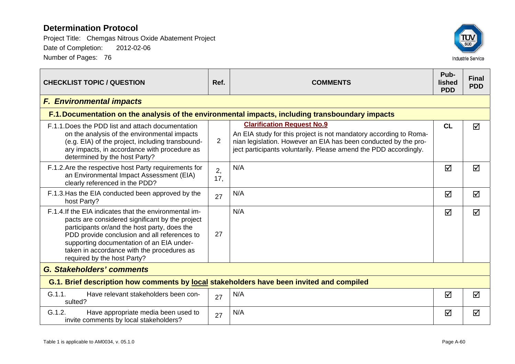| <b>CHECKLIST TOPIC / QUESTION</b>                                                                                                                                                                                                                                                                                                   | Ref.           | <b>COMMENTS</b>                                                                                                                                                                                                                               | Pub-<br>lished<br><b>PDD</b> | <b>Final</b><br><b>PDD</b> |  |  |  |
|-------------------------------------------------------------------------------------------------------------------------------------------------------------------------------------------------------------------------------------------------------------------------------------------------------------------------------------|----------------|-----------------------------------------------------------------------------------------------------------------------------------------------------------------------------------------------------------------------------------------------|------------------------------|----------------------------|--|--|--|
| <b>F. Environmental impacts</b>                                                                                                                                                                                                                                                                                                     |                |                                                                                                                                                                                                                                               |                              |                            |  |  |  |
|                                                                                                                                                                                                                                                                                                                                     |                | F.1. Documentation on the analysis of the environmental impacts, including transboundary impacts                                                                                                                                              |                              |                            |  |  |  |
| F.1.1. Does the PDD list and attach documentation<br>on the analysis of the environmental impacts<br>(e.g. EIA) of the project, including transbound-<br>ary impacts, in accordance with procedure as<br>determined by the host Party?                                                                                              | $\overline{2}$ | <b>Clarification Request No.9</b><br>An EIA study for this project is not mandatory according to Roma-<br>nian legislation. However an EIA has been conducted by the pro-<br>ject participants voluntarily. Please amend the PDD accordingly. | CL                           | ☑                          |  |  |  |
| F.1.2. Are the respective host Party requirements for<br>an Environmental Impact Assessment (EIA)<br>clearly referenced in the PDD?                                                                                                                                                                                                 | 2,<br>17,      | N/A                                                                                                                                                                                                                                           | ☑                            | ☑                          |  |  |  |
| F.1.3. Has the EIA conducted been approved by the<br>host Party?                                                                                                                                                                                                                                                                    | 27             | N/A                                                                                                                                                                                                                                           | ☑                            | ☑                          |  |  |  |
| F.1.4. If the EIA indicates that the environmental im-<br>pacts are considered significant by the project<br>participants or/and the host party, does the<br>PDD provide conclusion and all references to<br>supporting documentation of an EIA under-<br>taken in accordance with the procedures as<br>required by the host Party? | 27             | N/A                                                                                                                                                                                                                                           | ☑                            | ☑                          |  |  |  |
| <b>G. Stakeholders' comments</b>                                                                                                                                                                                                                                                                                                    |                |                                                                                                                                                                                                                                               |                              |                            |  |  |  |
| G.1. Brief description how comments by local stakeholders have been invited and compiled                                                                                                                                                                                                                                            |                |                                                                                                                                                                                                                                               |                              |                            |  |  |  |
| G.1.1.<br>Have relevant stakeholders been con-<br>sulted?                                                                                                                                                                                                                                                                           | 27             | N/A                                                                                                                                                                                                                                           | $\Delta$                     | ☑                          |  |  |  |
| G.1.2.<br>Have appropriate media been used to<br>invite comments by local stakeholders?                                                                                                                                                                                                                                             | 27             | N/A                                                                                                                                                                                                                                           | ☑                            | ☑                          |  |  |  |

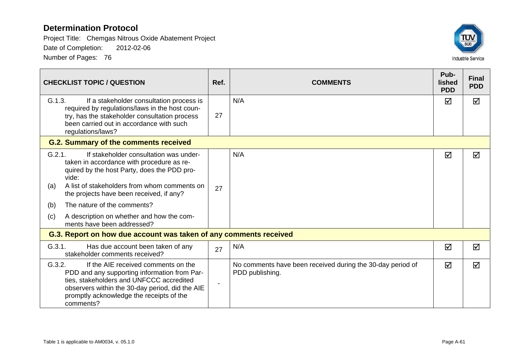

| <b>CHECKLIST TOPIC / QUESTION</b>                                                                                                                                                                                                                                                                                                                                                | Ref.           | <b>COMMENTS</b>                                                               | Pub-<br>lished<br><b>PDD</b> | <b>Final</b><br><b>PDD</b> |  |  |
|----------------------------------------------------------------------------------------------------------------------------------------------------------------------------------------------------------------------------------------------------------------------------------------------------------------------------------------------------------------------------------|----------------|-------------------------------------------------------------------------------|------------------------------|----------------------------|--|--|
| G.1.3.<br>If a stakeholder consultation process is<br>required by regulations/laws in the host coun-<br>try, has the stakeholder consultation process<br>been carried out in accordance with such<br>regulations/laws?                                                                                                                                                           | 27             | N/A                                                                           | ☑                            | ☑                          |  |  |
| <b>G.2. Summary of the comments received</b>                                                                                                                                                                                                                                                                                                                                     |                |                                                                               |                              |                            |  |  |
| G.2.1.<br>If stakeholder consultation was under-<br>taken in accordance with procedure as re-<br>quired by the host Party, does the PDD pro-<br>vide:<br>A list of stakeholders from whom comments on<br>(a)<br>the projects have been received, if any?<br>The nature of the comments?<br>(b)<br>A description on whether and how the com-<br>(c)<br>ments have been addressed? | 27             | N/A                                                                           | ☑                            | ☑                          |  |  |
| G.3. Report on how due account was taken of any comments received                                                                                                                                                                                                                                                                                                                |                |                                                                               |                              |                            |  |  |
| G.3.1.<br>Has due account been taken of any<br>stakeholder comments received?                                                                                                                                                                                                                                                                                                    | 27             | N/A                                                                           | ☑                            | ☑                          |  |  |
| If the AIE received comments on the<br>G.3.2.<br>PDD and any supporting information from Par-<br>ties, stakeholders and UNFCCC accredited<br>observers within the 30-day period, did the AIE<br>promptly acknowledge the receipts of the<br>comments?                                                                                                                            | $\blacksquare$ | No comments have been received during the 30-day period of<br>PDD publishing. | ☑                            | ☑                          |  |  |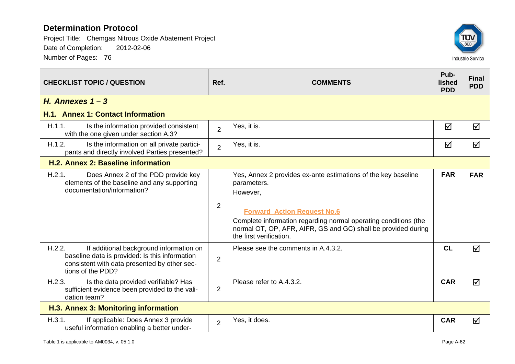

| <b>CHECKLIST TOPIC / QUESTION</b>                                                                                                                                        | Ref.           | <b>COMMENTS</b>                                                                                                                                                                                                                                                                               | Pub-<br>lished<br><b>PDD</b> | <b>Final</b><br><b>PDD</b> |  |  |  |
|--------------------------------------------------------------------------------------------------------------------------------------------------------------------------|----------------|-----------------------------------------------------------------------------------------------------------------------------------------------------------------------------------------------------------------------------------------------------------------------------------------------|------------------------------|----------------------------|--|--|--|
| H. Annexes $1 - 3$                                                                                                                                                       |                |                                                                                                                                                                                                                                                                                               |                              |                            |  |  |  |
| H.1. Annex 1: Contact Information                                                                                                                                        |                |                                                                                                                                                                                                                                                                                               |                              |                            |  |  |  |
| H.1.1.<br>Is the information provided consistent<br>with the one given under section A.3?                                                                                | $\overline{2}$ | Yes, it is.                                                                                                                                                                                                                                                                                   | ☑                            | ☑                          |  |  |  |
| H.1.2.<br>Is the information on all private partici-<br>pants and directly involved Parties presented?                                                                   | $\overline{2}$ | Yes, it is.                                                                                                                                                                                                                                                                                   | ☑                            | ☑                          |  |  |  |
| H.2. Annex 2: Baseline information                                                                                                                                       |                |                                                                                                                                                                                                                                                                                               |                              |                            |  |  |  |
| H.2.1.<br>Does Annex 2 of the PDD provide key<br>elements of the baseline and any supporting<br>documentation/information?                                               | 2              | Yes, Annex 2 provides ex-ante estimations of the key baseline<br>parameters.<br>However,<br><b>Forward Action Request No.6</b><br>Complete information regarding normal operating conditions (the<br>normal OT, OP, AFR, AIFR, GS and GC) shall be provided during<br>the first verification. | <b>FAR</b>                   | <b>FAR</b>                 |  |  |  |
| H.2.2.<br>If additional background information on<br>baseline data is provided: Is this information<br>consistent with data presented by other sec-<br>tions of the PDD? | $\overline{2}$ | Please see the comments in A.4.3.2.                                                                                                                                                                                                                                                           | CL                           | ☑                          |  |  |  |
| H.2.3.<br>Is the data provided verifiable? Has<br>sufficient evidence been provided to the vali-<br>dation team?                                                         | $\overline{2}$ | Please refer to A.4.3.2.                                                                                                                                                                                                                                                                      | <b>CAR</b>                   | ☑                          |  |  |  |
| H.3. Annex 3: Monitoring information                                                                                                                                     |                |                                                                                                                                                                                                                                                                                               |                              |                            |  |  |  |
| H.3.1.<br>If applicable: Does Annex 3 provide<br>useful information enabling a better under-                                                                             | $\overline{2}$ | Yes, it does.                                                                                                                                                                                                                                                                                 | <b>CAR</b>                   | ☑                          |  |  |  |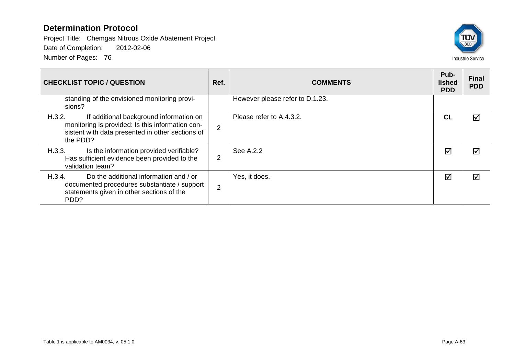

| <b>CHECKLIST TOPIC / QUESTION</b>                                                                                                                                     | Ref.           | <b>COMMENTS</b>                 | Pub-<br>lished<br><b>PDD</b> | <b>Final</b><br><b>PDD</b> |
|-----------------------------------------------------------------------------------------------------------------------------------------------------------------------|----------------|---------------------------------|------------------------------|----------------------------|
| standing of the envisioned monitoring provi-<br>sions?                                                                                                                |                | However please refer to D.1.23. |                              |                            |
| H.3.2.<br>If additional background information on<br>monitoring is provided: Is this information con-<br>sistent with data presented in other sections of<br>the PDD? | 2              | Please refer to A.4.3.2.        | CL                           | ⊠                          |
| H.3.3.<br>Is the information provided verifiable?<br>Has sufficient evidence been provided to the<br>validation team?                                                 | $\overline{2}$ | See A.2.2                       | $\triangledown$              | ⊠                          |
| Do the additional information and / or<br>H.3.4.<br>documented procedures substantiate / support<br>statements given in other sections of the<br>PDD?                 | 2              | Yes, it does.                   | $\triangledown$              | ⊠                          |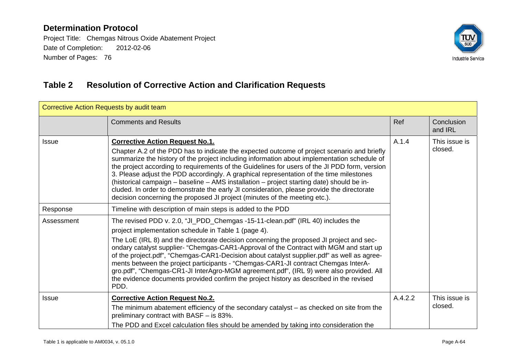Project Title: Chemgas Nitrous Oxide Abatement Project Date of Completion: 2012-02-06 Number of Pages: 76



# **Table 2 Resolution of Corrective Action and Clarification Requests**

| Corrective Action Requests by audit team |                                                                                                                                                                                                                                                                                                                                                                                                                                                                                                                                                                                                                                                                                                                 |         |                          |  |  |  |  |
|------------------------------------------|-----------------------------------------------------------------------------------------------------------------------------------------------------------------------------------------------------------------------------------------------------------------------------------------------------------------------------------------------------------------------------------------------------------------------------------------------------------------------------------------------------------------------------------------------------------------------------------------------------------------------------------------------------------------------------------------------------------------|---------|--------------------------|--|--|--|--|
|                                          | <b>Comments and Results</b>                                                                                                                                                                                                                                                                                                                                                                                                                                                                                                                                                                                                                                                                                     | Ref     | Conclusion<br>and IRL    |  |  |  |  |
| <b>Issue</b>                             | <b>Corrective Action Request No.1.</b><br>Chapter A.2 of the PDD has to indicate the expected outcome of project scenario and briefly<br>summarize the history of the project including information about implementation schedule of<br>the project according to requirements of the Guidelines for users of the JI PDD form, version<br>3. Please adjust the PDD accordingly. A graphical representation of the time milestones<br>(historical campaign - baseline - AMS installation - project starting date) should be in-<br>cluded. In order to demonstrate the early JI consideration, please provide the directorate<br>decision concerning the proposed JI project (minutes of the meeting etc.).       | A.1.4   | This issue is<br>closed. |  |  |  |  |
| Response                                 | Timeline with description of main steps is added to the PDD                                                                                                                                                                                                                                                                                                                                                                                                                                                                                                                                                                                                                                                     |         |                          |  |  |  |  |
| Assessment                               | The revised PDD v. 2.0, "JI_PDD_Chemgas -15-11-clean.pdf" (IRL 40) includes the<br>project implementation schedule in Table 1 (page 4).<br>The LoE (IRL 8) and the directorate decision concerning the proposed JI project and sec-<br>ondary catalyst supplier- "Chemgas-CAR1-Approval of the Contract with MGM and start up<br>of the project.pdf", "Chemgas-CAR1-Decision about catalyst supplier.pdf" as well as agree-<br>ments between the project participants - "Chemgas-CAR1-JI contract Chemgas InterA-<br>gro.pdf", "Chemgas-CR1-JI InterAgro-MGM agreement.pdf", (IRL 9) were also provided. All<br>the evidence documents provided confirm the project history as described in the revised<br>PDD. |         |                          |  |  |  |  |
| <b>Issue</b>                             | <b>Corrective Action Request No.2.</b><br>The minimum abatement efficiency of the secondary catalyst – as checked on site from the<br>preliminary contract with BASF - is 83%.<br>The PDD and Excel calculation files should be amended by taking into consideration the                                                                                                                                                                                                                                                                                                                                                                                                                                        | A.4.2.2 | This issue is<br>closed. |  |  |  |  |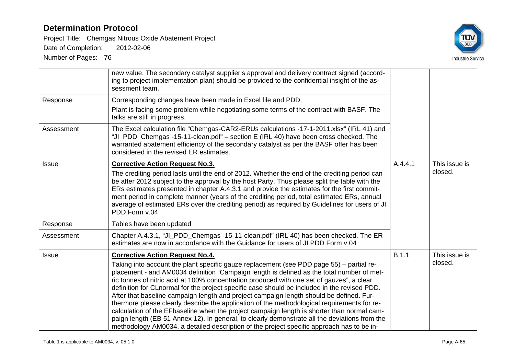Project Title: Chemgas Nitrous Oxide Abatement Project

Date of Completion: 2012-02-06



|              | new value. The secondary catalyst supplier's approval and delivery contract signed (accord-<br>ing to project implementation plan) should be provided to the confidential insight of the as-<br>sessment team.                                                                                                                                                                                                                                                                                                                                                                                                                                                                                                                                                                                                                                                           |         |                          |
|--------------|--------------------------------------------------------------------------------------------------------------------------------------------------------------------------------------------------------------------------------------------------------------------------------------------------------------------------------------------------------------------------------------------------------------------------------------------------------------------------------------------------------------------------------------------------------------------------------------------------------------------------------------------------------------------------------------------------------------------------------------------------------------------------------------------------------------------------------------------------------------------------|---------|--------------------------|
| Response     | Corresponding changes have been made in Excel file and PDD.                                                                                                                                                                                                                                                                                                                                                                                                                                                                                                                                                                                                                                                                                                                                                                                                              |         |                          |
|              | Plant is facing some problem while negotiating some terms of the contract with BASF. The<br>talks are still in progress.                                                                                                                                                                                                                                                                                                                                                                                                                                                                                                                                                                                                                                                                                                                                                 |         |                          |
| Assessment   | The Excel calculation file "Chemgas-CAR2-ERUs calculations -17-1-2011.xlsx" (IRL 41) and<br>"JI_PDD_Chemgas -15-11-clean.pdf" - section E (IRL 40) have been cross checked. The<br>warranted abatement efficiency of the secondary catalyst as per the BASF offer has been<br>considered in the revised ER estimates.                                                                                                                                                                                                                                                                                                                                                                                                                                                                                                                                                    |         |                          |
| <b>Issue</b> | <b>Corrective Action Request No.3.</b><br>The crediting period lasts until the end of 2012. Whether the end of the crediting period can<br>be after 2012 subject to the approval by the host Party. Thus please split the table with the<br>ERs estimates presented in chapter A.4.3.1 and provide the estimates for the first commit-<br>ment period in complete manner (years of the crediting period, total estimated ERs, annual<br>average of estimated ERs over the crediting period) as required by Guidelines for users of JI<br>PDD Form v.04.                                                                                                                                                                                                                                                                                                                  | A.4.4.1 | This issue is<br>closed. |
| Response     | Tables have been updated                                                                                                                                                                                                                                                                                                                                                                                                                                                                                                                                                                                                                                                                                                                                                                                                                                                 |         |                          |
| Assessment   | Chapter A.4.3.1, "JI_PDD_Chemgas -15-11-clean.pdf" (IRL 40) has been checked. The ER<br>estimates are now in accordance with the Guidance for users of JI PDD Form v.04                                                                                                                                                                                                                                                                                                                                                                                                                                                                                                                                                                                                                                                                                                  |         |                          |
| <b>Issue</b> | <b>Corrective Action Request No.4.</b>                                                                                                                                                                                                                                                                                                                                                                                                                                                                                                                                                                                                                                                                                                                                                                                                                                   | B.1.1   | This issue is            |
|              | Taking into account the plant specific gauze replacement (see PDD page 55) – partial re-<br>placement - and AM0034 definition "Campaign length is defined as the total number of met-<br>ric tonnes of nitric acid at 100% concentration produced with one set of gauzes", a clear<br>definition for CLnormal for the project specific case should be included in the revised PDD.<br>After that baseline campaign length and project campaign length should be defined. Fur-<br>thermore please clearly describe the application of the methodological requirements for re-<br>calculation of the EFbaseline when the project campaign length is shorter than normal cam-<br>paign length (EB 51 Annex 12). In general, to clearly demonstrate all the deviations from the<br>methodology AM0034, a detailed description of the project specific approach has to be in- |         | closed.                  |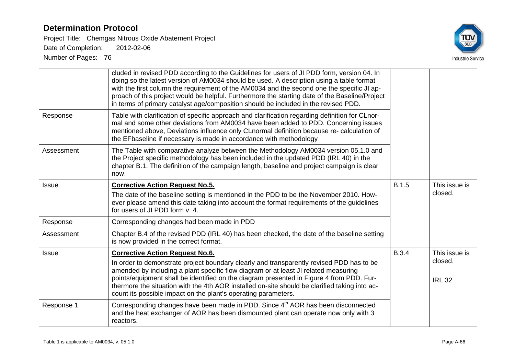Project Title: Chemgas Nitrous Oxide Abatement Project

Date of Completion: 2012-02-06



| Response     | cluded in revised PDD according to the Guidelines for users of JI PDD form, version 04. In<br>doing so the latest version of AM0034 should be used. A description using a table format<br>with the first column the requirement of the AM0034 and the second one the specific JI ap-<br>proach of this project would be helpful. Furthermore the starting date of the Baseline/Project<br>in terms of primary catalyst age/composition should be included in the revised PDD.<br>Table with clarification of specific approach and clarification regarding definition for CLnor-<br>mal and some other deviations from AM0034 have been added to PDD. Concerning issues<br>mentioned above, Deviations influence only CLnormal definition because re- calculation of<br>the EFbaseline if necessary is made in accordance with methodology |              |                                           |
|--------------|--------------------------------------------------------------------------------------------------------------------------------------------------------------------------------------------------------------------------------------------------------------------------------------------------------------------------------------------------------------------------------------------------------------------------------------------------------------------------------------------------------------------------------------------------------------------------------------------------------------------------------------------------------------------------------------------------------------------------------------------------------------------------------------------------------------------------------------------|--------------|-------------------------------------------|
| Assessment   | The Table with comparative analyze between the Methodology AM0034 version 05.1.0 and<br>the Project specific methodology has been included in the updated PDD (IRL 40) in the<br>chapter B.1. The definition of the campaign length, baseline and project campaign is clear<br>now.                                                                                                                                                                                                                                                                                                                                                                                                                                                                                                                                                        |              |                                           |
| Issue        | <b>Corrective Action Request No.5.</b><br>The date of the baseline setting is mentioned in the PDD to be the November 2010. How-<br>ever please amend this date taking into account the format requirements of the guidelines<br>for users of JI PDD form v. 4.                                                                                                                                                                                                                                                                                                                                                                                                                                                                                                                                                                            | <b>B.1.5</b> | This issue is<br>closed.                  |
| Response     | Corresponding changes had been made in PDD                                                                                                                                                                                                                                                                                                                                                                                                                                                                                                                                                                                                                                                                                                                                                                                                 |              |                                           |
| Assessment   | Chapter B.4 of the revised PDD (IRL 40) has been checked, the date of the baseline setting<br>is now provided in the correct format.                                                                                                                                                                                                                                                                                                                                                                                                                                                                                                                                                                                                                                                                                                       |              |                                           |
| <b>Issue</b> | <b>Corrective Action Request No.6.</b><br>In order to demonstrate project boundary clearly and transparently revised PDD has to be<br>amended by including a plant specific flow diagram or at least JI related measuring<br>points/equipment shall be identified on the diagram presented in Figure 4 from PDD. Fur-<br>thermore the situation with the 4th AOR installed on-site should be clarified taking into ac-<br>count its possible impact on the plant's operating parameters.                                                                                                                                                                                                                                                                                                                                                   | <b>B.3.4</b> | This issue is<br>closed.<br><b>IRL 32</b> |
| Response 1   | Corresponding changes have been made in PDD. Since 4 <sup>th</sup> AOR has been disconnected<br>and the heat exchanger of AOR has been dismounted plant can operate now only with 3<br>reactors.                                                                                                                                                                                                                                                                                                                                                                                                                                                                                                                                                                                                                                           |              |                                           |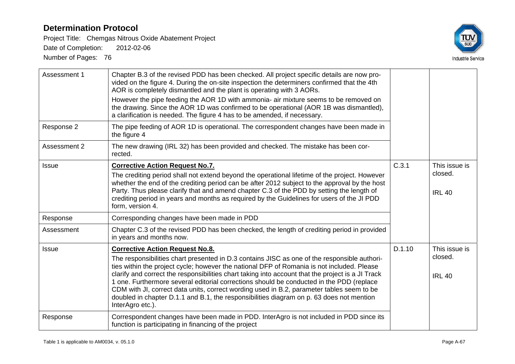Project Title: Chemgas Nitrous Oxide Abatement Project

Date of Completion: 2012-02-06



| Assessment 1 | Chapter B.3 of the revised PDD has been checked. All project specific details are now pro-<br>vided on the figure 4. During the on-site inspection the determiners confirmed that the 4th<br>AOR is completely dismantled and the plant is operating with 3 AORs.<br>However the pipe feeding the AOR 1D with ammonia- air mixture seems to be removed on<br>the drawing. Since the AOR 1D was confirmed to be operational (AOR 1B was dismantled),<br>a clarification is needed. The figure 4 has to be amended, if necessary.                                                                                                                    |        |                                           |
|--------------|----------------------------------------------------------------------------------------------------------------------------------------------------------------------------------------------------------------------------------------------------------------------------------------------------------------------------------------------------------------------------------------------------------------------------------------------------------------------------------------------------------------------------------------------------------------------------------------------------------------------------------------------------|--------|-------------------------------------------|
| Response 2   | The pipe feeding of AOR 1D is operational. The correspondent changes have been made in<br>the figure 4                                                                                                                                                                                                                                                                                                                                                                                                                                                                                                                                             |        |                                           |
| Assessment 2 | The new drawing (IRL 32) has been provided and checked. The mistake has been cor-<br>rected.                                                                                                                                                                                                                                                                                                                                                                                                                                                                                                                                                       |        |                                           |
| <b>Issue</b> | <b>Corrective Action Request No.7.</b><br>The crediting period shall not extend beyond the operational lifetime of the project. However<br>whether the end of the crediting period can be after 2012 subject to the approval by the host<br>Party. Thus please clarify that and amend chapter C.3 of the PDD by setting the length of<br>crediting period in years and months as required by the Guidelines for users of the JI PDD<br>form, version 4.                                                                                                                                                                                            | C.3.1  | This issue is<br>closed.<br><b>IRL 40</b> |
| Response     | Corresponding changes have been made in PDD                                                                                                                                                                                                                                                                                                                                                                                                                                                                                                                                                                                                        |        |                                           |
| Assessment   | Chapter C.3 of the revised PDD has been checked, the length of crediting period in provided<br>in years and months now.                                                                                                                                                                                                                                                                                                                                                                                                                                                                                                                            |        |                                           |
| <b>Issue</b> | <b>Corrective Action Request No.8.</b><br>The responsibilities chart presented in D.3 contains JISC as one of the responsible authori-<br>ties within the project cycle; however the national DFP of Romania is not included. Please<br>clarify and correct the responsibilities chart taking into account that the project is a JI Track<br>1 one. Furthermore several editorial corrections should be conducted in the PDD (replace<br>CDM with JI, correct data units, correct wording used in B.2, parameter tables seem to be<br>doubled in chapter D.1.1 and B.1, the responsibilities diagram on p. 63 does not mention<br>InterAgro etc.). | D.1.10 | This issue is<br>closed.<br><b>IRL 40</b> |
| Response     | Correspondent changes have been made in PDD. InterAgro is not included in PDD since its<br>function is participating in financing of the project                                                                                                                                                                                                                                                                                                                                                                                                                                                                                                   |        |                                           |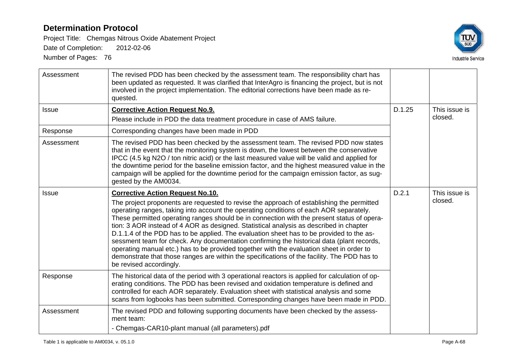Project Title: Chemgas Nitrous Oxide Abatement Project

Date of Completion: 2012-02-06



| Assessment   | The revised PDD has been checked by the assessment team. The responsibility chart has<br>been updated as requested. It was clarified that InterAgro is financing the project, but is not<br>involved in the project implementation. The editorial corrections have been made as re-<br>quested.                                                                                                                                                                                                                                                                                                                                                                                                                                                                                                                                       |        |                          |
|--------------|---------------------------------------------------------------------------------------------------------------------------------------------------------------------------------------------------------------------------------------------------------------------------------------------------------------------------------------------------------------------------------------------------------------------------------------------------------------------------------------------------------------------------------------------------------------------------------------------------------------------------------------------------------------------------------------------------------------------------------------------------------------------------------------------------------------------------------------|--------|--------------------------|
| <b>Issue</b> | <b>Corrective Action Request No.9.</b><br>Please include in PDD the data treatment procedure in case of AMS failure.                                                                                                                                                                                                                                                                                                                                                                                                                                                                                                                                                                                                                                                                                                                  | D.1.25 | This issue is<br>closed. |
| Response     | Corresponding changes have been made in PDD                                                                                                                                                                                                                                                                                                                                                                                                                                                                                                                                                                                                                                                                                                                                                                                           |        |                          |
| Assessment   | The revised PDD has been checked by the assessment team. The revised PDD now states<br>that in the event that the monitoring system is down, the lowest between the conservative<br>IPCC (4.5 kg N2O / ton nitric acid) or the last measured value will be valid and applied for<br>the downtime period for the baseline emission factor, and the highest measured value in the<br>campaign will be applied for the downtime period for the campaign emission factor, as sug-<br>gested by the AM0034.                                                                                                                                                                                                                                                                                                                                |        |                          |
| <b>Issue</b> | <b>Corrective Action Request No.10.</b><br>The project proponents are requested to revise the approach of establishing the permitted<br>operating ranges, taking into account the operating conditions of each AOR separately.<br>These permitted operating ranges should be in connection with the present status of opera-<br>tion: 3 AOR instead of 4 AOR as designed. Statistical analysis as described in chapter<br>D.1.1.4 of the PDD has to be applied. The evaluation sheet has to be provided to the as-<br>sessment team for check. Any documentation confirming the historical data (plant records,<br>operating manual etc.) has to be provided together with the evaluation sheet in order to<br>demonstrate that those ranges are within the specifications of the facility. The PDD has to<br>be revised accordingly. | D.2.1  | This issue is<br>closed. |
| Response     | The historical data of the period with 3 operational reactors is applied for calculation of op-<br>erating conditions. The PDD has been revised and oxidation temperature is defined and<br>controlled for each AOR separately. Evaluation sheet with statistical analysis and some<br>scans from logbooks has been submitted. Corresponding changes have been made in PDD.                                                                                                                                                                                                                                                                                                                                                                                                                                                           |        |                          |
| Assessment   | The revised PDD and following supporting documents have been checked by the assess-<br>ment team:<br>- Chemgas-CAR10-plant manual (all parameters).pdf                                                                                                                                                                                                                                                                                                                                                                                                                                                                                                                                                                                                                                                                                |        |                          |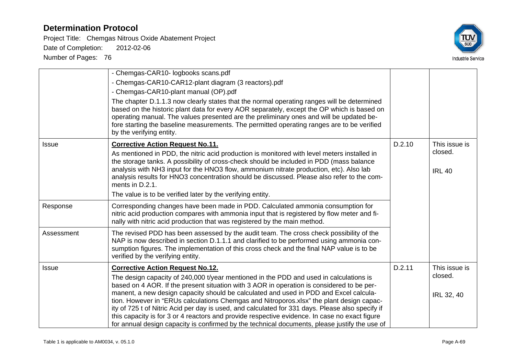Project Title: Chemgas Nitrous Oxide Abatement Project Date of Completion: 2012-02-06



|              | - Chemgas-CAR10- logbooks scans.pdf                                                                                                                                                                                                                                                                                                                                                                                                                                                                                                                                                                                                                                            |        |                       |
|--------------|--------------------------------------------------------------------------------------------------------------------------------------------------------------------------------------------------------------------------------------------------------------------------------------------------------------------------------------------------------------------------------------------------------------------------------------------------------------------------------------------------------------------------------------------------------------------------------------------------------------------------------------------------------------------------------|--------|-----------------------|
|              | - Chemgas-CAR10-CAR12-plant diagram (3 reactors).pdf                                                                                                                                                                                                                                                                                                                                                                                                                                                                                                                                                                                                                           |        |                       |
|              | - Chemgas-CAR10-plant manual (OP).pdf                                                                                                                                                                                                                                                                                                                                                                                                                                                                                                                                                                                                                                          |        |                       |
|              | The chapter D.1.1.3 now clearly states that the normal operating ranges will be determined<br>based on the historic plant data for every AOR separately, except the OP which is based on<br>operating manual. The values presented are the preliminary ones and will be updated be-<br>fore starting the baseline measurements. The permitted operating ranges are to be verified<br>by the verifying entity.                                                                                                                                                                                                                                                                  |        |                       |
| <b>Issue</b> | <b>Corrective Action Request No.11.</b>                                                                                                                                                                                                                                                                                                                                                                                                                                                                                                                                                                                                                                        | D.2.10 | This issue is         |
|              | As mentioned in PDD, the nitric acid production is monitored with level meters installed in<br>the storage tanks. A possibility of cross-check should be included in PDD (mass balance<br>analysis with NH3 input for the HNO3 flow, ammonium nitrate production, etc). Also lab                                                                                                                                                                                                                                                                                                                                                                                               |        | closed.               |
|              | analysis results for HNO3 concentration should be discussed. Please also refer to the com-<br>ments in D.2.1.                                                                                                                                                                                                                                                                                                                                                                                                                                                                                                                                                                  |        | <b>IRL 40</b>         |
|              | The value is to be verified later by the verifying entity.                                                                                                                                                                                                                                                                                                                                                                                                                                                                                                                                                                                                                     |        |                       |
| Response     | Corresponding changes have been made in PDD. Calculated ammonia consumption for<br>nitric acid production compares with ammonia input that is registered by flow meter and fi-<br>nally with nitric acid production that was registered by the main method.                                                                                                                                                                                                                                                                                                                                                                                                                    |        |                       |
| Assessment   | The revised PDD has been assessed by the audit team. The cross check possibility of the<br>NAP is now described in section D.1.1.1 and clarified to be performed using ammonia con-<br>sumption figures. The implementation of this cross check and the final NAP value is to be<br>verified by the verifying entity.                                                                                                                                                                                                                                                                                                                                                          |        |                       |
| <b>Issue</b> | <b>Corrective Action Request No.12.</b>                                                                                                                                                                                                                                                                                                                                                                                                                                                                                                                                                                                                                                        | D.2.11 | This issue is         |
|              | The design capacity of 240,000 t/year mentioned in the PDD and used in calculations is<br>based on 4 AOR. If the present situation with 3 AOR in operation is considered to be per-<br>manent, a new design capacity should be calculated and used in PDD and Excel calcula-<br>tion. However in "ERUs calculations Chemgas and Nitroporos.xlsx" the plant design capac-<br>ity of 725 t of Nitric Acid per day is used, and calculated for 331 days. Please also specify if<br>this capacity is for 3 or 4 reactors and provide respective evidence. In case no exact figure<br>for annual design capacity is confirmed by the technical documents, please justify the use of |        | closed.<br>IRL 32, 40 |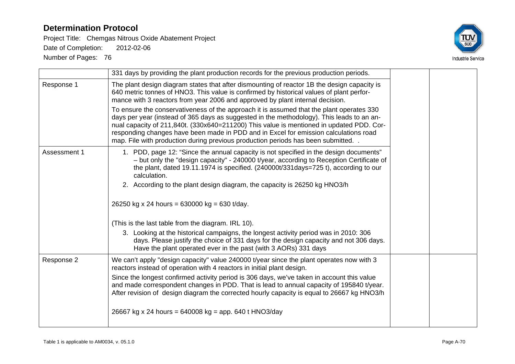Project Title: Chemgas Nitrous Oxide Abatement Project Date of Completion: 2012-02-06



|              | 331 days by providing the plant production records for the previous production periods.                                                                                                                                                                                                                                                                                                                                                                         |  |
|--------------|-----------------------------------------------------------------------------------------------------------------------------------------------------------------------------------------------------------------------------------------------------------------------------------------------------------------------------------------------------------------------------------------------------------------------------------------------------------------|--|
| Response 1   | The plant design diagram states that after dismounting of reactor 1B the design capacity is<br>640 metric tonnes of HNO3. This value is confirmed by historical values of plant perfor-<br>mance with 3 reactors from year 2006 and approved by plant internal decision.                                                                                                                                                                                        |  |
|              | To ensure the conservativeness of the approach it is assumed that the plant operates 330<br>days per year (instead of 365 days as suggested in the methodology). This leads to an an-<br>nual capacity of 211,840t. (330x640=211200) This value is mentioned in updated PDD. Cor-<br>responding changes have been made in PDD and in Excel for emission calculations road<br>map. File with production during previous production periods has been submitted. . |  |
| Assessment 1 | 1. PDD, page 12: "Since the annual capacity is not specified in the design documents"<br>- but only the "design capacity" - 240000 t/year, according to Reception Certificate of<br>the plant, dated 19.11.1974 is specified. $(240000t/331 \text{days} = 725t)$ , according to our<br>calculation.<br>2. According to the plant design diagram, the capacity is 26250 kg HNO3/h                                                                                |  |
|              | 26250 kg x 24 hours = 630000 kg = 630 t/day.                                                                                                                                                                                                                                                                                                                                                                                                                    |  |
|              | (This is the last table from the diagram. IRL 10).                                                                                                                                                                                                                                                                                                                                                                                                              |  |
|              | 3. Looking at the historical campaigns, the longest activity period was in 2010: 306<br>days. Please justify the choice of 331 days for the design capacity and not 306 days.<br>Have the plant operated ever in the past (with 3 AORs) 331 days                                                                                                                                                                                                                |  |
| Response 2   | We can't apply "design capacity" value 240000 t/year since the plant operates now with 3<br>reactors instead of operation with 4 reactors in initial plant design.                                                                                                                                                                                                                                                                                              |  |
|              | Since the longest confirmed activity period is 306 days, we've taken in account this value<br>and made correspondent changes in PDD. That is lead to annual capacity of 195840 t/year.<br>After revision of design diagram the corrected hourly capacity is equal to 26667 kg HNO3/h                                                                                                                                                                            |  |
|              | 26667 kg x 24 hours = 640008 kg = app. 640 t HNO3/day                                                                                                                                                                                                                                                                                                                                                                                                           |  |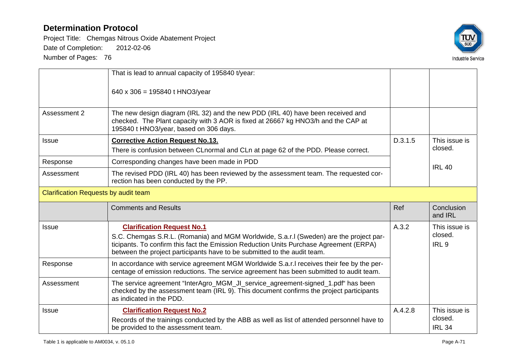Project Title: Chemgas Nitrous Oxide Abatement Project Date of Completion: 2012-02-06



|                                             | That is lead to annual capacity of 195840 t/year:                                                                                                                                                                                                                                                 |         |                                              |
|---------------------------------------------|---------------------------------------------------------------------------------------------------------------------------------------------------------------------------------------------------------------------------------------------------------------------------------------------------|---------|----------------------------------------------|
|                                             | 640 x 306 = 195840 t HNO3/year                                                                                                                                                                                                                                                                    |         |                                              |
| Assessment 2                                | The new design diagram (IRL 32) and the new PDD (IRL 40) have been received and<br>checked. The Plant capacity with 3 AOR is fixed at 26667 kg HNO3/h and the CAP at<br>195840 t HNO3/year, based on 306 days.                                                                                    |         |                                              |
| <b>Issue</b>                                | <b>Corrective Action Request No.13.</b><br>There is confusion between CLnormal and CLn at page 62 of the PDD. Please correct.                                                                                                                                                                     | D.3.1.5 | This issue is<br>closed.                     |
| Response                                    | Corresponding changes have been made in PDD                                                                                                                                                                                                                                                       |         | <b>IRL 40</b>                                |
| Assessment                                  | The revised PDD (IRL 40) has been reviewed by the assessment team. The requested cor-<br>rection has been conducted by the PP.                                                                                                                                                                    |         |                                              |
| <b>Clarification Requests by audit team</b> |                                                                                                                                                                                                                                                                                                   |         |                                              |
|                                             | <b>Comments and Results</b>                                                                                                                                                                                                                                                                       | Ref     | Conclusion<br>and IRL                        |
| <b>Issue</b>                                | <b>Clarification Request No.1</b><br>S.C. Chemgas S.R.L. (Romania) and MGM Worldwide, S.a.r.I (Sweden) are the project par-<br>ticipants. To confirm this fact the Emission Reduction Units Purchase Agreement (ERPA)<br>between the project participants have to be submitted to the audit team. | A.3.2   | This issue is<br>closed.<br>IRL <sub>9</sub> |
| Response                                    | In accordance with service agreement MGM Worldwide S.a.r.I receives their fee by the per-<br>centage of emission reductions. The service agreement has been submitted to audit team.                                                                                                              |         |                                              |
| Assessment                                  | The service agreement "InterAgro_MGM_JI_service_agreement-signed_1.pdf" has been<br>checked by the assessment team (IRL 9). This document confirms the project participants<br>as indicated in the PDD.                                                                                           |         |                                              |
| <b>Issue</b>                                | <b>Clarification Request No.2</b><br>Records of the trainings conducted by the ABB as well as list of attended personnel have to<br>be provided to the assessment team.                                                                                                                           | A.4.2.8 | This issue is<br>closed.<br><b>IRL 34</b>    |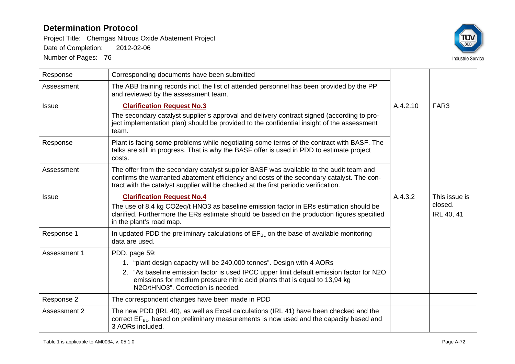Project Title: Chemgas Nitrous Oxide Abatement Project Date of Completion: 2012-02-06



| Response     | Corresponding documents have been submitted                                                                                                                                                                                                                                                           |          |                                               |
|--------------|-------------------------------------------------------------------------------------------------------------------------------------------------------------------------------------------------------------------------------------------------------------------------------------------------------|----------|-----------------------------------------------|
| Assessment   | The ABB training records incl. the list of attended personnel has been provided by the PP<br>and reviewed by the assessment team.                                                                                                                                                                     |          |                                               |
| <b>Issue</b> | <b>Clarification Request No.3</b>                                                                                                                                                                                                                                                                     | A.4.2.10 | FAR <sub>3</sub>                              |
|              | The secondary catalyst supplier's approval and delivery contract signed (according to pro-<br>ject implementation plan) should be provided to the confidential insight of the assessment<br>team.                                                                                                     |          |                                               |
| Response     | Plant is facing some problems while negotiating some terms of the contract with BASF. The<br>talks are still in progress. That is why the BASF offer is used in PDD to estimate project<br>costs.                                                                                                     |          |                                               |
| Assessment   | The offer from the secondary catalyst supplier BASF was available to the audit team and<br>confirms the warranted abatement efficiency and costs of the secondary catalyst. The con-<br>tract with the catalyst supplier will be checked at the first periodic verification.                          |          |                                               |
| Issue        | <b>Clarification Request No.4</b><br>The use of 8.4 kg CO2eq/t HNO3 as baseline emission factor in ERs estimation should be<br>clarified. Furthermore the ERs estimate should be based on the production figures specified<br>in the plant's road map.                                                | A.4.3.2  | This issue is<br>closed.<br><b>IRL 40, 41</b> |
| Response 1   | In updated PDD the preliminary calculations of $EF_{BL}$ on the base of available monitoring<br>data are used.                                                                                                                                                                                        |          |                                               |
| Assessment 1 | PDD, page 59:<br>1. "plant design capacity will be 240,000 tonnes". Design with 4 AORs<br>2. "As baseline emission factor is used IPCC upper limit default emission factor for N2O<br>emissions for medium pressure nitric acid plants that is equal to 13,94 kg<br>N2O/tHNO3". Correction is needed. |          |                                               |
| Response 2   | The correspondent changes have been made in PDD                                                                                                                                                                                                                                                       |          |                                               |
| Assessment 2 | The new PDD (IRL 40), as well as Excel calculations (IRL 41) have been checked and the<br>correct EF <sub>BL</sub> , based on preliminary measurements is now used and the capacity based and<br>3 AORs included.                                                                                     |          |                                               |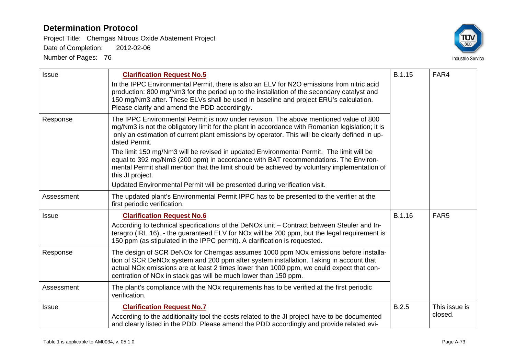Project Title: Chemgas Nitrous Oxide Abatement Project

Date of Completion: 2012-02-06



| <b>Issue</b> | <b>Clarification Request No.5</b><br>In the IPPC Environmental Permit, there is also an ELV for N2O emissions from nitric acid<br>production: 800 mg/Nm3 for the period up to the installation of the secondary catalyst and<br>150 mg/Nm3 after. These ELVs shall be used in baseline and project ERU's calculation.<br>Please clarify and amend the PDD accordingly.                                                                                                                                                                                                                                                                                                                        | <b>B.1.15</b> | FAR4                     |
|--------------|-----------------------------------------------------------------------------------------------------------------------------------------------------------------------------------------------------------------------------------------------------------------------------------------------------------------------------------------------------------------------------------------------------------------------------------------------------------------------------------------------------------------------------------------------------------------------------------------------------------------------------------------------------------------------------------------------|---------------|--------------------------|
| Response     | The IPPC Environmental Permit is now under revision. The above mentioned value of 800<br>mg/Nm3 is not the obligatory limit for the plant in accordance with Romanian legislation; it is<br>only an estimation of current plant emissions by operator. This will be clearly defined in up-<br>dated Permit.<br>The limit 150 mg/Nm3 will be revised in updated Environmental Permit. The limit will be<br>equal to 392 mg/Nm3 (200 ppm) in accordance with BAT recommendations. The Environ-<br>mental Permit shall mention that the limit should be achieved by voluntary implementation of<br>this JI project.<br>Updated Environmental Permit will be presented during verification visit. |               |                          |
| Assessment   | The updated plant's Environmental Permit IPPC has to be presented to the verifier at the<br>first periodic verification.                                                                                                                                                                                                                                                                                                                                                                                                                                                                                                                                                                      |               |                          |
| <b>Issue</b> | <b>Clarification Request No.6</b><br>According to technical specifications of the DeNOx unit – Contract between Steuler and In-<br>teragro (IRL 16), - the guaranteed ELV for NOx will be 200 ppm, but the legal requirement is<br>150 ppm (as stipulated in the IPPC permit). A clarification is requested.                                                                                                                                                                                                                                                                                                                                                                                  | B.1.16        | FAR <sub>5</sub>         |
| Response     | The design of SCR DeNOx for Chemgas assumes 1000 ppm NOx emissions before installa-<br>tion of SCR DeNOx system and 200 ppm after system installation. Taking in account that<br>actual NO <sub>x</sub> emissions are at least 2 times lower than 1000 ppm, we could expect that con-<br>centration of NO <sub>x</sub> in stack gas will be much lower than 150 ppm.                                                                                                                                                                                                                                                                                                                          |               |                          |
| Assessment   | The plant's compliance with the NO <sub>x</sub> requirements has to be verified at the first periodic<br>verification.                                                                                                                                                                                                                                                                                                                                                                                                                                                                                                                                                                        |               |                          |
| <b>Issue</b> | <b>Clarification Request No.7</b><br>According to the additionality tool the costs related to the JI project have to be documented<br>and clearly listed in the PDD. Please amend the PDD accordingly and provide related evi-                                                                                                                                                                                                                                                                                                                                                                                                                                                                | B.2.5         | This issue is<br>closed. |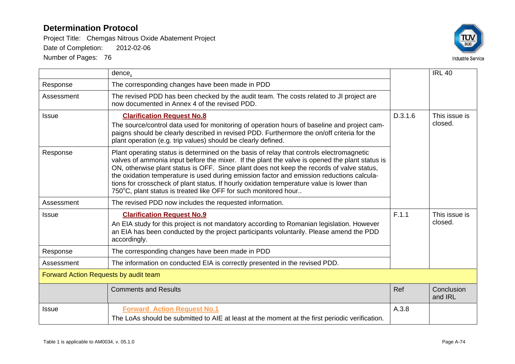Project Title: Chemgas Nitrous Oxide Abatement Project

Date of Completion: 2012-02-06



|                                       | dence.                                                                                                                                                                                                                                                                                                                                                                                                                                                                                                                                               |         | <b>IRL 40</b>            |
|---------------------------------------|------------------------------------------------------------------------------------------------------------------------------------------------------------------------------------------------------------------------------------------------------------------------------------------------------------------------------------------------------------------------------------------------------------------------------------------------------------------------------------------------------------------------------------------------------|---------|--------------------------|
| Response                              | The corresponding changes have been made in PDD                                                                                                                                                                                                                                                                                                                                                                                                                                                                                                      |         |                          |
| Assessment                            | The revised PDD has been checked by the audit team. The costs related to JI project are<br>now documented in Annex 4 of the revised PDD.                                                                                                                                                                                                                                                                                                                                                                                                             |         |                          |
| Issue                                 | <b>Clarification Request No.8</b>                                                                                                                                                                                                                                                                                                                                                                                                                                                                                                                    | D.3.1.6 | This issue is            |
|                                       | The source/control data used for monitoring of operation hours of baseline and project cam-<br>paigns should be clearly described in revised PDD. Furthermore the on/off criteria for the<br>plant operation (e.g. trip values) should be clearly defined.                                                                                                                                                                                                                                                                                           | closed. |                          |
| Response                              | Plant operating status is determined on the basis of relay that controls electromagnetic<br>valves of ammonia input before the mixer. If the plant the valve is opened the plant status is<br>ON, otherwise plant status is OFF. Since plant does not keep the records of valve status,<br>the oxidation temperature is used during emission factor and emission reductions calcula-<br>tions for crosscheck of plant status. If hourly oxidation temperature value is lower than<br>750°C, plant status is treated like OFF for such monitored hour |         |                          |
| Assessment                            | The revised PDD now includes the requested information.                                                                                                                                                                                                                                                                                                                                                                                                                                                                                              |         |                          |
| Issue                                 | <b>Clarification Request No.9</b><br>An EIA study for this project is not mandatory according to Romanian legislation. However<br>an EIA has been conducted by the project participants voluntarily. Please amend the PDD<br>accordingly.                                                                                                                                                                                                                                                                                                            | F.1.1   | This issue is<br>closed. |
| Response                              | The corresponding changes have been made in PDD                                                                                                                                                                                                                                                                                                                                                                                                                                                                                                      |         |                          |
| Assessment                            | The information on conducted EIA is correctly presented in the revised PDD.                                                                                                                                                                                                                                                                                                                                                                                                                                                                          |         |                          |
| Forward Action Requests by audit team |                                                                                                                                                                                                                                                                                                                                                                                                                                                                                                                                                      |         |                          |
|                                       | <b>Comments and Results</b>                                                                                                                                                                                                                                                                                                                                                                                                                                                                                                                          | Ref     | Conclusion<br>and IRL    |
| <b>Issue</b>                          | <b>Forward Action Request No.1</b>                                                                                                                                                                                                                                                                                                                                                                                                                                                                                                                   | A.3.8   |                          |
|                                       | The LoAs should be submitted to AIE at least at the moment at the first periodic verification.                                                                                                                                                                                                                                                                                                                                                                                                                                                       |         |                          |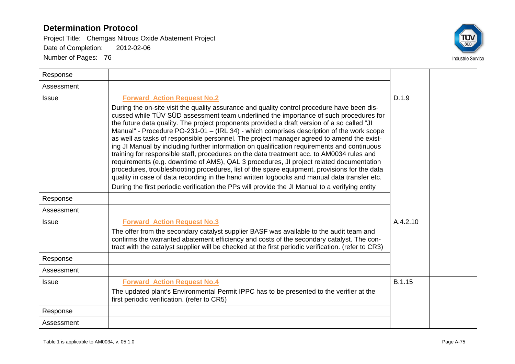

| Response     |                                                                                                                                                                                                                                                                                                                                                                                                                                                                                                                                                                                                                                                                                                                                                                                                                                                                                                                                                                                                                                                                                                              |          |  |
|--------------|--------------------------------------------------------------------------------------------------------------------------------------------------------------------------------------------------------------------------------------------------------------------------------------------------------------------------------------------------------------------------------------------------------------------------------------------------------------------------------------------------------------------------------------------------------------------------------------------------------------------------------------------------------------------------------------------------------------------------------------------------------------------------------------------------------------------------------------------------------------------------------------------------------------------------------------------------------------------------------------------------------------------------------------------------------------------------------------------------------------|----------|--|
| Assessment   |                                                                                                                                                                                                                                                                                                                                                                                                                                                                                                                                                                                                                                                                                                                                                                                                                                                                                                                                                                                                                                                                                                              |          |  |
| <b>Issue</b> | <b>Forward Action Request No.2</b><br>During the on-site visit the quality assurance and quality control procedure have been dis-<br>cussed while TÜV SÜD assessment team underlined the importance of such procedures for<br>the future data quality. The project proponents provided a draft version of a so called "JI<br>Manual" - Procedure PO-231-01 - (IRL 34) - which comprises description of the work scope<br>as well as tasks of responsible personnel. The project manager agreed to amend the exist-<br>ing JI Manual by including further information on qualification requirements and continuous<br>training for responsible staff, procedures on the data treatment acc. to AM0034 rules and<br>requirements (e.g. downtime of AMS), QAL 3 procedures, JI project related documentation<br>procedures, troubleshooting procedures, list of the spare equipment, provisions for the data<br>quality in case of data recording in the hand written logbooks and manual data transfer etc.<br>During the first periodic verification the PPs will provide the JI Manual to a verifying entity | D.1.9    |  |
| Response     |                                                                                                                                                                                                                                                                                                                                                                                                                                                                                                                                                                                                                                                                                                                                                                                                                                                                                                                                                                                                                                                                                                              |          |  |
| Assessment   |                                                                                                                                                                                                                                                                                                                                                                                                                                                                                                                                                                                                                                                                                                                                                                                                                                                                                                                                                                                                                                                                                                              |          |  |
| <b>Issue</b> | <b>Forward Action Request No.3</b><br>The offer from the secondary catalyst supplier BASF was available to the audit team and<br>confirms the warranted abatement efficiency and costs of the secondary catalyst. The con-<br>tract with the catalyst supplier will be checked at the first periodic verification. (refer to CR3)                                                                                                                                                                                                                                                                                                                                                                                                                                                                                                                                                                                                                                                                                                                                                                            | A.4.2.10 |  |
| Response     |                                                                                                                                                                                                                                                                                                                                                                                                                                                                                                                                                                                                                                                                                                                                                                                                                                                                                                                                                                                                                                                                                                              |          |  |
| Assessment   |                                                                                                                                                                                                                                                                                                                                                                                                                                                                                                                                                                                                                                                                                                                                                                                                                                                                                                                                                                                                                                                                                                              |          |  |
| <b>Issue</b> | <b>Forward Action Request No.4</b><br>The updated plant's Environmental Permit IPPC has to be presented to the verifier at the<br>first periodic verification. (refer to CR5)                                                                                                                                                                                                                                                                                                                                                                                                                                                                                                                                                                                                                                                                                                                                                                                                                                                                                                                                | B.1.15   |  |
| Response     |                                                                                                                                                                                                                                                                                                                                                                                                                                                                                                                                                                                                                                                                                                                                                                                                                                                                                                                                                                                                                                                                                                              |          |  |
| Assessment   |                                                                                                                                                                                                                                                                                                                                                                                                                                                                                                                                                                                                                                                                                                                                                                                                                                                                                                                                                                                                                                                                                                              |          |  |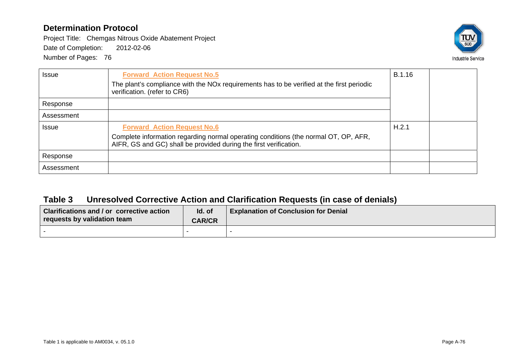Project Title: Chemgas Nitrous Oxide Abatement Project

Date of Completion: 2012-02-06

Number of Pages: 76



| <b>Issue</b> | <b>Forward Action Request No.5</b><br>The plant's compliance with the NO <sub>x</sub> requirements has to be verified at the first periodic<br>verification. (refer to CR6)                    | B.1.16 |  |
|--------------|------------------------------------------------------------------------------------------------------------------------------------------------------------------------------------------------|--------|--|
| Response     |                                                                                                                                                                                                |        |  |
| Assessment   |                                                                                                                                                                                                |        |  |
| <b>Issue</b> | <b>Forward Action Request No.6</b><br>Complete information regarding normal operating conditions (the normal OT, OP, AFR,<br>AIFR, GS and GC) shall be provided during the first verification. | H.2.1  |  |
| Response     |                                                                                                                                                                                                |        |  |
| Assessment   |                                                                                                                                                                                                |        |  |

## **Table 3 Unresolved Corrective Action and Clarification Requests (in case of denials)**

| Clarifications and / or corrective action<br>requests by validation team | Id. of<br><b>CAR/CR</b> | <b>Explanation of Conclusion for Denial</b> |
|--------------------------------------------------------------------------|-------------------------|---------------------------------------------|
|                                                                          |                         |                                             |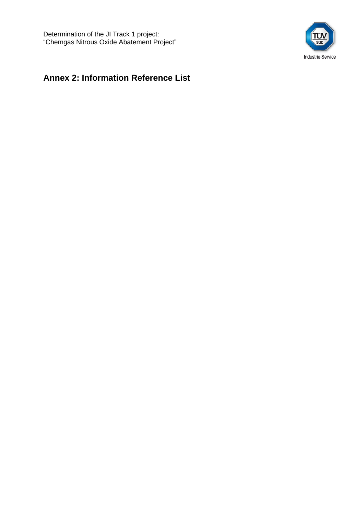

# **Annex 2: Information Reference List**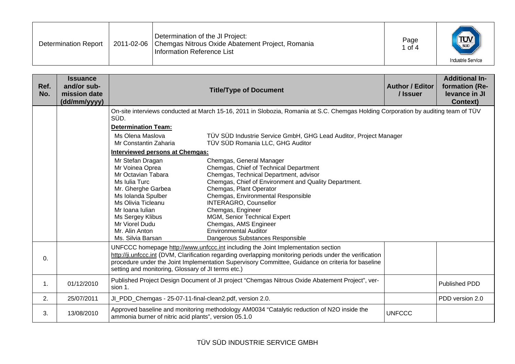| Determination of the JI Project:<br>$\frac{1}{\sqrt{\frac{1}{500}}}$<br>Page<br>2011-02-06   Chemgas Nitrous Oxide Abatement Project, Romania<br><b>Determination Report</b><br>l of 4<br>Information Reference List | <b>Industrie Service</b> |
|----------------------------------------------------------------------------------------------------------------------------------------------------------------------------------------------------------------------|--------------------------|
|----------------------------------------------------------------------------------------------------------------------------------------------------------------------------------------------------------------------|--------------------------|

| Ref.<br>No.    | <b>Issuance</b><br>and/or sub-<br>mission date<br>(dd/mm/yyyy) |                                                                                                                                                                                                                                                                                                                                                         | <b>Title/Type of Document</b>                                                                                                                                                                                                                                                                                                                                                                                            | <b>Author / Editor</b><br>/ Issuer | <b>Additional In-</b><br>formation (Re-<br>levance in JI<br><b>Context)</b> |
|----------------|----------------------------------------------------------------|---------------------------------------------------------------------------------------------------------------------------------------------------------------------------------------------------------------------------------------------------------------------------------------------------------------------------------------------------------|--------------------------------------------------------------------------------------------------------------------------------------------------------------------------------------------------------------------------------------------------------------------------------------------------------------------------------------------------------------------------------------------------------------------------|------------------------------------|-----------------------------------------------------------------------------|
|                |                                                                | SÜD.                                                                                                                                                                                                                                                                                                                                                    | On-site interviews conducted at March 15-16, 2011 in Slobozia, Romania at S.C. Chemgas Holding Corporation by auditing team of TÜV                                                                                                                                                                                                                                                                                       |                                    |                                                                             |
|                |                                                                | <b>Determination Team:</b>                                                                                                                                                                                                                                                                                                                              |                                                                                                                                                                                                                                                                                                                                                                                                                          |                                    |                                                                             |
|                |                                                                | Ms Olena Maslova<br>Mr Constantin Zaharia                                                                                                                                                                                                                                                                                                               | TÜV SÜD Industrie Service GmbH, GHG Lead Auditor, Project Manager<br>TÜV SÜD Romania LLC, GHG Auditor                                                                                                                                                                                                                                                                                                                    |                                    |                                                                             |
|                |                                                                | <b>Interviewed persons at Chemgas:</b>                                                                                                                                                                                                                                                                                                                  |                                                                                                                                                                                                                                                                                                                                                                                                                          |                                    |                                                                             |
|                |                                                                | Mr Stefan Dragan<br>Mr Voinea Oprea<br>Mr Octavian Tabara<br>Ms Iulia Turc<br>Mr. Gherghe Garbea<br>Ms Iolanda Spulber<br>Ms Olivia Ticleanu<br>Mr Ioana Iulian<br>Ms Sergey Klibus<br>Mr Viorel Dudu<br>Mr. Alin Anton<br>Ms. Silvia Barsan                                                                                                            | Chemgas, General Manager<br>Chemgas, Chief of Technical Department<br>Chemgas, Technical Department, advisor<br>Chemgas, Chief of Environment and Quality Department.<br>Chemgas, Plant Operator<br>Chemgas, Environmental Responsible<br><b>INTERAGRO, Counsellor</b><br>Chemgas, Engineer<br>MGM, Senior Technical Expert<br>Chemgas, AMS Engineer<br><b>Environmental Auditor</b><br>Dangerous Substances Responsible |                                    |                                                                             |
| 0.             |                                                                | UNFCCC homepage http://www.unfccc.int including the Joint Implementation section<br>http://ji.unfccc.int (DVM, Clarification regarding overlapping monitoring periods under the verification<br>procedure under the Joint Implementation Supervisory Committee, Guidance on criteria for baseline<br>setting and monitoring, Glossary of JI terms etc.) |                                                                                                                                                                                                                                                                                                                                                                                                                          |                                    |                                                                             |
| $\mathbf{1}$ . | 01/12/2010                                                     | sion 1.                                                                                                                                                                                                                                                                                                                                                 | Published Project Design Document of JI project "Chemgas Nitrous Oxide Abatement Project", ver-                                                                                                                                                                                                                                                                                                                          |                                    | Published PDD                                                               |
| 2.             | 25/07/2011                                                     | JI_PDD_Chemgas - 25-07-11-final-clean2.pdf, version 2.0.                                                                                                                                                                                                                                                                                                |                                                                                                                                                                                                                                                                                                                                                                                                                          |                                    | PDD version 2.0                                                             |
| 3.             | 13/08/2010                                                     | ammonia burner of nitric acid plants", version 05.1.0                                                                                                                                                                                                                                                                                                   | Approved baseline and monitoring methodology AM0034 "Catalytic reduction of N2O inside the                                                                                                                                                                                                                                                                                                                               | <b>UNFCCC</b>                      |                                                                             |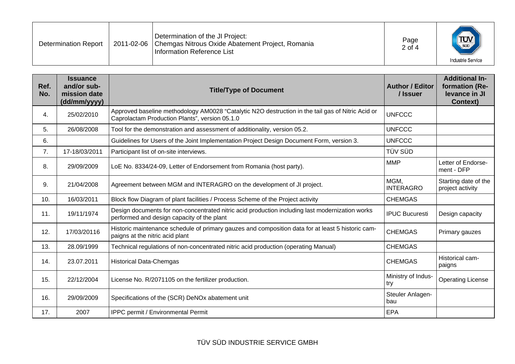| <b>Determination Report</b> |  | Determination of the JI Project:<br>2011-02-06   Chemgas Nitrous Oxide Abatement Project, Romania<br>Information Reference List | Page<br>$2$ of 4 | <b>TUV</b><br><b>Industrie Service</b> |
|-----------------------------|--|---------------------------------------------------------------------------------------------------------------------------------|------------------|----------------------------------------|
|-----------------------------|--|---------------------------------------------------------------------------------------------------------------------------------|------------------|----------------------------------------|

| Ref.<br>No. | <b>Issuance</b><br>and/or sub-<br>mission date<br>(dd/mm/yyyy) | <b>Title/Type of Document</b>                                                                                                                       | <b>Author / Editor</b><br>/ Issuer | <b>Additional In-</b><br>formation (Re-<br>levance in JI<br><b>Context)</b> |
|-------------|----------------------------------------------------------------|-----------------------------------------------------------------------------------------------------------------------------------------------------|------------------------------------|-----------------------------------------------------------------------------|
| 4.          | 25/02/2010                                                     | Approved baseline methodology AM0028 "Catalytic N2O destruction in the tail gas of Nitric Acid or<br>Caprolactam Production Plants", version 05.1.0 | <b>UNFCCC</b>                      |                                                                             |
| 5.          | 26/08/2008                                                     | Tool for the demonstration and assessment of additionality, version 05.2.                                                                           | <b>UNFCCC</b>                      |                                                                             |
| 6.          |                                                                | Guidelines for Users of the Joint Implementation Project Design Document Form, version 3.                                                           | <b>UNFCCC</b>                      |                                                                             |
| 7.          | 17-18/03/2011                                                  | Participant list of on-site interviews.                                                                                                             | TÜV SÜD                            |                                                                             |
| 8.          | 29/09/2009                                                     | LoE No. 8334/24-09, Letter of Endorsement from Romania (host party).                                                                                | <b>MMP</b>                         | Letter of Endorse-<br>ment - DFP                                            |
| 9.          | 21/04/2008                                                     | Agreement between MGM and INTERAGRO on the development of JI project.                                                                               | MGM,<br><b>INTERAGRO</b>           | Starting date of the<br>project activity                                    |
| 10.         | 16/03/2011                                                     | Block flow Diagram of plant facilities / Process Scheme of the Project activity                                                                     | <b>CHEMGAS</b>                     |                                                                             |
| 11.         | 19/11/1974                                                     | Design documents for non-concentrated nitric acid production including last modernization works<br>performed and design capacity of the plant       | <b>IPUC Bucuresti</b>              | Design capacity                                                             |
| 12.         | 17/03/20116                                                    | Historic maintenance schedule of primary gauzes and composition data for at least 5 historic cam-<br>paigns at the nitric acid plant                | <b>CHEMGAS</b>                     | Primary gauzes                                                              |
| 13.         | 28.09/1999                                                     | Technical regulations of non-concentrated nitric acid production (operating Manual)                                                                 | <b>CHEMGAS</b>                     |                                                                             |
| 14.         | 23.07.2011                                                     | <b>Historical Data-Chemgas</b>                                                                                                                      | <b>CHEMGAS</b>                     | Historical cam-<br>paigns                                                   |
| 15.         | 22/12/2004                                                     | License No. R/2071105 on the fertilizer production.                                                                                                 | Ministry of Indus-<br>try          | <b>Operating License</b>                                                    |
| 16.         | 29/09/2009                                                     | Specifications of the (SCR) DeNOx abatement unit                                                                                                    | Steuler Anlagen-<br>bau            |                                                                             |
| 17.         | 2007                                                           | IPPC permit / Environmental Permit                                                                                                                  | EPA                                |                                                                             |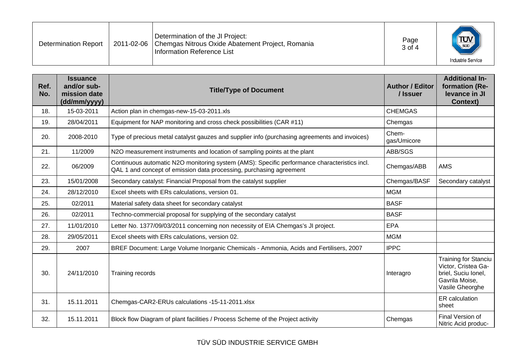| Determination of the JI Project:<br>$T_{\text{sub}}$<br>Page<br>2011-02-06   Chemgas Nitrous Oxide Abatement Project, Romania<br><b>Determination Report</b><br>3 of 4<br>Information Reference List<br><b>Industrie Service</b> |
|----------------------------------------------------------------------------------------------------------------------------------------------------------------------------------------------------------------------------------|
|----------------------------------------------------------------------------------------------------------------------------------------------------------------------------------------------------------------------------------|

| Ref.<br>No. | <b>Issuance</b><br>and/or sub-<br>mission date<br>(dd/mm/yyyy) | <b>Title/Type of Document</b>                                                                                                                                       | <b>Author / Editor</b><br>/ Issuer | <b>Additional In-</b><br>formation (Re-<br>levance in JI<br><b>Context)</b>                                    |
|-------------|----------------------------------------------------------------|---------------------------------------------------------------------------------------------------------------------------------------------------------------------|------------------------------------|----------------------------------------------------------------------------------------------------------------|
| 18.         | 15-03-2011                                                     | Action plan in chemgas-new-15-03-2011.xls                                                                                                                           | <b>CHEMGAS</b>                     |                                                                                                                |
| 19.         | 28/04/2011                                                     | Equipment for NAP monitoring and cross check possibilities (CAR #11)                                                                                                | Chemgas                            |                                                                                                                |
| 20.         | 2008-2010                                                      | Type of precious metal catalyst gauzes and supplier info (purchasing agreements and invoices)                                                                       | Chem-<br>gas/Umicore               |                                                                                                                |
| 21.         | 11/2009                                                        | N2O measurement instruments and location of sampling points at the plant                                                                                            | ABB/SGS                            |                                                                                                                |
| 22.         | 06/2009                                                        | Continuous automatic N2O monitoring system (AMS): Specific performance characteristics incl.<br>QAL 1 and concept of emission data processing, purchasing agreement | Chemgas/ABB                        | <b>AMS</b>                                                                                                     |
| 23.         | 15/01/2008                                                     | Secondary catalyst: Financial Proposal from the catalyst supplier                                                                                                   | Chemgas/BASF                       | Secondary catalyst                                                                                             |
| 24.         | 28/12/2010                                                     | Excel sheets with ERs calculations, version 01.                                                                                                                     | <b>MGM</b>                         |                                                                                                                |
| 25.         | 02/2011                                                        | Material safety data sheet for secondary catalyst                                                                                                                   | <b>BASF</b>                        |                                                                                                                |
| 26.         | 02/2011                                                        | Techno-commercial proposal for supplying of the secondary catalyst                                                                                                  | <b>BASF</b>                        |                                                                                                                |
| 27.         | 11/01/2010                                                     | Letter No. 1377/09/03/2011 concerning non necessity of EIA Chemgas's JI project.                                                                                    | <b>EPA</b>                         |                                                                                                                |
| 28.         | 29/05/2011                                                     | Excel sheets with ERs calculations, version 02.                                                                                                                     | <b>MGM</b>                         |                                                                                                                |
| 29.         | 2007                                                           | BREF Document: Large Volume Inorganic Chemicals - Ammonia, Acids and Fertilisers, 2007                                                                              | <b>IPPC</b>                        |                                                                                                                |
| 30.         | 24/11/2010                                                     | Training records                                                                                                                                                    | Interagro                          | <b>Training for Stanciu</b><br>Victor, Cristea Ga-<br>briel, Suciu Ionel,<br>Gavrila Moise,<br>Vasile Gheorghe |
| 31.         | 15.11.2011                                                     | Chemgas-CAR2-ERUs calculations -15-11-2011.xlsx                                                                                                                     |                                    | ER calculation<br>sheet                                                                                        |
| 32.         | 15.11.2011                                                     | Block flow Diagram of plant facilities / Process Scheme of the Project activity                                                                                     | Chemgas                            | Final Version of<br>Nitric Acid produc-                                                                        |